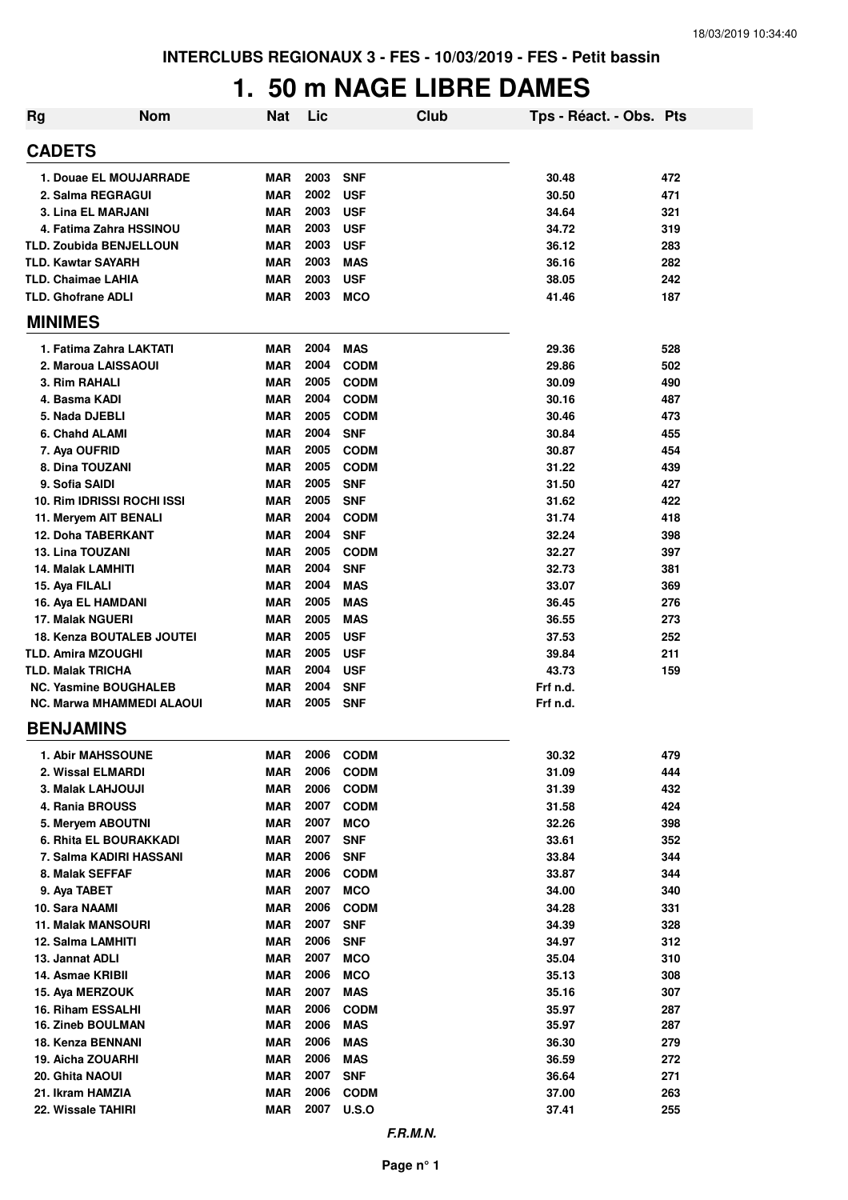## **1. 50 m NAGE LIBRE DAMES**

| <b>Rg</b>                        | <b>Nom</b> | <b>Nat</b> | Lic  |             | <b>Club</b> | Tps - Réact. - Obs. Pts |     |
|----------------------------------|------------|------------|------|-------------|-------------|-------------------------|-----|
| <b>CADETS</b>                    |            |            |      |             |             |                         |     |
| 1. Douae EL MOUJARRADE           |            | <b>MAR</b> | 2003 | <b>SNF</b>  |             | 30.48                   | 472 |
| 2. Salma REGRAGUI                |            | <b>MAR</b> | 2002 | <b>USF</b>  |             | 30.50                   | 471 |
| <b>3. Lina EL MARJANI</b>        |            | <b>MAR</b> | 2003 | <b>USF</b>  |             | 34.64                   | 321 |
| 4. Fatima Zahra HSSINOU          |            | <b>MAR</b> | 2003 | <b>USF</b>  |             | 34.72                   | 319 |
| <b>TLD. Zoubida BENJELLOUN</b>   |            | <b>MAR</b> | 2003 | <b>USF</b>  |             | 36.12                   | 283 |
| <b>TLD. Kawtar SAYARH</b>        |            | <b>MAR</b> | 2003 | <b>MAS</b>  |             | 36.16                   | 282 |
| <b>TLD. Chaimae LAHIA</b>        |            | <b>MAR</b> | 2003 | <b>USF</b>  |             | 38.05                   | 242 |
| <b>TLD. Ghofrane ADLI</b>        |            | <b>MAR</b> | 2003 | <b>MCO</b>  |             | 41.46                   | 187 |
| <b>MINIMES</b>                   |            |            |      |             |             |                         |     |
| 1. Fatima Zahra LAKTATI          |            | <b>MAR</b> | 2004 | <b>MAS</b>  |             | 29.36                   | 528 |
| 2. Maroua LAISSAOUI              |            | <b>MAR</b> | 2004 | <b>CODM</b> |             | 29.86                   | 502 |
| 3. Rim RAHALI                    |            | <b>MAR</b> | 2005 | <b>CODM</b> |             | 30.09                   | 490 |
| 4. Basma KADI                    |            | <b>MAR</b> | 2004 | <b>CODM</b> |             | 30.16                   | 487 |
| 5. Nada DJEBLI                   |            | <b>MAR</b> | 2005 | <b>CODM</b> |             | 30.46                   | 473 |
| 6. Chahd ALAMI                   |            | <b>MAR</b> | 2004 | <b>SNF</b>  |             | 30.84                   | 455 |
| 7. Aya OUFRID                    |            | <b>MAR</b> | 2005 | <b>CODM</b> |             | 30.87                   | 454 |
| 8. Dina TOUZANI                  |            | <b>MAR</b> | 2005 | <b>CODM</b> |             | 31.22                   | 439 |
| 9. Sofia SAIDI                   |            | <b>MAR</b> | 2005 | <b>SNF</b>  |             | 31.50                   | 427 |
| 10. Rim IDRISSI ROCHI ISSI       |            | <b>MAR</b> | 2005 | <b>SNF</b>  |             | 31.62                   | 422 |
| 11. Meryem AIT BENALI            |            | <b>MAR</b> | 2004 | <b>CODM</b> |             | 31.74                   | 418 |
| <b>12. Doha TABERKANT</b>        |            | <b>MAR</b> | 2004 | <b>SNF</b>  |             | 32.24                   | 398 |
| <b>13. Lina TOUZANI</b>          |            | <b>MAR</b> | 2005 | <b>CODM</b> |             | 32.27                   | 397 |
| <b>14. Malak LAMHITI</b>         |            | <b>MAR</b> | 2004 | <b>SNF</b>  |             | 32.73                   | 381 |
| 15. Aya FILALI                   |            | <b>MAR</b> | 2004 | <b>MAS</b>  |             | 33.07                   | 369 |
| 16. Aya EL HAMDANI               |            | <b>MAR</b> | 2005 | <b>MAS</b>  |             | 36.45                   | 276 |
| 17. Malak NGUERI                 |            | <b>MAR</b> | 2005 | <b>MAS</b>  |             | 36.55                   | 273 |
| <b>18. Kenza BOUTALEB JOUTEI</b> |            | <b>MAR</b> | 2005 | <b>USF</b>  |             | 37.53                   | 252 |
| <b>TLD. Amira MZOUGHI</b>        |            | <b>MAR</b> | 2005 | <b>USF</b>  |             | 39.84                   | 211 |
| <b>TLD. Malak TRICHA</b>         |            | <b>MAR</b> | 2004 | <b>USF</b>  |             | 43.73                   | 159 |
| <b>NC. Yasmine BOUGHALEB</b>     |            | <b>MAR</b> | 2004 | <b>SNF</b>  |             | Frf n.d.                |     |
| <b>NC. Marwa MHAMMEDI ALAOUI</b> |            | <b>MAR</b> | 2005 | <b>SNF</b>  |             | Frf n.d.                |     |
| <b>BENJAMINS</b>                 |            |            |      |             |             |                         |     |
| 1. Abir MAHSSOUNE                |            | <b>MAR</b> | 2006 | <b>CODM</b> |             | 30.32                   | 479 |
| 2. Wissal ELMARDI                |            | <b>MAR</b> | 2006 | <b>CODM</b> |             | 31.09                   | 444 |
| 3. Malak LAHJOUJI                |            | <b>MAR</b> | 2006 | <b>CODM</b> |             | 31.39                   | 432 |
| 4. Rania BROUSS                  |            | <b>MAR</b> | 2007 | <b>CODM</b> |             | 31.58                   | 424 |
| 5. Meryem ABOUTNI                |            | <b>MAR</b> | 2007 | <b>MCO</b>  |             | 32.26                   | 398 |
| 6. Rhita EL BOURAKKADI           |            | <b>MAR</b> | 2007 | <b>SNF</b>  |             | 33.61                   | 352 |
| 7. Salma KADIRI HASSANI          |            | <b>MAR</b> | 2006 | <b>SNF</b>  |             | 33.84                   | 344 |
| 8. Malak SEFFAF                  |            | <b>MAR</b> | 2006 | <b>CODM</b> |             | 33.87                   | 344 |
| 9. Aya TABET                     |            | <b>MAR</b> | 2007 | <b>MCO</b>  |             | 34.00                   | 340 |
| 10. Sara NAAMI                   |            | <b>MAR</b> | 2006 | <b>CODM</b> |             | 34.28                   | 331 |
| <b>11. Malak MANSOURI</b>        |            | <b>MAR</b> | 2007 | <b>SNF</b>  |             | 34.39                   | 328 |
| 12. Salma LAMHITI                |            | <b>MAR</b> | 2006 | <b>SNF</b>  |             | 34.97                   | 312 |
| 13. Jannat ADLI                  |            | <b>MAR</b> | 2007 | <b>MCO</b>  |             | 35.04                   | 310 |
| 14. Asmae KRIBII                 |            | <b>MAR</b> | 2006 | <b>MCO</b>  |             | 35.13                   | 308 |
| 15. Aya MERZOUK                  |            | <b>MAR</b> | 2007 | <b>MAS</b>  |             | 35.16                   | 307 |
| 16. Riham ESSALHI                |            | <b>MAR</b> | 2006 | <b>CODM</b> |             | 35.97                   | 287 |
| <b>16. Zineb BOULMAN</b>         |            | <b>MAR</b> | 2006 | <b>MAS</b>  |             | 35.97                   | 287 |
| 18. Kenza BENNANI                |            | <b>MAR</b> | 2006 | <b>MAS</b>  |             | 36.30                   | 279 |
| 19. Aicha ZOUARHI                |            | <b>MAR</b> | 2006 | <b>MAS</b>  |             | 36.59                   | 272 |
| 20. Ghita NAOUI                  |            | <b>MAR</b> | 2007 | <b>SNF</b>  |             | 36.64                   | 271 |
| 21. Ikram HAMZIA                 |            | <b>MAR</b> | 2006 | <b>CODM</b> |             | 37.00                   | 263 |
| 22. Wissale TAHIRI               |            | <b>MAR</b> | 2007 | U.S.O       |             | 37.41                   | 255 |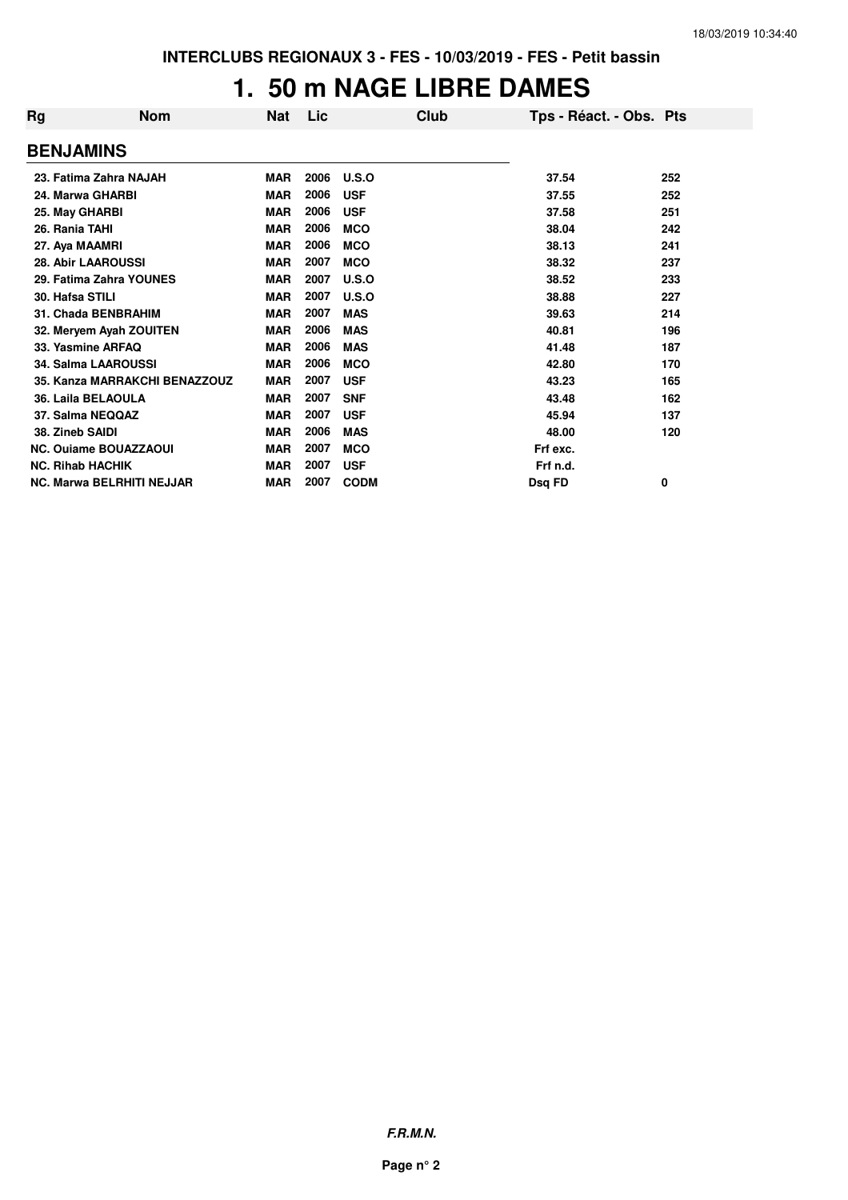## **1. 50 m NAGE LIBRE DAMES**

| Rg                      | <b>Nom</b>                       | <b>Nat</b> | Lic  | Club        | Tps - Réact. - Obs. Pts |     |
|-------------------------|----------------------------------|------------|------|-------------|-------------------------|-----|
| <b>BENJAMINS</b>        |                                  |            |      |             |                         |     |
|                         | 23. Fatima Zahra NAJAH           | <b>MAR</b> | 2006 | U.S.O       | 37.54                   | 252 |
| 24. Marwa GHARBI        |                                  | <b>MAR</b> | 2006 | <b>USF</b>  | 37.55                   | 252 |
| 25. May GHARBI          |                                  | <b>MAR</b> | 2006 | <b>USF</b>  | 37.58                   | 251 |
| 26. Rania TAHI          |                                  | <b>MAR</b> | 2006 | <b>MCO</b>  | 38.04                   | 242 |
| 27. Aya MAAMRI          |                                  | <b>MAR</b> | 2006 | <b>MCO</b>  | 38.13                   | 241 |
|                         | <b>28. Abir LAAROUSSI</b>        | <b>MAR</b> | 2007 | <b>MCO</b>  | 38.32                   | 237 |
|                         | 29. Fatima Zahra YOUNES          | <b>MAR</b> | 2007 | U.S.O       | 38.52                   | 233 |
| 30. Hafsa STILI         |                                  | <b>MAR</b> | 2007 | U.S.O       | 38.88                   | 227 |
|                         | 31. Chada BENBRAHIM              | <b>MAR</b> | 2007 | <b>MAS</b>  | 39.63                   | 214 |
|                         | 32. Meryem Ayah ZOUITEN          | <b>MAR</b> | 2006 | <b>MAS</b>  | 40.81                   | 196 |
|                         | 33. Yasmine ARFAQ                | <b>MAR</b> | 2006 | <b>MAS</b>  | 41.48                   | 187 |
|                         | <b>34. Salma LAAROUSSI</b>       | <b>MAR</b> | 2006 | <b>MCO</b>  | 42.80                   | 170 |
|                         | 35. Kanza MARRAKCHI BENAZZOUZ    | <b>MAR</b> | 2007 | <b>USF</b>  | 43.23                   | 165 |
|                         | 36. Laila BELAOULA               | <b>MAR</b> | 2007 | <b>SNF</b>  | 43.48                   | 162 |
| 37. Salma NEQQAZ        |                                  | <b>MAR</b> | 2007 | <b>USF</b>  | 45.94                   | 137 |
| 38. Zineb SAIDI         |                                  | <b>MAR</b> | 2006 | <b>MAS</b>  | 48.00                   | 120 |
|                         | <b>NC. Ouiame BOUAZZAOUI</b>     | <b>MAR</b> | 2007 | <b>MCO</b>  | Frf exc.                |     |
| <b>NC. Rihab HACHIK</b> |                                  | <b>MAR</b> | 2007 | <b>USF</b>  | Frf n.d.                |     |
|                         | <b>NC. Marwa BELRHITI NEJJAR</b> | <b>MAR</b> | 2007 | <b>CODM</b> | Dsg FD                  | 0   |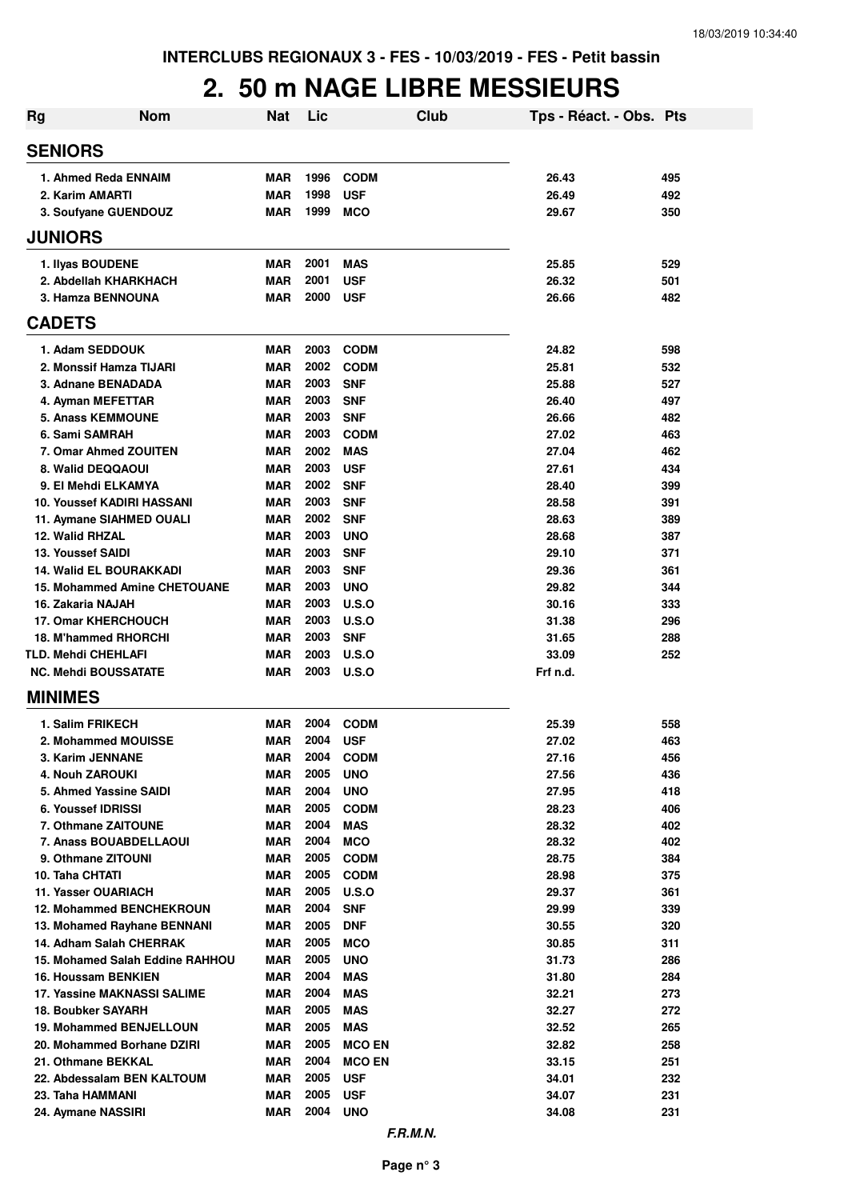#### **2. 50 m NAGE LIBRE MESSIEURS**

| Rg                                       | <b>Nom</b>                      | Nat                      | Lic          |                             | Club | Tps - Réact. - Obs. Pts |            |
|------------------------------------------|---------------------------------|--------------------------|--------------|-----------------------------|------|-------------------------|------------|
| <b>SENIORS</b>                           |                                 |                          |              |                             |      |                         |            |
| 1. Ahmed Reda ENNAIM                     |                                 | <b>MAR</b>               | 1996         | <b>CODM</b>                 |      | 26.43                   | 495        |
| 2. Karim AMARTI                          |                                 | MAR                      | 1998         | <b>USF</b>                  |      | 26.49                   | 492        |
| 3. Soufyane GUENDOUZ                     |                                 | MAR                      | 1999         | <b>MCO</b>                  |      | 29.67                   | 350        |
| <b>JUNIORS</b>                           |                                 |                          |              |                             |      |                         |            |
| 1. Ilyas BOUDENE                         |                                 | <b>MAR</b>               | 2001         | <b>MAS</b>                  |      | 25.85                   | 529        |
| 2. Abdellah KHARKHACH                    |                                 | MAR                      | 2001         | <b>USF</b>                  |      | 26.32                   | 501        |
| 3. Hamza BENNOUNA                        |                                 | MAR                      | 2000         | <b>USF</b>                  |      | 26.66                   | 482        |
| <b>CADETS</b>                            |                                 |                          |              |                             |      |                         |            |
| 1. Adam SEDDOUK                          |                                 | MAR                      | 2003         | <b>CODM</b>                 |      | 24.82                   | 598        |
| 2. Monssif Hamza TIJARI                  |                                 | MAR                      | 2002         | <b>CODM</b>                 |      | 25.81                   | 532        |
| 3. Adnane BENADADA                       |                                 | MAR                      | 2003         | <b>SNF</b>                  |      | 25.88                   | 527        |
| 4. Ayman MEFETTAR                        |                                 | MAR                      | 2003         | <b>SNF</b>                  |      | 26.40                   | 497        |
| <b>5. Anass KEMMOUNE</b>                 |                                 | MAR                      | 2003         | <b>SNF</b>                  |      | 26.66                   | 482        |
| 6. Sami SAMRAH                           |                                 | <b>MAR</b>               | 2003         | <b>CODM</b>                 |      | 27.02                   | 463        |
| 7. Omar Ahmed ZOUITEN                    |                                 | <b>MAR</b>               | 2002         | <b>MAS</b>                  |      | 27.04                   | 462        |
| 8. Walid DEQQAOUI<br>9. El Mehdi ELKAMYA |                                 | <b>MAR</b>               | 2003<br>2002 | <b>USF</b><br><b>SNF</b>    |      | 27.61                   | 434        |
| <b>10. Youssef KADIRI HASSANI</b>        |                                 | MAR<br>MAR               | 2003         | <b>SNF</b>                  |      | 28.40<br>28.58          | 399<br>391 |
| 11. Aymane SIAHMED OUALI                 |                                 | MAR                      | 2002         | <b>SNF</b>                  |      | 28.63                   | 389        |
| 12. Walid RHZAL                          |                                 | MAR                      | 2003         | <b>UNO</b>                  |      | 28.68                   | 387        |
| <b>13. Youssef SAIDI</b>                 |                                 | MAR                      | 2003         | <b>SNF</b>                  |      | 29.10                   | 371        |
| <b>14. Walid EL BOURAKKADI</b>           |                                 | MAR                      | 2003         | <b>SNF</b>                  |      | 29.36                   | 361        |
| <b>15. Mohammed Amine CHETOUANE</b>      |                                 | MAR                      | 2003         | <b>UNO</b>                  |      | 29.82                   | 344        |
| 16. Zakaria NAJAH                        |                                 | <b>MAR</b>               | 2003         | <b>U.S.O</b>                |      | 30.16                   | 333        |
| <b>17. Omar KHERCHOUCH</b>               |                                 | MAR                      | 2003         | <b>U.S.O</b>                |      | 31.38                   | 296        |
| 18. M'hammed RHORCHI                     |                                 | <b>MAR</b>               | 2003         | <b>SNF</b>                  |      | 31.65                   | 288        |
| <b>TLD. Mehdi CHEHLAFI</b>               |                                 | <b>MAR</b>               | 2003         | <b>U.S.O</b>                |      | 33.09                   | 252        |
| <b>NC. Mehdi BOUSSATATE</b>              |                                 | <b>MAR</b>               | 2003         | <b>U.S.O</b>                |      | Frf n.d.                |            |
| <b>MINIMES</b>                           |                                 |                          |              |                             |      |                         |            |
| 1. Salim FRIKECH                         |                                 | MAR                      | 2004         | <b>CODM</b>                 |      | 25.39                   | 558        |
| 2. Mohammed MOUISSE                      |                                 | MAR                      | 2004         | <b>USF</b>                  |      | 27.02                   | 463        |
| 3. Karim JENNANE                         |                                 | MAR                      | 2004         | <b>CODM</b>                 |      | 27.16                   | 456        |
| 4. Nouh ZAROUKI                          |                                 | <b>MAR</b>               | 2005         | <b>UNO</b>                  |      | 27.56                   | 436        |
| 5. Ahmed Yassine SAIDI                   |                                 | <b>MAR</b>               | 2004         | <b>UNO</b>                  |      | 27.95                   | 418        |
| 6. Youssef IDRISSI                       |                                 | MAR                      | 2005         | <b>CODM</b>                 |      | 28.23                   | 406        |
| 7. Othmane ZAITOUNE                      |                                 | MAR                      | 2004         | <b>MAS</b>                  |      | 28.32                   | 402        |
| 7. Anass BOUABDELLAOUI                   |                                 | MAR                      | 2004         | <b>MCO</b>                  |      | 28.32                   | 402        |
| 9. Othmane ZITOUNI                       |                                 | <b>MAR</b>               | 2005<br>2005 | <b>CODM</b>                 |      | 28.75                   | 384        |
| 10. Taha CHTATI<br>11. Yasser OUARIACH   |                                 | <b>MAR</b><br><b>MAR</b> | 2005         | <b>CODM</b><br><b>U.S.O</b> |      | 28.98<br>29.37          | 375<br>361 |
| <b>12. Mohammed BENCHEKROUN</b>          |                                 | MAR                      | 2004         | <b>SNF</b>                  |      | 29.99                   | 339        |
| 13. Mohamed Rayhane BENNANI              |                                 | MAR                      | 2005         | <b>DNF</b>                  |      | 30.55                   | 320        |
| 14. Adham Salah CHERRAK                  |                                 | <b>MAR</b>               | 2005         | <b>MCO</b>                  |      | 30.85                   | 311        |
|                                          | 15. Mohamed Salah Eddine RAHHOU | MAR                      | 2005         | <b>UNO</b>                  |      | 31.73                   | 286        |
| 16. Houssam BENKIEN                      |                                 | MAR                      | 2004         | <b>MAS</b>                  |      | 31.80                   | 284        |
| 17. Yassine MAKNASSI SALIME              |                                 | MAR                      | 2004         | <b>MAS</b>                  |      | 32.21                   | 273        |
| <b>18. Boubker SAYARH</b>                |                                 | MAR                      | 2005         | <b>MAS</b>                  |      | 32.27                   | 272        |
| 19. Mohammed BENJELLOUN                  |                                 | MAR                      | 2005         | MAS                         |      | 32.52                   | 265        |
| 20. Mohammed Borhane DZIRI               |                                 | MAR                      | 2005         | <b>MCO EN</b>               |      | 32.82                   | 258        |
| 21. Othmane BEKKAL                       |                                 | <b>MAR</b>               | 2004         | <b>MCO EN</b>               |      | 33.15                   | 251        |
| 22. Abdessalam BEN KALTOUM               |                                 | <b>MAR</b>               | 2005         | <b>USF</b>                  |      | 34.01                   | 232        |
| 23. Taha HAMMANI                         |                                 | <b>MAR</b>               | 2005         | <b>USF</b>                  |      | 34.07                   | 231        |
| 24. Aymane NASSIRI                       |                                 | <b>MAR</b>               | 2004         | <b>UNO</b>                  |      | 34.08                   | 231        |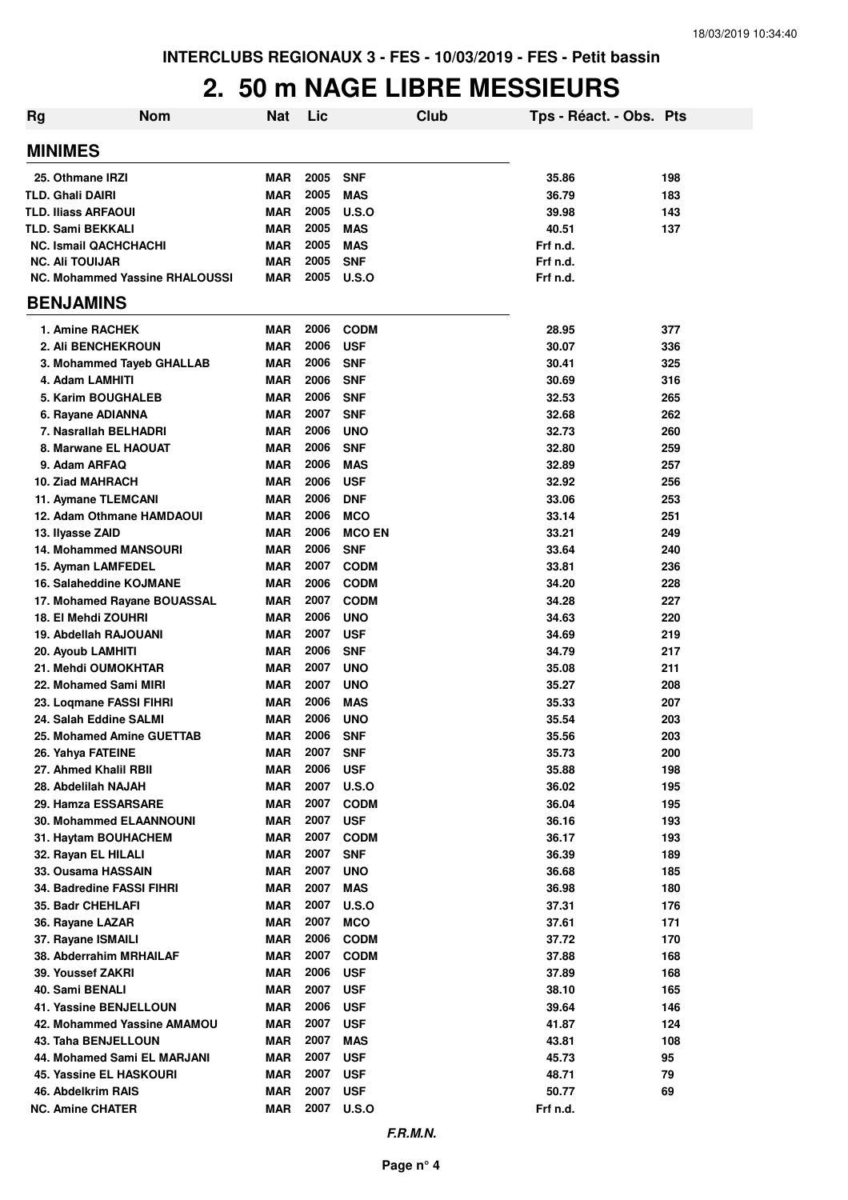#### **2. 50 m NAGE LIBRE MESSIEURS**

| <b>Rg</b> | <b>Nom</b>                                 | <b>Nat</b> | Lic          | Club                       | Tps - Réact. - Obs. Pts |            |
|-----------|--------------------------------------------|------------|--------------|----------------------------|-------------------------|------------|
|           | <b>MINIMES</b>                             |            |              |                            |                         |            |
|           | 25. Othmane IRZI                           | <b>MAR</b> | 2005         | <b>SNF</b>                 | 35.86                   | 198        |
|           | <b>TLD. Ghali DAIRI</b>                    | <b>MAR</b> | 2005         | <b>MAS</b>                 | 36.79                   | 183        |
|           | <b>TLD. Iliass ARFAOUI</b>                 | <b>MAR</b> | 2005         | U.S.O                      | 39.98                   | 143        |
|           | <b>TLD. Sami BEKKALI</b>                   | <b>MAR</b> | 2005         | <b>MAS</b>                 | 40.51                   | 137        |
|           | <b>NC. Ismail QACHCHACHI</b>               | <b>MAR</b> | 2005         | <b>MAS</b>                 | Frf n.d.                |            |
|           | <b>NC. Ali TOUIJAR</b>                     | <b>MAR</b> | 2005         | <b>SNF</b>                 | Frf n.d.                |            |
|           | <b>NC. Mohammed Yassine RHALOUSSI</b>      | <b>MAR</b> | 2005         | <b>U.S.O</b>               | Frf n.d.                |            |
|           | <b>BENJAMINS</b>                           |            |              |                            |                         |            |
|           | 1. Amine RACHEK                            | <b>MAR</b> | 2006         | <b>CODM</b>                | 28.95                   | 377        |
|           | <b>2. Ali BENCHEKROUN</b>                  | <b>MAR</b> | 2006         | <b>USF</b>                 | 30.07                   | 336        |
|           | 3. Mohammed Tayeb GHALLAB                  | <b>MAR</b> | 2006         | <b>SNF</b>                 | 30.41                   | 325        |
|           | 4. Adam LAMHITI                            | <b>MAR</b> | 2006         | <b>SNF</b>                 | 30.69                   | 316        |
|           | <b>5. Karim BOUGHALEB</b>                  | <b>MAR</b> | 2006         | <b>SNF</b>                 | 32.53                   | 265        |
|           | 6. Rayane ADIANNA                          | <b>MAR</b> | 2007         | <b>SNF</b>                 | 32.68                   | 262        |
|           | 7. Nasrallah BELHADRI                      | <b>MAR</b> | 2006         | <b>UNO</b>                 | 32.73                   | 260        |
|           | 8. Marwane EL HAOUAT                       | <b>MAR</b> | 2006         | <b>SNF</b>                 | 32.80                   | 259        |
|           | 9. Adam ARFAQ                              | <b>MAR</b> | 2006         | <b>MAS</b>                 | 32.89                   | 257        |
|           | 10. Ziad MAHRACH                           | <b>MAR</b> | 2006         | <b>USF</b>                 | 32.92                   | 256        |
|           | 11. Aymane TLEMCANI                        | <b>MAR</b> | 2006         | <b>DNF</b>                 | 33.06                   | 253        |
|           | 12. Adam Othmane HAMDAOUI                  | <b>MAR</b> | 2006         | <b>MCO</b>                 | 33.14                   | 251        |
|           | 13. Ilyasse ZAID                           | <b>MAR</b> | 2006         | <b>MCO EN</b>              | 33.21                   | 249        |
|           | <b>14. Mohammed MANSOURI</b>               | <b>MAR</b> | 2006         | <b>SNF</b>                 | 33.64                   | 240        |
|           | 15. Ayman LAMFEDEL                         | <b>MAR</b> | 2007         | <b>CODM</b>                | 33.81                   | 236        |
|           | 16. Salaheddine KOJMANE                    | <b>MAR</b> | 2006         | <b>CODM</b>                | 34.20                   | 228        |
|           | 17. Mohamed Rayane BOUASSAL                | <b>MAR</b> | 2007         | <b>CODM</b>                | 34.28                   | 227        |
|           | 18. El Mehdi ZOUHRI                        | <b>MAR</b> | 2006         | <b>UNO</b>                 | 34.63                   | 220        |
|           | 19. Abdellah RAJOUANI                      | <b>MAR</b> | 2007         | <b>USF</b>                 | 34.69                   | 219        |
|           | 20. Ayoub LAMHITI                          | <b>MAR</b> | 2006         | <b>SNF</b>                 | 34.79                   | 217        |
|           | 21. Mehdi OUMOKHTAR                        | <b>MAR</b> | 2007         | <b>UNO</b>                 | 35.08                   | 211        |
|           | 22. Mohamed Sami MIRI                      | <b>MAR</b> | 2007         | <b>UNO</b>                 | 35.27                   | 208        |
|           | 23. Loqmane FASSI FIHRI                    | <b>MAR</b> | 2006         | <b>MAS</b>                 | 35.33                   | 207        |
|           | 24. Salah Eddine SALMI                     | <b>MAR</b> | 2006<br>2006 | <b>UNO</b>                 | 35.54                   | 203        |
|           | 25. Mohamed Amine GUETTAB                  | <b>MAR</b> |              | <b>SNF</b>                 | 35.56                   | 203        |
|           | 26. Yahya FATEINE<br>27. Ahmed Khalil RBII | <b>MAR</b> | 2007<br>2006 | <b>SNF</b>                 | 35.73                   | 200        |
|           | 28. Abdelilah NAJAH                        | MAR<br>MAR | 2007         | <b>USF</b><br><b>U.S.O</b> | 35.88<br>36.02          | 198<br>195 |
|           | 29. Hamza ESSARSARE                        | MAR        | 2007         | <b>CODM</b>                | 36.04                   | 195        |
|           | <b>30. Mohammed ELAANNOUNI</b>             | MAR        | 2007         | <b>USF</b>                 | 36.16                   | 193        |
|           | 31. Haytam BOUHACHEM                       | MAR        | 2007         | <b>CODM</b>                | 36.17                   | 193        |
|           | 32. Rayan EL HILALI                        | MAR        | 2007         | <b>SNF</b>                 | 36.39                   | 189        |
|           | 33. Ousama HASSAIN                         | MAR        | 2007         | <b>UNO</b>                 | 36.68                   | 185        |
|           | 34. Badredine FASSI FIHRI                  | MAR        | 2007         | <b>MAS</b>                 | 36.98                   | 180        |
|           | 35. Badr CHEHLAFI                          | MAR        | 2007         | <b>U.S.O</b>               | 37.31                   | 176        |
|           | 36. Rayane LAZAR                           | <b>MAR</b> | 2007         | <b>MCO</b>                 | 37.61                   | 171        |
|           | 37. Rayane ISMAILI                         | <b>MAR</b> | 2006         | <b>CODM</b>                | 37.72                   | 170        |
|           | 38. Abderrahim MRHAILAF                    | <b>MAR</b> | 2007         | <b>CODM</b>                | 37.88                   | 168        |
|           | 39. Youssef ZAKRI                          | <b>MAR</b> | 2006         | <b>USF</b>                 | 37.89                   | 168        |
|           | 40. Sami BENALI                            | <b>MAR</b> | 2007         | <b>USF</b>                 | 38.10                   | 165        |
|           | <b>41. Yassine BENJELLOUN</b>              | <b>MAR</b> | 2006         | <b>USF</b>                 | 39.64                   | 146        |
|           | 42. Mohammed Yassine AMAMOU                | <b>MAR</b> | 2007         | <b>USF</b>                 | 41.87                   | 124        |
|           | 43. Taha BENJELLOUN                        | <b>MAR</b> | 2007         | <b>MAS</b>                 | 43.81                   | 108        |
|           | 44. Mohamed Sami EL MARJANI                | <b>MAR</b> | 2007         | <b>USF</b>                 | 45.73                   | 95         |
|           | 45. Yassine EL HASKOURI                    | <b>MAR</b> | 2007         | <b>USF</b>                 | 48.71                   | 79         |
|           | 46. Abdelkrim RAIS                         | <b>MAR</b> | 2007         | <b>USF</b>                 | 50.77                   | 69         |
|           | <b>NC. Amine CHATER</b>                    | <b>MAR</b> | 2007         | <b>U.S.O</b>               | Frf n.d.                |            |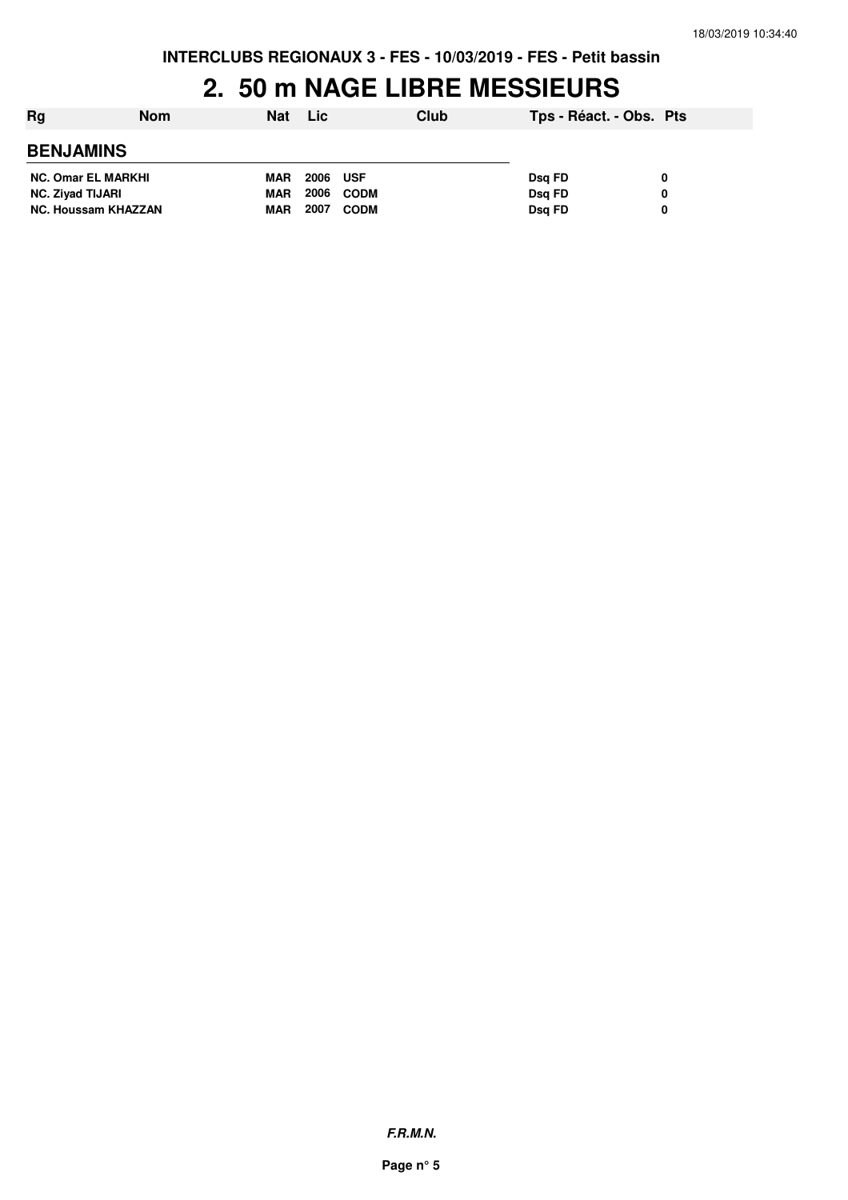#### **2. 50 m NAGE LIBRE MESSIEURS**

| Rg                         | <b>Nom</b> | <b>Nat</b> | <b>Lic</b> | Club        | Tps - Réact. - Obs. Pts |   |
|----------------------------|------------|------------|------------|-------------|-------------------------|---|
| <b>BENJAMINS</b>           |            |            |            |             |                         |   |
| <b>NC. Omar EL MARKHI</b>  |            | <b>MAR</b> | 2006       | <b>USF</b>  | Dsg FD                  | 0 |
| <b>NC. Ziyad TIJARI</b>    |            | <b>MAR</b> | 2006       | <b>CODM</b> | Dsg FD                  | 0 |
| <b>NC. Houssam KHAZZAN</b> |            | <b>MAR</b> | 2007       | <b>CODM</b> | Dsg FD                  | 0 |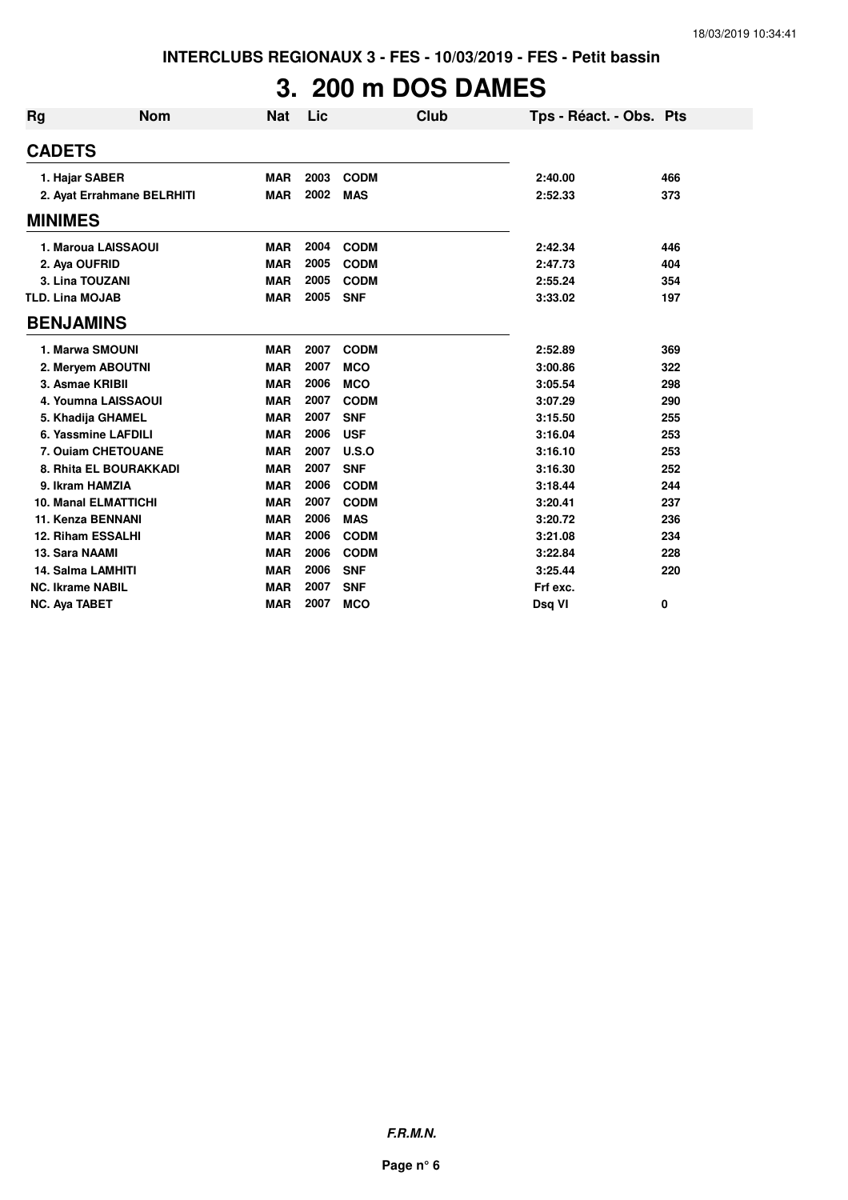# **3. 200 m DOS DAMES**

| <b>Rg</b>      | <b>Nom</b>                  | <b>Nat</b> | Lic  | Club        | Tps - Réact. - Obs. Pts |     |
|----------------|-----------------------------|------------|------|-------------|-------------------------|-----|
| <b>CADETS</b>  |                             |            |      |             |                         |     |
|                | 1. Hajar SABER              | <b>MAR</b> | 2003 | <b>CODM</b> | 2:40.00                 | 466 |
|                | 2. Ayat Errahmane BELRHITI  | <b>MAR</b> | 2002 | <b>MAS</b>  | 2:52.33                 | 373 |
| <b>MINIMES</b> |                             |            |      |             |                         |     |
|                | 1. Maroua LAISSAOUI         | <b>MAR</b> | 2004 | <b>CODM</b> | 2:42.34                 | 446 |
|                | 2. Aya OUFRID               | <b>MAR</b> | 2005 | <b>CODM</b> | 2:47.73                 | 404 |
|                | 3. Lina TOUZANI             | <b>MAR</b> | 2005 | <b>CODM</b> | 2:55.24                 | 354 |
|                | <b>TLD. Lina MOJAB</b>      | <b>MAR</b> | 2005 | <b>SNF</b>  | 3:33.02                 | 197 |
|                | <b>BENJAMINS</b>            |            |      |             |                         |     |
|                | 1. Marwa SMOUNI             | <b>MAR</b> | 2007 | <b>CODM</b> | 2:52.89                 | 369 |
|                | 2. Meryem ABOUTNI           | <b>MAR</b> | 2007 | <b>MCO</b>  | 3:00.86                 | 322 |
|                | 3. Asmae KRIBII             | <b>MAR</b> | 2006 | <b>MCO</b>  | 3:05.54                 | 298 |
|                | 4. Youmna LAISSAOUI         | <b>MAR</b> | 2007 | <b>CODM</b> | 3:07.29                 | 290 |
|                | 5. Khadija GHAMEL           | <b>MAR</b> | 2007 | <b>SNF</b>  | 3:15.50                 | 255 |
|                | 6. Yassmine LAFDILI         | <b>MAR</b> | 2006 | <b>USF</b>  | 3:16.04                 | 253 |
|                | 7. Ouiam CHETOUANE          | <b>MAR</b> | 2007 | U.S.O       | 3:16.10                 | 253 |
|                | 8. Rhita EL BOURAKKADI      | <b>MAR</b> | 2007 | <b>SNF</b>  | 3:16.30                 | 252 |
|                | 9. Ikram HAMZIA             | <b>MAR</b> | 2006 | <b>CODM</b> | 3:18.44                 | 244 |
|                | <b>10. Manal ELMATTICHI</b> | <b>MAR</b> | 2007 | <b>CODM</b> | 3:20.41                 | 237 |
|                | 11. Kenza BENNANI           | <b>MAR</b> | 2006 | <b>MAS</b>  | 3:20.72                 | 236 |
|                | 12. Riham ESSALHI           | <b>MAR</b> | 2006 | <b>CODM</b> | 3:21.08                 | 234 |
|                | 13. Sara NAAMI              | <b>MAR</b> | 2006 | <b>CODM</b> | 3:22.84                 | 228 |
|                | 14. Salma LAMHITI           | <b>MAR</b> | 2006 | <b>SNF</b>  | 3:25.44                 | 220 |
|                | <b>NC. Ikrame NABIL</b>     | <b>MAR</b> | 2007 | <b>SNF</b>  | Frf exc.                |     |
|                | <b>NC. Aya TABET</b>        | <b>MAR</b> | 2007 | <b>MCO</b>  | Dsq VI                  | 0   |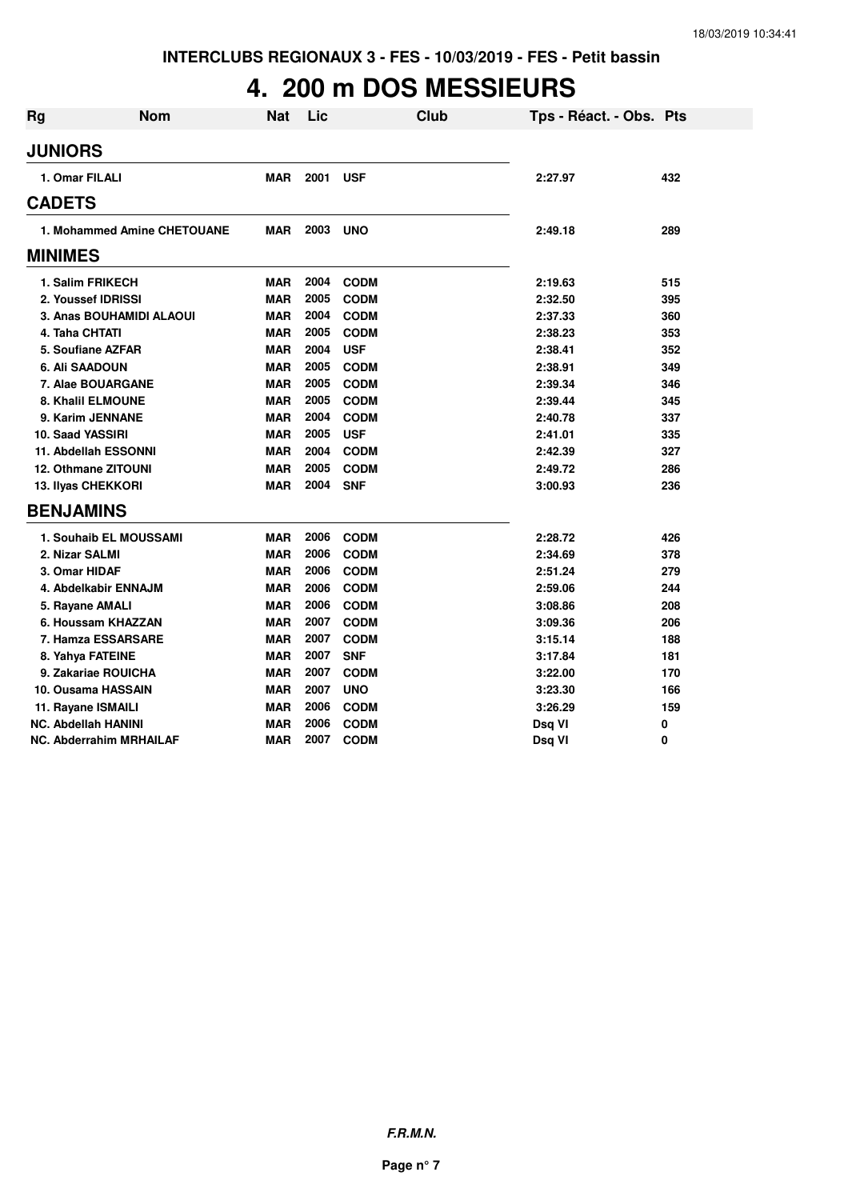## **4. 200 m DOS MESSIEURS**

| <b>Rg</b>      | <b>Nom</b>                     | <b>Nat</b> | Lic  |             | <b>Club</b> | Tps - Réact. - Obs. Pts |     |
|----------------|--------------------------------|------------|------|-------------|-------------|-------------------------|-----|
| <b>JUNIORS</b> |                                |            |      |             |             |                         |     |
|                | 1. Omar FILALI                 | <b>MAR</b> | 2001 | <b>USF</b>  |             | 2:27.97                 | 432 |
| <b>CADETS</b>  |                                |            |      |             |             |                         |     |
|                | 1. Mohammed Amine CHETOUANE    | <b>MAR</b> | 2003 | <b>UNO</b>  |             | 2:49.18                 | 289 |
| <b>MINIMES</b> |                                |            |      |             |             |                         |     |
|                | 1. Salim FRIKECH               | <b>MAR</b> | 2004 | <b>CODM</b> |             | 2:19.63                 | 515 |
|                | 2. Youssef IDRISSI             | <b>MAR</b> | 2005 | <b>CODM</b> |             | 2:32.50                 | 395 |
|                | 3. Anas BOUHAMIDI ALAOUI       | <b>MAR</b> | 2004 | <b>CODM</b> |             | 2:37.33                 | 360 |
|                | 4. Taha CHTATI                 | <b>MAR</b> | 2005 | <b>CODM</b> |             | 2:38.23                 | 353 |
|                | 5. Soufiane AZFAR              | <b>MAR</b> | 2004 | <b>USF</b>  |             | 2:38.41                 | 352 |
|                | 6. Ali SAADOUN                 | <b>MAR</b> | 2005 | <b>CODM</b> |             | 2:38.91                 | 349 |
|                | 7. Alae BOUARGANE              | <b>MAR</b> | 2005 | <b>CODM</b> |             | 2:39.34                 | 346 |
|                | 8. Khalil ELMOUNE              | <b>MAR</b> | 2005 | <b>CODM</b> |             | 2:39.44                 | 345 |
|                | 9. Karim JENNANE               | <b>MAR</b> | 2004 | <b>CODM</b> |             | 2:40.78                 | 337 |
|                | 10. Saad YASSIRI               | <b>MAR</b> | 2005 | <b>USF</b>  |             | 2:41.01                 | 335 |
|                | 11. Abdellah ESSONNI           | <b>MAR</b> | 2004 | <b>CODM</b> |             | 2:42.39                 | 327 |
|                | <b>12. Othmane ZITOUNI</b>     | <b>MAR</b> | 2005 | <b>CODM</b> |             | 2:49.72                 | 286 |
|                | 13. Ilyas CHEKKORI             | <b>MAR</b> | 2004 | <b>SNF</b>  |             | 3:00.93                 | 236 |
|                | <b>BENJAMINS</b>               |            |      |             |             |                         |     |
|                | 1. Souhaib EL MOUSSAMI         | <b>MAR</b> | 2006 | <b>CODM</b> |             | 2:28.72                 | 426 |
|                | 2. Nizar SALMI                 | <b>MAR</b> | 2006 | <b>CODM</b> |             | 2:34.69                 | 378 |
|                | 3. Omar HIDAF                  | <b>MAR</b> | 2006 | <b>CODM</b> |             | 2:51.24                 | 279 |
|                | 4. Abdelkabir ENNAJM           | <b>MAR</b> | 2006 | <b>CODM</b> |             | 2:59.06                 | 244 |
|                | 5. Rayane AMALI                | <b>MAR</b> | 2006 | <b>CODM</b> |             | 3:08.86                 | 208 |
|                | 6. Houssam KHAZZAN             | <b>MAR</b> | 2007 | <b>CODM</b> |             | 3:09.36                 | 206 |
|                | 7. Hamza ESSARSARE             | <b>MAR</b> | 2007 | <b>CODM</b> |             | 3:15.14                 | 188 |
|                | 8. Yahya FATEINE               | <b>MAR</b> | 2007 | <b>SNF</b>  |             | 3:17.84                 | 181 |
|                | 9. Zakariae ROUICHA            | <b>MAR</b> | 2007 | <b>CODM</b> |             | 3:22.00                 | 170 |
|                | 10. Ousama HASSAIN             | <b>MAR</b> | 2007 | <b>UNO</b>  |             | 3:23.30                 | 166 |
|                | 11. Rayane ISMAILI             | <b>MAR</b> | 2006 | <b>CODM</b> |             | 3:26.29                 | 159 |
|                | <b>NC. Abdellah HANINI</b>     | <b>MAR</b> | 2006 | <b>CODM</b> |             | Dsq VI                  | 0   |
|                | <b>NC. Abderrahim MRHAILAF</b> | <b>MAR</b> | 2007 | <b>CODM</b> |             | Dsq VI                  | 0   |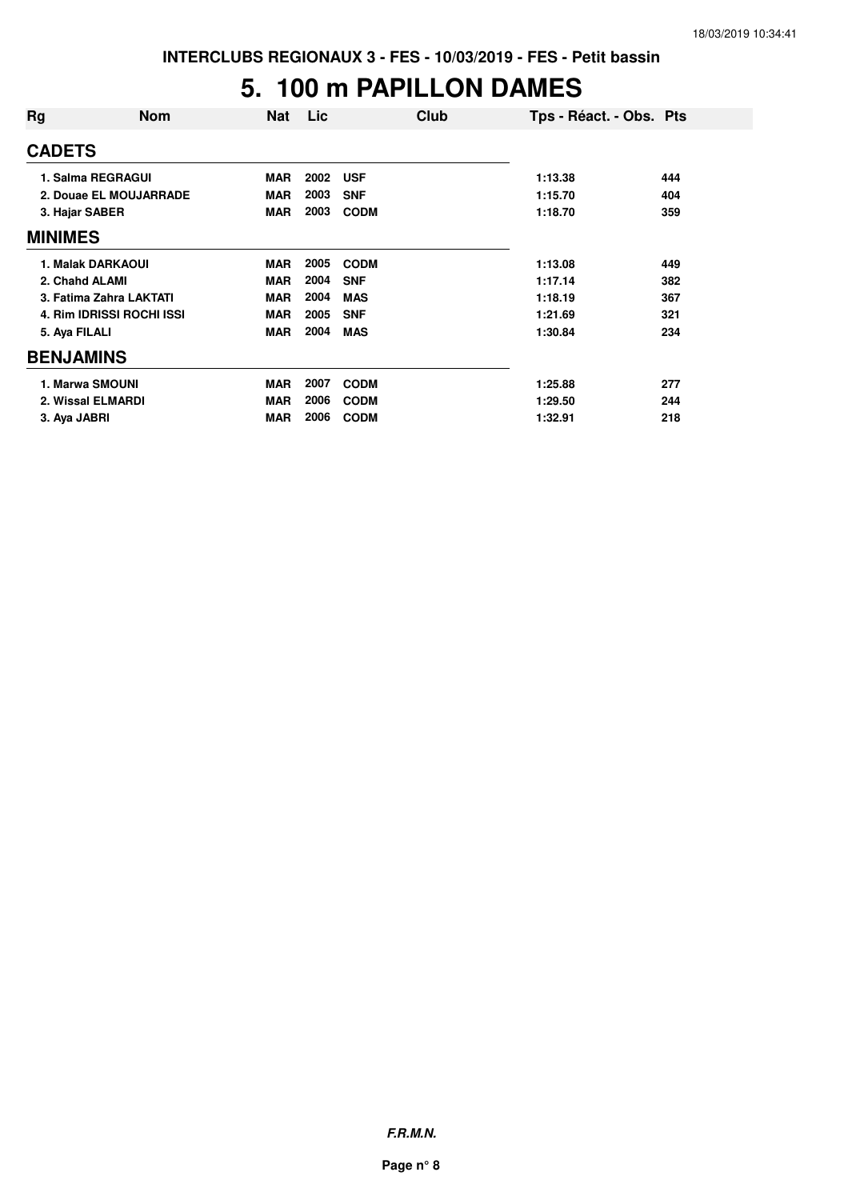#### **5. 100 m PAPILLON DAMES**

| Rg               | <b>Nom</b>                | <b>Nat</b> | <b>Lic</b> | Club        | Tps - Réact. - Obs. Pts |     |
|------------------|---------------------------|------------|------------|-------------|-------------------------|-----|
| <b>CADETS</b>    |                           |            |            |             |                         |     |
|                  | 1. Salma REGRAGUI         | <b>MAR</b> | 2002       | <b>USF</b>  | 1:13.38                 | 444 |
|                  | 2. Douae EL MOUJARRADE    | <b>MAR</b> | 2003       | <b>SNF</b>  | 1:15.70                 | 404 |
| 3. Hajar SABER   |                           | <b>MAR</b> | 2003       | <b>CODM</b> | 1:18.70                 | 359 |
| <b>MINIMES</b>   |                           |            |            |             |                         |     |
|                  | 1. Malak DARKAOUI         | <b>MAR</b> | 2005       | <b>CODM</b> | 1:13.08                 | 449 |
| 2. Chahd ALAMI   |                           | <b>MAR</b> | 2004       | <b>SNF</b>  | 1:17.14                 | 382 |
|                  | 3. Fatima Zahra LAKTATI   | <b>MAR</b> | 2004       | <b>MAS</b>  | 1:18.19                 | 367 |
|                  | 4. Rim IDRISSI ROCHI ISSI | <b>MAR</b> | 2005       | <b>SNF</b>  | 1:21.69                 | 321 |
| 5. Aya FILALI    |                           | <b>MAR</b> | 2004       | <b>MAS</b>  | 1:30.84                 | 234 |
| <b>BENJAMINS</b> |                           |            |            |             |                         |     |
|                  | 1. Marwa SMOUNI           | <b>MAR</b> | 2007       | <b>CODM</b> | 1:25.88                 | 277 |
|                  | 2. Wissal ELMARDI         | <b>MAR</b> | 2006       | <b>CODM</b> | 1:29.50                 | 244 |
| 3. Ava JABRI     |                           | <b>MAR</b> | 2006       | <b>CODM</b> | 1:32.91                 | 218 |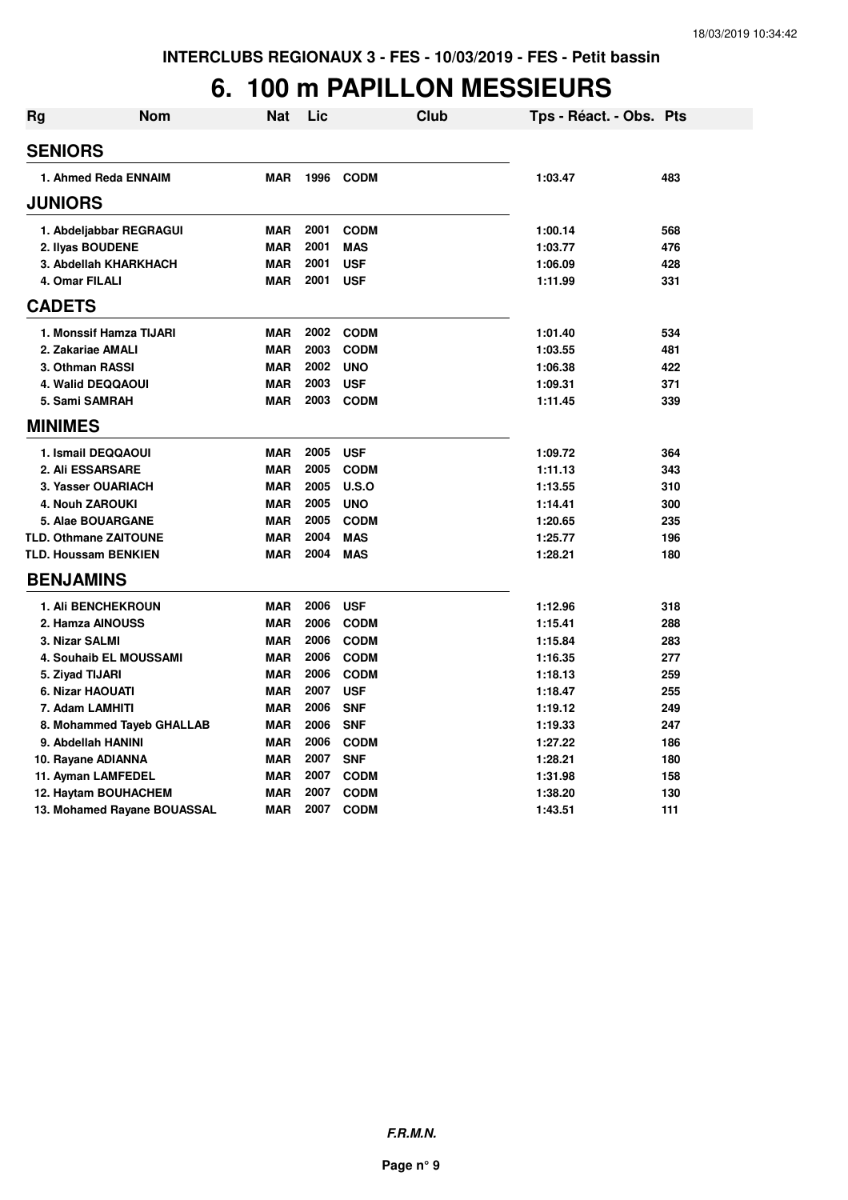## **6. 100 m PAPILLON MESSIEURS**

| <b>Rg</b> | Nom                          | Nat        | Lic  | Club        | Tps - Réact. - Obs. Pts |     |
|-----------|------------------------------|------------|------|-------------|-------------------------|-----|
|           | <b>SENIORS</b>               |            |      |             |                         |     |
|           | 1. Ahmed Reda ENNAIM         | <b>MAR</b> | 1996 | <b>CODM</b> | 1:03.47                 | 483 |
|           | <b>JUNIORS</b>               |            |      |             |                         |     |
|           | 1. Abdeljabbar REGRAGUI      | <b>MAR</b> | 2001 | <b>CODM</b> | 1:00.14                 | 568 |
|           | 2. Ilyas BOUDENE             | <b>MAR</b> | 2001 | <b>MAS</b>  | 1:03.77                 | 476 |
|           | 3. Abdellah KHARKHACH        | <b>MAR</b> | 2001 | <b>USF</b>  | 1:06.09                 | 428 |
|           | 4. Omar FILALI               | <b>MAR</b> | 2001 | <b>USF</b>  | 1:11.99                 | 331 |
|           | <b>CADETS</b>                |            |      |             |                         |     |
|           | 1. Monssif Hamza TIJARI      | <b>MAR</b> | 2002 | <b>CODM</b> | 1:01.40                 | 534 |
|           | 2. Zakariae AMALI            | <b>MAR</b> | 2003 | <b>CODM</b> | 1:03.55                 | 481 |
|           | 3. Othman RASSI              | <b>MAR</b> | 2002 | <b>UNO</b>  | 1:06.38                 | 422 |
|           | 4. Walid DEQQAOUI            | <b>MAR</b> | 2003 | <b>USF</b>  | 1:09.31                 | 371 |
|           | 5. Sami SAMRAH               | <b>MAR</b> | 2003 | <b>CODM</b> | 1:11.45                 | 339 |
|           | <b>MINIMES</b>               |            |      |             |                         |     |
|           | 1. Ismail DEQQAOUI           | <b>MAR</b> | 2005 | <b>USF</b>  | 1:09.72                 | 364 |
|           | 2. Ali ESSARSARE             | <b>MAR</b> | 2005 | <b>CODM</b> | 1:11.13                 | 343 |
|           | 3. Yasser OUARIACH           | <b>MAR</b> | 2005 | U.S.O       | 1:13.55                 | 310 |
|           | <b>4. Nouh ZAROUKI</b>       | <b>MAR</b> | 2005 | <b>UNO</b>  | 1:14.41                 | 300 |
|           | 5. Alae BOUARGANE            | <b>MAR</b> | 2005 | <b>CODM</b> | 1:20.65                 | 235 |
|           | <b>TLD. Othmane ZAITOUNE</b> | <b>MAR</b> | 2004 | <b>MAS</b>  | 1:25.77                 | 196 |
|           | <b>TLD. Houssam BENKIEN</b>  | <b>MAR</b> | 2004 | <b>MAS</b>  | 1:28.21                 | 180 |
|           | <b>BENJAMINS</b>             |            |      |             |                         |     |
|           | 1. Ali BENCHEKROUN           | <b>MAR</b> | 2006 | <b>USF</b>  | 1:12.96                 | 318 |
|           | 2. Hamza AINOUSS             | <b>MAR</b> | 2006 | <b>CODM</b> | 1:15.41                 | 288 |
|           | 3. Nizar SALMI               | <b>MAR</b> | 2006 | <b>CODM</b> | 1:15.84                 | 283 |
|           | 4. Souhaib EL MOUSSAMI       | <b>MAR</b> | 2006 | <b>CODM</b> | 1:16.35                 | 277 |
|           | 5. Ziyad TIJARI              | <b>MAR</b> | 2006 | <b>CODM</b> | 1:18.13                 | 259 |
|           | 6. Nizar HAOUATI             | <b>MAR</b> | 2007 | <b>USF</b>  | 1:18.47                 | 255 |
|           | 7. Adam LAMHITI              | <b>MAR</b> | 2006 | <b>SNF</b>  | 1:19.12                 | 249 |
|           | 8. Mohammed Tayeb GHALLAB    | <b>MAR</b> | 2006 | <b>SNF</b>  | 1:19.33                 | 247 |
|           | 9. Abdellah HANINI           | <b>MAR</b> | 2006 | <b>CODM</b> | 1:27.22                 | 186 |
|           | 10. Rayane ADIANNA           | <b>MAR</b> | 2007 | <b>SNF</b>  | 1:28.21                 | 180 |
|           | 11. Ayman LAMFEDEL           | <b>MAR</b> | 2007 | <b>CODM</b> | 1:31.98                 | 158 |
|           | 12. Haytam BOUHACHEM         | <b>MAR</b> | 2007 | <b>CODM</b> | 1:38.20                 | 130 |
|           | 13. Mohamed Rayane BOUASSAL  | <b>MAR</b> | 2007 | <b>CODM</b> | 1:43.51                 | 111 |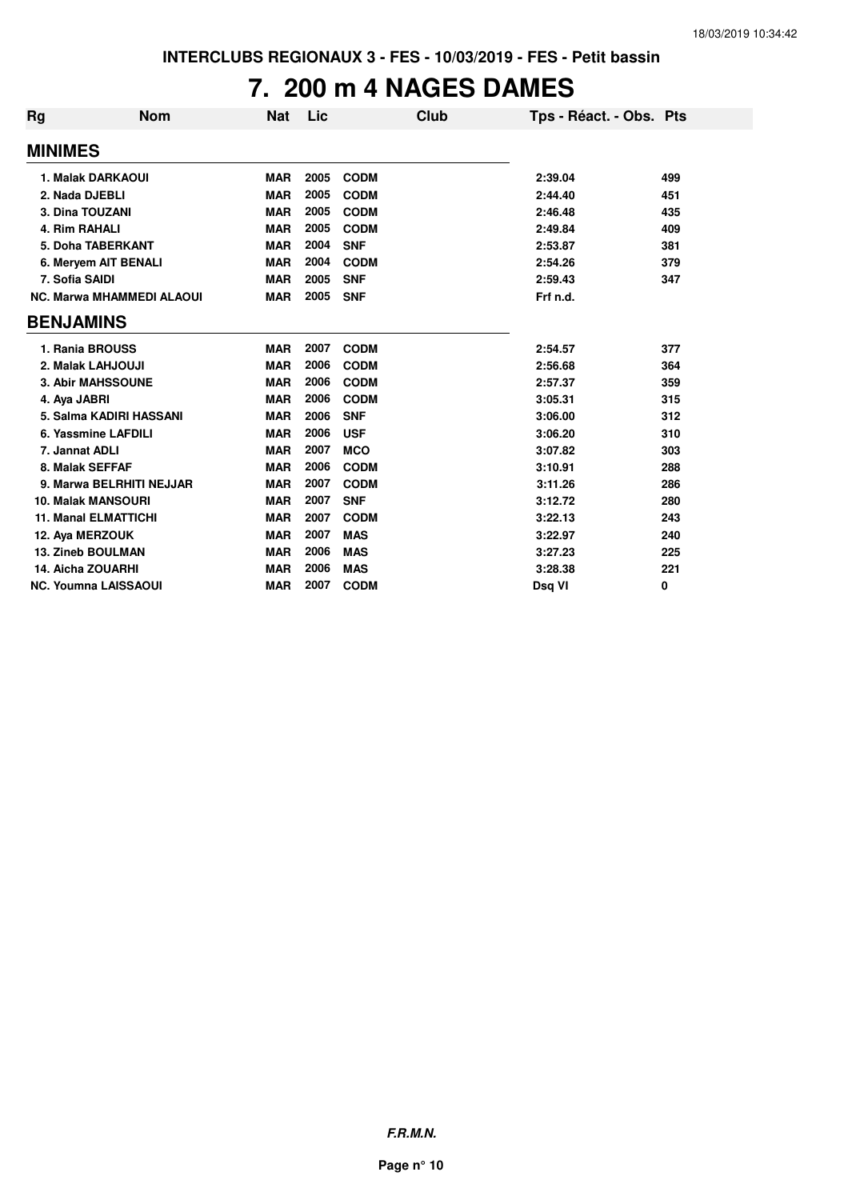## **7. 200 m 4 NAGES DAMES**

| Rg               | <b>Nom</b>                       | <b>Nat</b> | Lic  | Club        | Tps - Réact. - Obs. Pts |     |
|------------------|----------------------------------|------------|------|-------------|-------------------------|-----|
| <b>MINIMES</b>   |                                  |            |      |             |                         |     |
|                  | 1. Malak DARKAOUI                | <b>MAR</b> | 2005 | <b>CODM</b> | 2:39.04                 | 499 |
| 2. Nada DJEBLI   |                                  | <b>MAR</b> | 2005 | <b>CODM</b> | 2:44.40                 | 451 |
| 3. Dina TOUZANI  |                                  | <b>MAR</b> | 2005 | <b>CODM</b> | 2:46.48                 | 435 |
| 4. Rim RAHALI    |                                  | <b>MAR</b> | 2005 | <b>CODM</b> | 2:49.84                 | 409 |
|                  | 5. Doha TABERKANT                | <b>MAR</b> | 2004 | <b>SNF</b>  | 2:53.87                 | 381 |
|                  | 6. Meryem AIT BENALI             | <b>MAR</b> | 2004 | <b>CODM</b> | 2:54.26                 | 379 |
| 7. Sofia SAIDI   |                                  | <b>MAR</b> | 2005 | <b>SNF</b>  | 2:59.43                 | 347 |
|                  | <b>NC. Marwa MHAMMEDI ALAOUI</b> | <b>MAR</b> | 2005 | <b>SNF</b>  | Frf n.d.                |     |
| <b>BENJAMINS</b> |                                  |            |      |             |                         |     |
|                  | 1. Rania BROUSS                  | <b>MAR</b> | 2007 | <b>CODM</b> | 2:54.57                 | 377 |
|                  | 2. Malak LAHJOUJI                | <b>MAR</b> | 2006 | <b>CODM</b> | 2:56.68                 | 364 |
|                  | <b>3. Abir MAHSSOUNE</b>         | <b>MAR</b> | 2006 | <b>CODM</b> | 2:57.37                 | 359 |
| 4. Aya JABRI     |                                  | <b>MAR</b> | 2006 | <b>CODM</b> | 3:05.31                 | 315 |
|                  | 5. Salma KADIRI HASSANI          | <b>MAR</b> | 2006 | <b>SNF</b>  | 3:06.00                 | 312 |
|                  | 6. Yassmine LAFDILI              | <b>MAR</b> | 2006 | <b>USF</b>  | 3:06.20                 | 310 |
| 7. Jannat ADLI   |                                  | <b>MAR</b> | 2007 | <b>MCO</b>  | 3:07.82                 | 303 |
| 8. Malak SEFFAF  |                                  | <b>MAR</b> | 2006 | <b>CODM</b> | 3:10.91                 | 288 |
|                  | 9. Marwa BELRHITI NEJJAR         | <b>MAR</b> | 2007 | <b>CODM</b> | 3:11.26                 | 286 |
|                  | <b>10. Malak MANSOURI</b>        | <b>MAR</b> | 2007 | <b>SNF</b>  | 3:12.72                 | 280 |
|                  | <b>11. Manal ELMATTICHI</b>      | <b>MAR</b> | 2007 | <b>CODM</b> | 3:22.13                 | 243 |
| 12. Aya MERZOUK  |                                  | <b>MAR</b> | 2007 | <b>MAS</b>  | 3:22.97                 | 240 |
|                  | <b>13. Zineb BOULMAN</b>         | <b>MAR</b> | 2006 | <b>MAS</b>  | 3:27.23                 | 225 |
|                  | <b>14. Aicha ZOUARHI</b>         | <b>MAR</b> | 2006 | <b>MAS</b>  | 3:28.38                 | 221 |
|                  | <b>NC. Youmna LAISSAOUI</b>      | <b>MAR</b> | 2007 | <b>CODM</b> | Dsg VI                  | 0   |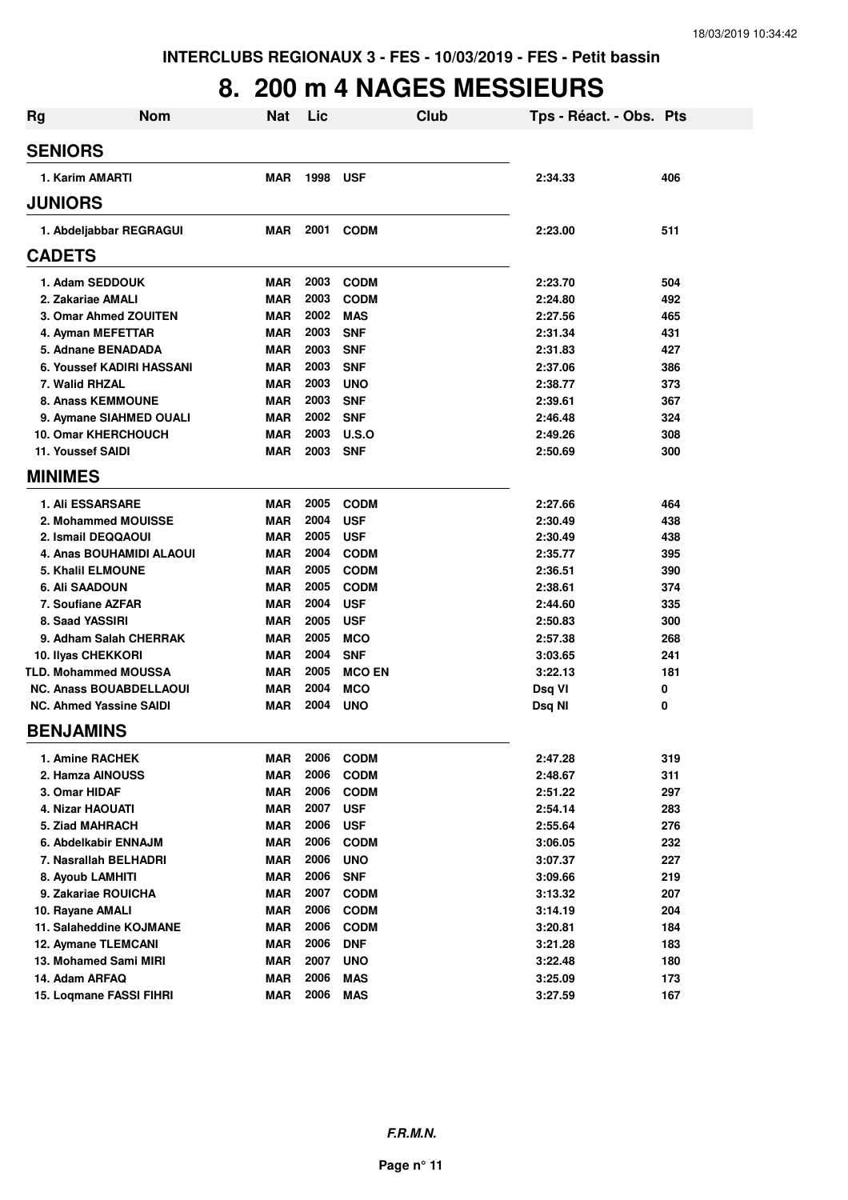#### **8. 200 m 4 NAGES MESSIEURS**

| <b>Rg</b>                      | <b>Nom</b>                     | <b>Nat</b> | Lic  | Club          | Tps - Réact. - Obs. Pts |     |
|--------------------------------|--------------------------------|------------|------|---------------|-------------------------|-----|
| <b>SENIORS</b>                 |                                |            |      |               |                         |     |
| 1. Karim AMARTI                |                                | <b>MAR</b> | 1998 | <b>USF</b>    | 2:34.33                 | 406 |
| <b>JUNIORS</b>                 |                                |            |      |               |                         |     |
|                                | 1. Abdeljabbar REGRAGUI        | <b>MAR</b> | 2001 | <b>CODM</b>   | 2:23.00                 | 511 |
| <b>CADETS</b>                  |                                |            |      |               |                         |     |
| 1. Adam SEDDOUK                |                                | <b>MAR</b> | 2003 | <b>CODM</b>   | 2:23.70                 | 504 |
| 2. Zakariae AMALI              |                                | <b>MAR</b> | 2003 | <b>CODM</b>   | 2:24.80                 | 492 |
|                                | 3. Omar Ahmed ZOUITEN          | <b>MAR</b> | 2002 | <b>MAS</b>    | 2:27.56                 | 465 |
| 4. Ayman MEFETTAR              |                                | <b>MAR</b> | 2003 | <b>SNF</b>    | 2:31.34                 | 431 |
| 5. Adnane BENADADA             |                                | <b>MAR</b> | 2003 | <b>SNF</b>    | 2:31.83                 | 427 |
|                                | 6. Youssef KADIRI HASSANI      | <b>MAR</b> | 2003 | <b>SNF</b>    | 2:37.06                 | 386 |
| 7. Walid RHZAL                 |                                | <b>MAR</b> | 2003 | <b>UNO</b>    | 2:38.77                 | 373 |
| <b>8. Anass KEMMOUNE</b>       |                                | <b>MAR</b> | 2003 | <b>SNF</b>    | 2:39.61                 | 367 |
|                                | 9. Aymane SIAHMED OUALI        | <b>MAR</b> | 2002 | <b>SNF</b>    | 2:46.48                 | 324 |
| <b>10. Omar KHERCHOUCH</b>     |                                | <b>MAR</b> | 2003 | U.S.O         | 2:49.26                 | 308 |
| 11. Youssef SAIDI              |                                | <b>MAR</b> | 2003 | <b>SNF</b>    | 2:50.69                 | 300 |
| <b>MINIMES</b>                 |                                |            |      |               |                         |     |
| <b>1. Ali ESSARSARE</b>        |                                | <b>MAR</b> | 2005 | <b>CODM</b>   | 2:27.66                 | 464 |
|                                | 2. Mohammed MOUISSE            | <b>MAR</b> | 2004 | <b>USF</b>    | 2:30.49                 | 438 |
| 2. Ismail DEQQAOUI             |                                | <b>MAR</b> | 2005 | <b>USF</b>    | 2:30.49                 | 438 |
|                                | 4. Anas BOUHAMIDI ALAOUI       | <b>MAR</b> | 2004 | <b>CODM</b>   | 2:35.77                 | 395 |
| <b>5. Khalil ELMOUNE</b>       |                                | <b>MAR</b> | 2005 | <b>CODM</b>   | 2:36.51                 | 390 |
| 6. Ali SAADOUN                 |                                | <b>MAR</b> | 2005 | <b>CODM</b>   | 2:38.61                 | 374 |
| 7. Soufiane AZFAR              |                                | <b>MAR</b> | 2004 | <b>USF</b>    | 2:44.60                 | 335 |
| 8. Saad YASSIRI                |                                | <b>MAR</b> | 2005 | <b>USF</b>    | 2:50.83                 | 300 |
|                                | 9. Adham Salah CHERRAK         | <b>MAR</b> | 2005 | <b>MCO</b>    | 2:57.38                 | 268 |
| 10. Ilyas CHEKKORI             |                                | <b>MAR</b> | 2004 | <b>SNF</b>    | 3:03.65                 | 241 |
| <b>TLD. Mohammed MOUSSA</b>    |                                | <b>MAR</b> | 2005 | <b>MCO EN</b> | 3:22.13                 | 181 |
|                                | <b>NC. Anass BOUABDELLAOUI</b> | <b>MAR</b> | 2004 | <b>MCO</b>    | Dsq VI                  | 0   |
| <b>NC. Ahmed Yassine SAIDI</b> |                                | MAR        | 2004 | <b>UNO</b>    | Dsq NI                  | 0   |
| <b>BENJAMINS</b>               |                                |            |      |               |                         |     |
| 1. Amine RACHEK                |                                | MAR        | 2006 | <b>CODM</b>   | 2:47.28                 | 319 |
| 2. Hamza AINOUSS               |                                | <b>MAR</b> | 2006 | <b>CODM</b>   | 2:48.67                 | 311 |
| 3. Omar HIDAF                  |                                | MAR        | 2006 | <b>CODM</b>   | 2:51.22                 | 297 |
| 4. Nizar HAOUATI               |                                | MAR        | 2007 | <b>USF</b>    | 2:54.14                 | 283 |
| 5. Ziad MAHRACH                |                                | MAR        | 2006 | <b>USF</b>    | 2:55.64                 | 276 |
| 6. Abdelkabir ENNAJM           |                                | <b>MAR</b> | 2006 | <b>CODM</b>   | 3:06.05                 | 232 |
| 7. Nasrallah BELHADRI          |                                | <b>MAR</b> | 2006 | <b>UNO</b>    | 3:07.37                 | 227 |
| 8. Ayoub LAMHITI               |                                | <b>MAR</b> | 2006 | <b>SNF</b>    | 3:09.66                 | 219 |
| 9. Zakariae ROUICHA            |                                | <b>MAR</b> | 2007 | <b>CODM</b>   | 3:13.32                 | 207 |
| 10. Rayane AMALI               |                                | <b>MAR</b> | 2006 | <b>CODM</b>   | 3:14.19                 | 204 |
|                                | 11. Salaheddine KOJMANE        | <b>MAR</b> | 2006 | <b>CODM</b>   | 3:20.81                 | 184 |
| 12. Aymane TLEMCANI            |                                | <b>MAR</b> | 2006 | <b>DNF</b>    | 3:21.28                 | 183 |
| 13. Mohamed Sami MIRI          |                                | <b>MAR</b> | 2007 | <b>UNO</b>    | 3:22.48                 | 180 |
| 14. Adam ARFAQ                 |                                | <b>MAR</b> | 2006 | MAS           | 3:25.09                 | 173 |
| 15. Loqmane FASSI FIHRI        |                                | <b>MAR</b> | 2006 | <b>MAS</b>    | 3:27.59                 | 167 |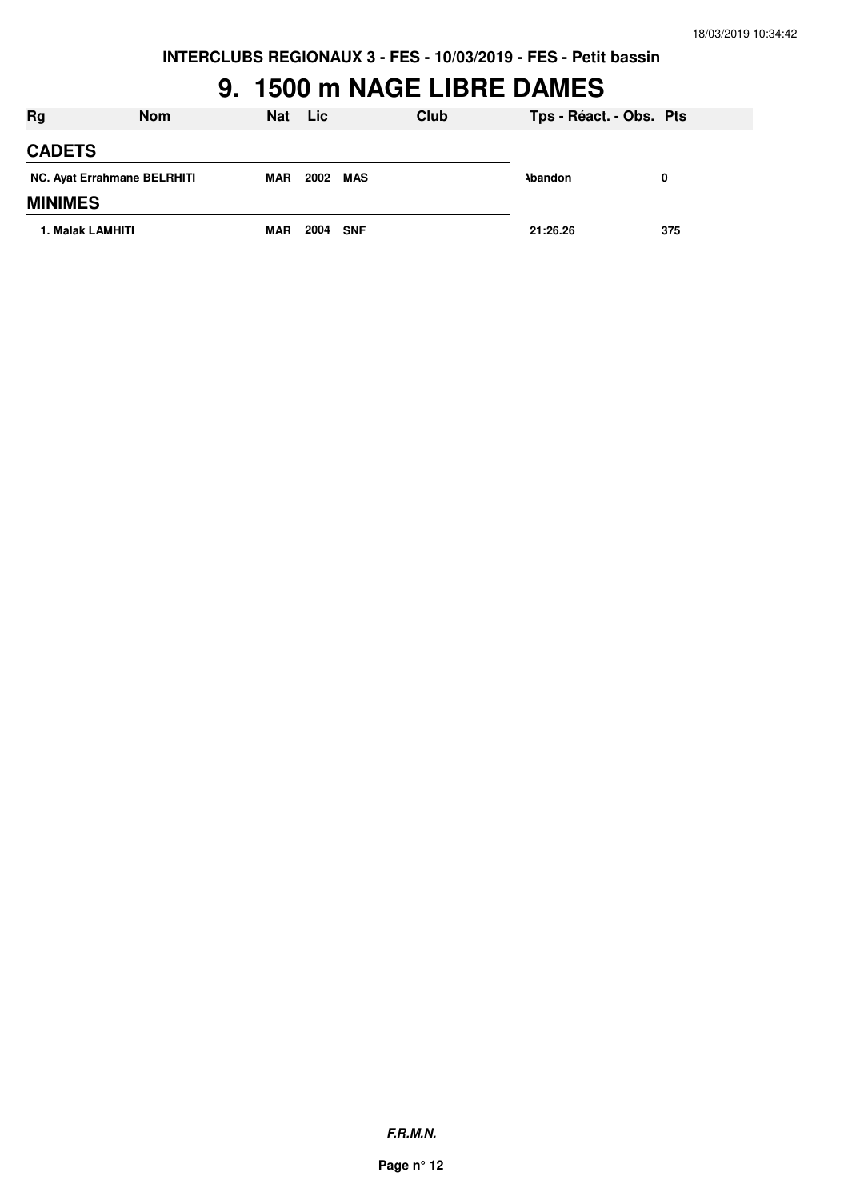#### **9. 1500 m NAGE LIBRE DAMES**

| <b>Rg</b>                   | <b>Nom</b> | <b>Nat</b> | <b>Lic</b> |            | Club | Tps - Réact. - Obs. Pts |     |
|-----------------------------|------------|------------|------------|------------|------|-------------------------|-----|
| <b>CADETS</b>               |            |            |            |            |      |                         |     |
| NC. Ayat Errahmane BELRHITI |            | <b>MAR</b> | 2002       | <b>MAS</b> |      | <b>\bandon</b>          | 0   |
| <b>MINIMES</b>              |            |            |            |            |      |                         |     |
| 1. Malak LAMHITI            |            | <b>MAR</b> | 2004       | <b>SNF</b> |      | 21:26.26                | 375 |

**F.R.M.N.**

**Page n° 12**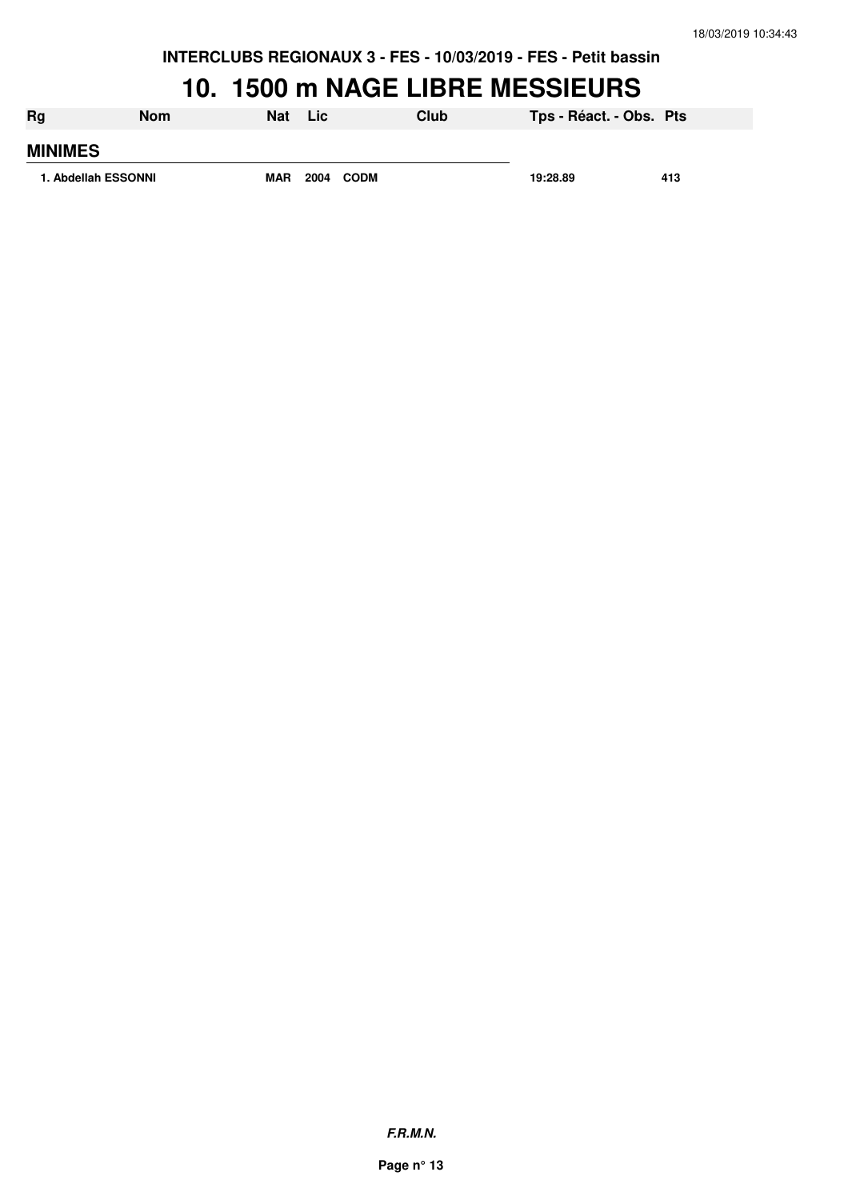## **10. 1500 m NAGE LIBRE MESSIEURS**

| Rg                  | Nom | <b>Nat</b> | Lic          | Club | Tps - Réact. - Obs. Pts |     |
|---------------------|-----|------------|--------------|------|-------------------------|-----|
| <b>MINIMES</b>      |     |            |              |      |                         |     |
| 1. Abdellah ESSONNI |     | <b>MAR</b> | 2004<br>CODM |      | 19:28.89                | 413 |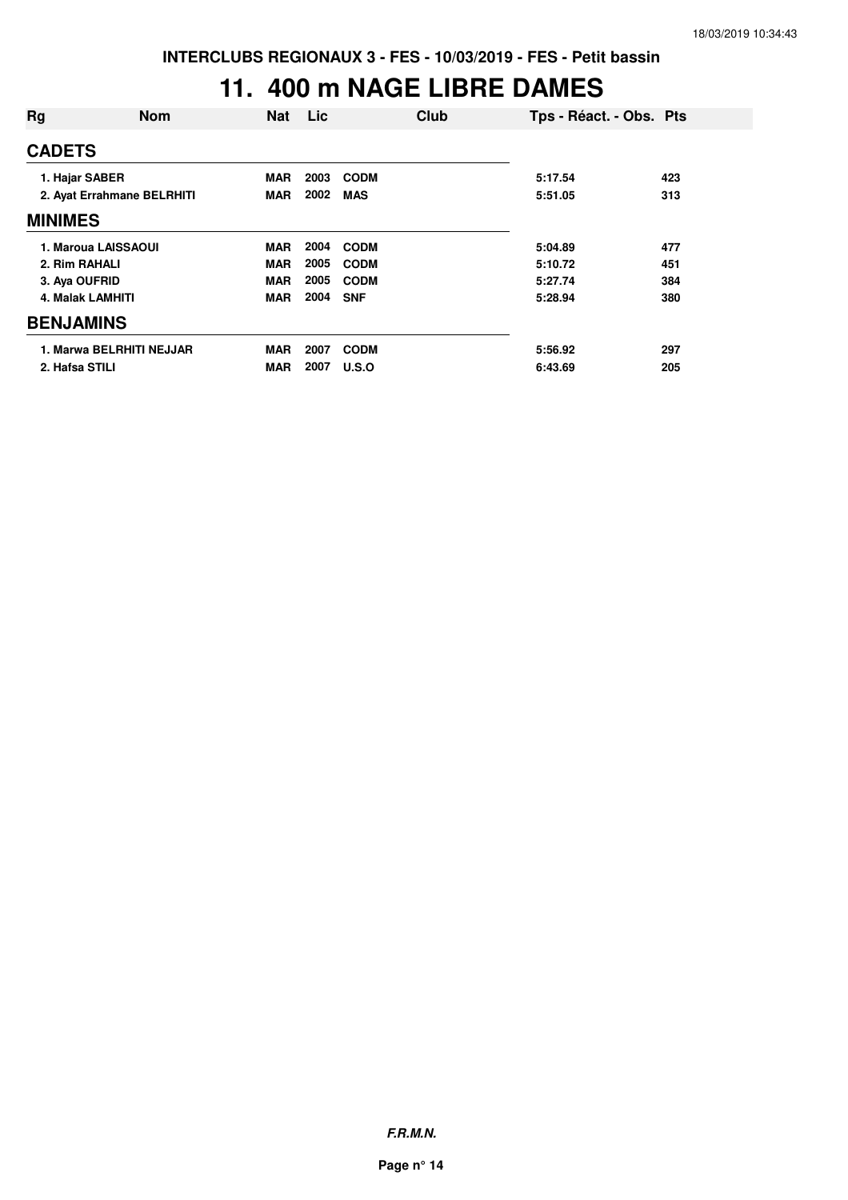#### **11. 400 m NAGE LIBRE DAMES**

| Rg                      | <b>Nom</b>                 | <b>Nat</b> | Lic  | Club        | Tps - Réact. - Obs. Pts |     |
|-------------------------|----------------------------|------------|------|-------------|-------------------------|-----|
| <b>CADETS</b>           |                            |            |      |             |                         |     |
| 1. Hajar SABER          |                            | <b>MAR</b> | 2003 | <b>CODM</b> | 5:17.54                 | 423 |
|                         | 2. Ayat Errahmane BELRHITI | MAR        | 2002 | <b>MAS</b>  | 5:51.05                 | 313 |
| <b>MINIMES</b>          |                            |            |      |             |                         |     |
|                         | 1. Maroua LAISSAOUI        | <b>MAR</b> | 2004 | <b>CODM</b> | 5:04.89                 | 477 |
| 2. Rim RAHALI           |                            | <b>MAR</b> | 2005 | <b>CODM</b> | 5:10.72                 | 451 |
| 3. Aya OUFRID           |                            | <b>MAR</b> | 2005 | <b>CODM</b> | 5:27.74                 | 384 |
| <b>4. Malak LAMHITI</b> |                            | <b>MAR</b> | 2004 | <b>SNF</b>  | 5:28.94                 | 380 |
| <b>BENJAMINS</b>        |                            |            |      |             |                         |     |
|                         | 1. Marwa BELRHITI NEJJAR   | <b>MAR</b> | 2007 | <b>CODM</b> | 5:56.92                 | 297 |
| 2. Hafsa STILI          |                            | <b>MAR</b> | 2007 | U.S.O       | 6:43.69                 | 205 |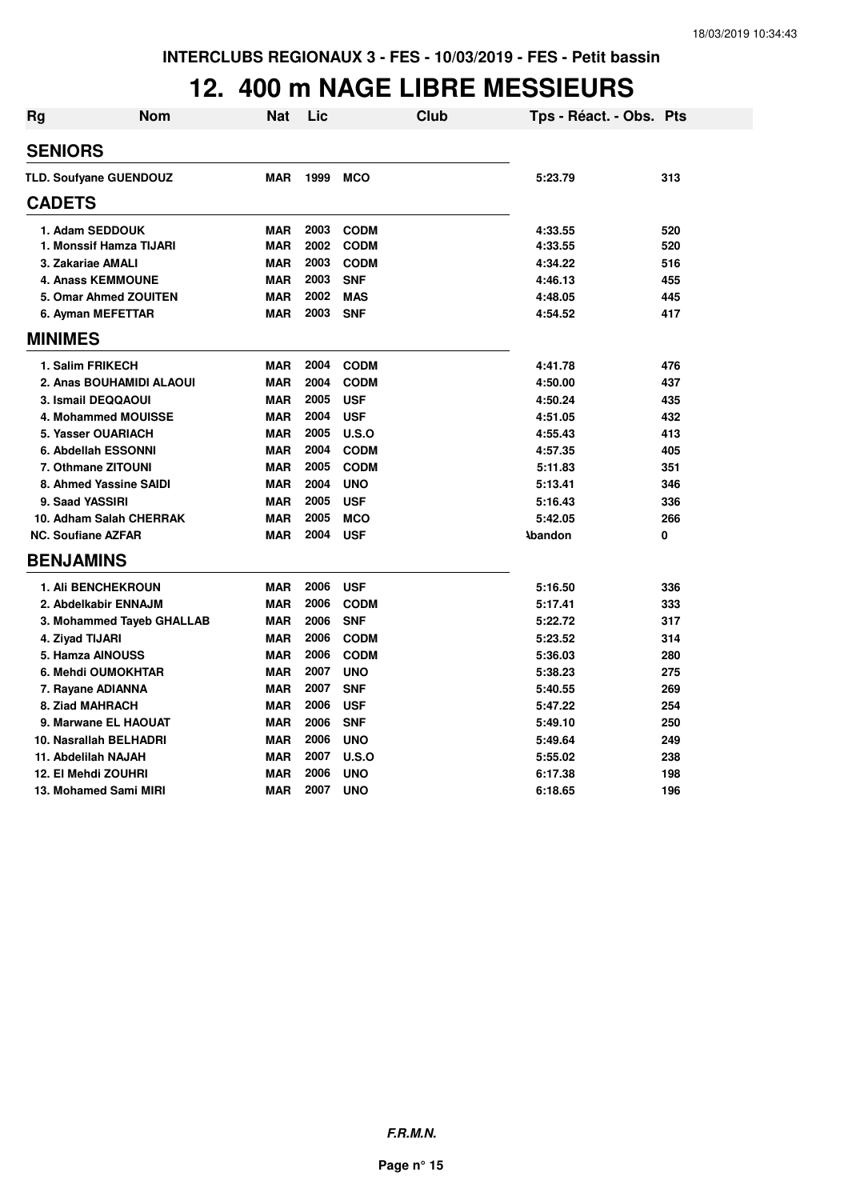#### **12. 400 m NAGE LIBRE MESSIEURS**

| Rg | Nom                           | Nat        | Lic  | Club        | Tps - Réact. - Obs. Pts |     |
|----|-------------------------------|------------|------|-------------|-------------------------|-----|
|    | <b>SENIORS</b>                |            |      |             |                         |     |
|    | <b>TLD. Soufyane GUENDOUZ</b> | <b>MAR</b> | 1999 | <b>MCO</b>  | 5:23.79                 | 313 |
|    | <b>CADETS</b>                 |            |      |             |                         |     |
|    |                               |            |      |             |                         |     |
|    | 1. Adam SEDDOUK               | <b>MAR</b> | 2003 | <b>CODM</b> | 4:33.55                 | 520 |
|    | 1. Monssif Hamza TIJARI       | <b>MAR</b> | 2002 | <b>CODM</b> | 4:33.55                 | 520 |
|    | 3. Zakariae AMALI             | <b>MAR</b> | 2003 | <b>CODM</b> | 4:34.22                 | 516 |
|    | <b>4. Anass KEMMOUNE</b>      | <b>MAR</b> | 2003 | <b>SNF</b>  | 4:46.13                 | 455 |
|    | 5. Omar Ahmed ZOUITEN         | <b>MAR</b> | 2002 | <b>MAS</b>  | 4:48.05                 | 445 |
|    | 6. Ayman MEFETTAR             | <b>MAR</b> | 2003 | <b>SNF</b>  | 4:54.52                 | 417 |
|    | <b>MINIMES</b>                |            |      |             |                         |     |
|    | 1. Salim FRIKECH              | <b>MAR</b> | 2004 | <b>CODM</b> | 4:41.78                 | 476 |
|    | 2. Anas BOUHAMIDI ALAOUI      | <b>MAR</b> | 2004 | <b>CODM</b> | 4:50.00                 | 437 |
|    | 3. Ismail DEQQAOUI            | <b>MAR</b> | 2005 | <b>USF</b>  | 4:50.24                 | 435 |
|    | 4. Mohammed MOUISSE           | <b>MAR</b> | 2004 | <b>USF</b>  | 4:51.05                 | 432 |
|    | 5. Yasser OUARIACH            | <b>MAR</b> | 2005 | U.S.O       | 4:55.43                 | 413 |
|    | 6. Abdellah ESSONNI           | <b>MAR</b> | 2004 | <b>CODM</b> | 4:57.35                 | 405 |
|    | 7. Othmane ZITOUNI            | <b>MAR</b> | 2005 | <b>CODM</b> | 5:11.83                 | 351 |
|    | 8. Ahmed Yassine SAIDI        | <b>MAR</b> | 2004 | <b>UNO</b>  | 5:13.41                 | 346 |
|    | 9. Saad YASSIRI               | <b>MAR</b> | 2005 | <b>USF</b>  | 5:16.43                 | 336 |
|    | 10. Adham Salah CHERRAK       | <b>MAR</b> | 2005 | <b>MCO</b>  | 5:42.05                 | 266 |
|    | <b>NC. Soufiane AZFAR</b>     | <b>MAR</b> | 2004 | <b>USF</b>  | <b>\bandon</b>          | 0   |
|    | <b>BENJAMINS</b>              |            |      |             |                         |     |
|    | 1. Ali BENCHEKROUN            | <b>MAR</b> | 2006 | <b>USF</b>  | 5:16.50                 | 336 |
|    | 2. Abdelkabir ENNAJM          | <b>MAR</b> | 2006 | <b>CODM</b> | 5:17.41                 | 333 |
|    | 3. Mohammed Tayeb GHALLAB     | <b>MAR</b> | 2006 | <b>SNF</b>  | 5:22.72                 | 317 |
|    | 4. Ziyad TIJARI               | <b>MAR</b> | 2006 | <b>CODM</b> | 5:23.52                 | 314 |
|    | 5. Hamza AINOUSS              | <b>MAR</b> | 2006 | <b>CODM</b> | 5:36.03                 | 280 |
|    | 6. Mehdi OUMOKHTAR            | <b>MAR</b> | 2007 | <b>UNO</b>  | 5:38.23                 | 275 |
|    | 7. Rayane ADIANNA             | <b>MAR</b> | 2007 | <b>SNF</b>  | 5:40.55                 | 269 |
|    | 8. Ziad MAHRACH               | <b>MAR</b> | 2006 | <b>USF</b>  | 5:47.22                 | 254 |
|    | 9. Marwane EL HAOUAT          | <b>MAR</b> | 2006 | <b>SNF</b>  | 5:49.10                 | 250 |
|    | 10. Nasrallah BELHADRI        | <b>MAR</b> | 2006 | <b>UNO</b>  | 5:49.64                 | 249 |
|    | 11. Abdelilah NAJAH           | <b>MAR</b> | 2007 | U.S.O       | 5:55.02                 | 238 |
|    | 12. El Mehdi ZOUHRI           | <b>MAR</b> | 2006 | <b>UNO</b>  | 6:17.38                 | 198 |
|    | 13. Mohamed Sami MIRI         | <b>MAR</b> | 2007 | <b>UNO</b>  | 6:18.65                 | 196 |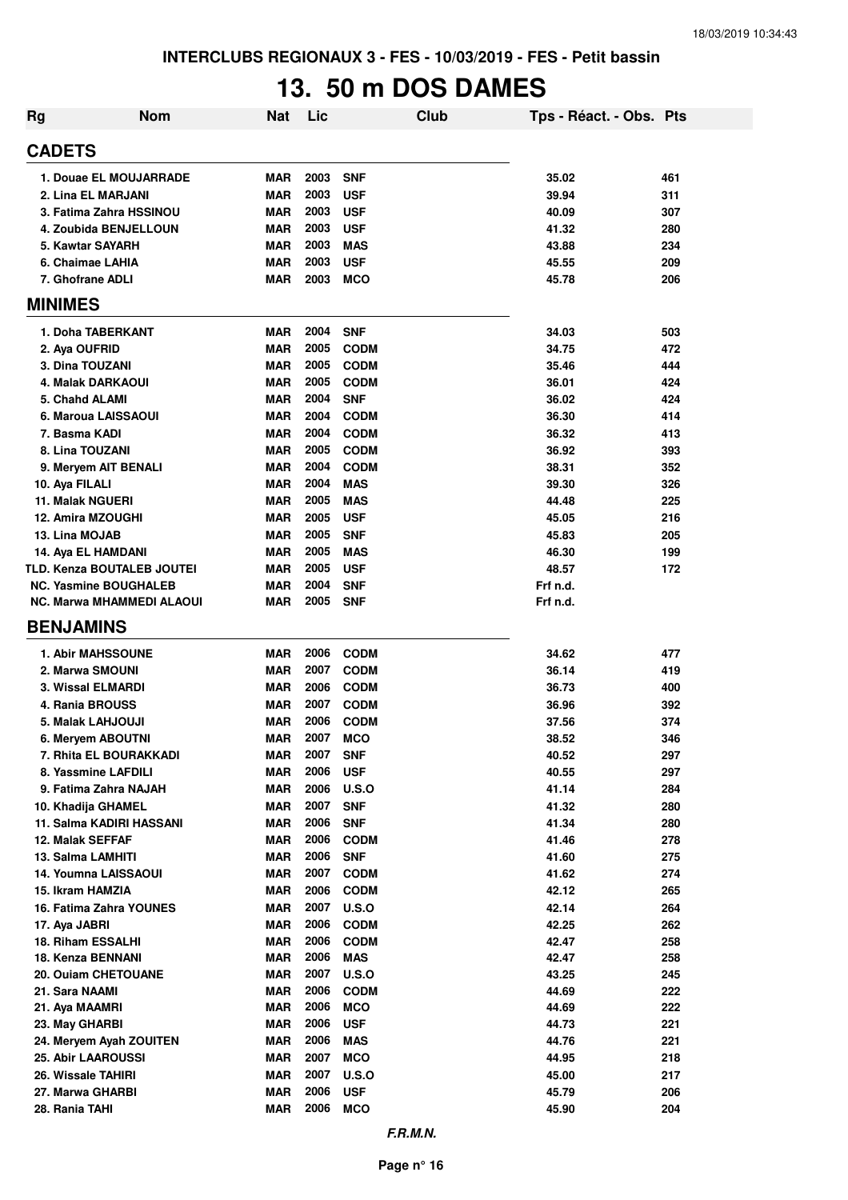# **13. 50 m DOS DAMES**

| <b>Rg</b>                        | <b>Nom</b> | <b>Nat</b> | Lic  |              | Club | Tps - Réact. - Obs. Pts |     |
|----------------------------------|------------|------------|------|--------------|------|-------------------------|-----|
| <b>CADETS</b>                    |            |            |      |              |      |                         |     |
| 1. Douae EL MOUJARRADE           |            | <b>MAR</b> | 2003 | <b>SNF</b>   |      | 35.02                   | 461 |
| 2. Lina EL MARJANI               |            | <b>MAR</b> | 2003 | <b>USF</b>   |      | 39.94                   | 311 |
| 3. Fatima Zahra HSSINOU          |            | <b>MAR</b> | 2003 | <b>USF</b>   |      | 40.09                   | 307 |
| 4. Zoubida BENJELLOUN            |            | <b>MAR</b> | 2003 | <b>USF</b>   |      | 41.32                   | 280 |
| 5. Kawtar SAYARH                 |            | <b>MAR</b> | 2003 | <b>MAS</b>   |      | 43.88                   | 234 |
| 6. Chaimae LAHIA                 |            | <b>MAR</b> | 2003 | <b>USF</b>   |      | 45.55                   | 209 |
| 7. Ghofrane ADLI                 |            | <b>MAR</b> | 2003 | <b>MCO</b>   |      | 45.78                   | 206 |
| <b>MINIMES</b>                   |            |            |      |              |      |                         |     |
| 1. Doha TABERKANT                |            | <b>MAR</b> | 2004 | <b>SNF</b>   |      | 34.03                   | 503 |
| 2. Aya OUFRID                    |            | <b>MAR</b> | 2005 | <b>CODM</b>  |      | 34.75                   | 472 |
| 3. Dina TOUZANI                  |            | <b>MAR</b> | 2005 | <b>CODM</b>  |      | 35.46                   | 444 |
| 4. Malak DARKAOUI                |            | <b>MAR</b> | 2005 | <b>CODM</b>  |      | 36.01                   | 424 |
| 5. Chahd ALAMI                   |            | <b>MAR</b> | 2004 | <b>SNF</b>   |      | 36.02                   | 424 |
| 6. Maroua LAISSAOUI              |            | <b>MAR</b> | 2004 | <b>CODM</b>  |      | 36.30                   | 414 |
| 7. Basma KADI                    |            | <b>MAR</b> | 2004 | <b>CODM</b>  |      | 36.32                   | 413 |
| 8. Lina TOUZANI                  |            | <b>MAR</b> | 2005 | <b>CODM</b>  |      | 36.92                   | 393 |
| 9. Meryem AIT BENALI             |            | <b>MAR</b> | 2004 | <b>CODM</b>  |      | 38.31                   | 352 |
| 10. Aya FILALI                   |            | <b>MAR</b> | 2004 | <b>MAS</b>   |      | 39.30                   | 326 |
| <b>11. Malak NGUERI</b>          |            | <b>MAR</b> | 2005 | <b>MAS</b>   |      | 44.48                   | 225 |
| 12. Amira MZOUGHI                |            | <b>MAR</b> | 2005 | <b>USF</b>   |      | 45.05                   | 216 |
| 13. Lina MOJAB                   |            | <b>MAR</b> | 2005 | <b>SNF</b>   |      | 45.83                   | 205 |
| 14. Aya EL HAMDANI               |            | <b>MAR</b> | 2005 | <b>MAS</b>   |      | 46.30                   | 199 |
| TLD. Kenza BOUTALEB JOUTEI       |            | <b>MAR</b> | 2005 | <b>USF</b>   |      | 48.57                   | 172 |
| <b>NC. Yasmine BOUGHALEB</b>     |            | <b>MAR</b> | 2004 | <b>SNF</b>   |      | Frf n.d.                |     |
| <b>NC. Marwa MHAMMEDI ALAOUI</b> |            | <b>MAR</b> | 2005 | <b>SNF</b>   |      | Frf n.d.                |     |
| <b>BENJAMINS</b>                 |            |            |      |              |      |                         |     |
| <b>1. Abir MAHSSOUNE</b>         |            | <b>MAR</b> | 2006 | <b>CODM</b>  |      | 34.62                   | 477 |
| 2. Marwa SMOUNI                  |            | <b>MAR</b> | 2007 | <b>CODM</b>  |      | 36.14                   | 419 |
| 3. Wissal ELMARDI                |            | <b>MAR</b> | 2006 | <b>CODM</b>  |      | 36.73                   | 400 |
| 4. Rania BROUSS                  |            | <b>MAR</b> | 2007 | <b>CODM</b>  |      | 36.96                   | 392 |
| 5. Malak LAHJOUJI                |            | <b>MAR</b> | 2006 | <b>CODM</b>  |      | 37.56                   | 374 |
| 6. Mervem ABOUTNI                |            | <b>MAR</b> | 2007 | MCO          |      | 38.52                   | 346 |
| 7. Rhita EL BOURAKKADI           |            | <b>MAR</b> | 2007 | <b>SNF</b>   |      | 40.52                   | 297 |
| 8. Yassmine LAFDILI              |            | <b>MAR</b> | 2006 | <b>USF</b>   |      | 40.55                   | 297 |
| 9. Fatima Zahra NAJAH            |            | <b>MAR</b> | 2006 | <b>U.S.O</b> |      | 41.14                   | 284 |
| 10. Khadija GHAMEL               |            | <b>MAR</b> | 2007 | <b>SNF</b>   |      | 41.32                   | 280 |
| 11. Salma KADIRI HASSANI         |            | <b>MAR</b> | 2006 | <b>SNF</b>   |      | 41.34                   | 280 |
| 12. Malak SEFFAF                 |            | <b>MAR</b> | 2006 | <b>CODM</b>  |      | 41.46                   | 278 |
| 13. Salma LAMHITI                |            | <b>MAR</b> | 2006 | <b>SNF</b>   |      | 41.60                   | 275 |
| 14. Youmna LAISSAOUI             |            | <b>MAR</b> | 2007 | <b>CODM</b>  |      | 41.62                   | 274 |
| 15. Ikram HAMZIA                 |            | <b>MAR</b> | 2006 | <b>CODM</b>  |      | 42.12                   | 265 |
| 16. Fatima Zahra YOUNES          |            | MAR        | 2007 | U.S.O        |      | 42.14                   | 264 |
| 17. Aya JABRI                    |            | <b>MAR</b> | 2006 | <b>CODM</b>  |      | 42.25                   | 262 |
| 18. Riham ESSALHI                |            | <b>MAR</b> | 2006 | <b>CODM</b>  |      | 42.47                   | 258 |
| 18. Kenza BENNANI                |            | <b>MAR</b> | 2006 | MAS          |      | 42.47                   | 258 |
| 20. Ouiam CHETOUANE              |            | <b>MAR</b> | 2007 | <b>U.S.O</b> |      | 43.25                   | 245 |
| 21. Sara NAAMI                   |            | <b>MAR</b> | 2006 | <b>CODM</b>  |      | 44.69                   | 222 |
| 21. Aya MAAMRI                   |            | <b>MAR</b> | 2006 | <b>MCO</b>   |      | 44.69                   | 222 |
| 23. May GHARBI                   |            | <b>MAR</b> | 2006 | <b>USF</b>   |      | 44.73                   | 221 |
| 24. Meryem Ayah ZOUITEN          |            | <b>MAR</b> | 2006 | <b>MAS</b>   |      | 44.76                   | 221 |
| <b>25. Abir LAAROUSSI</b>        |            | <b>MAR</b> | 2007 | <b>MCO</b>   |      | 44.95                   | 218 |
| 26. Wissale TAHIRI               |            | <b>MAR</b> | 2007 | U.S.O        |      | 45.00                   | 217 |
| 27. Marwa GHARBI                 |            | <b>MAR</b> | 2006 | <b>USF</b>   |      | 45.79                   | 206 |
| 28. Rania TAHI                   |            | MAR        | 2006 | <b>MCO</b>   |      | 45.90                   | 204 |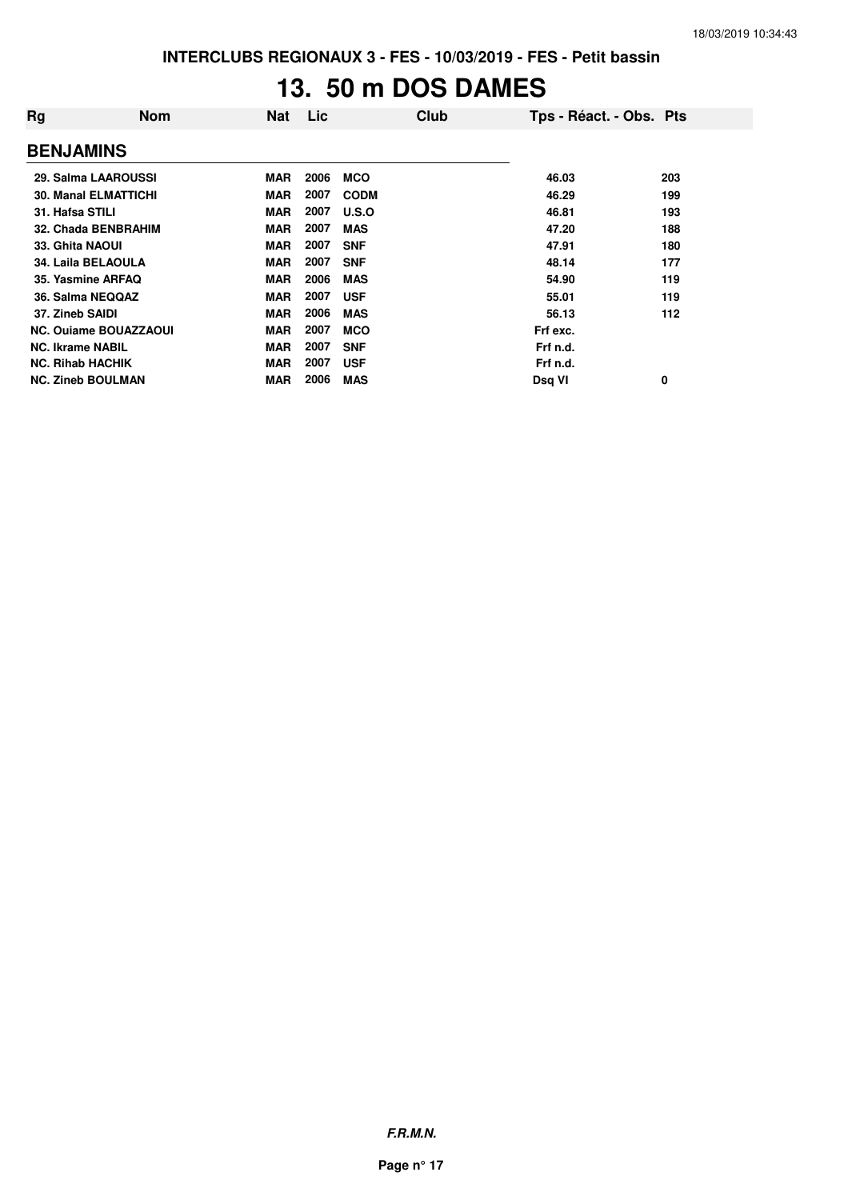# **13. 50 m DOS DAMES**

| Rg                           | <b>Nom</b> | <b>Nat</b> | Lic  | Club        | Tps - Réact. - Obs. Pts |     |
|------------------------------|------------|------------|------|-------------|-------------------------|-----|
| <b>BENJAMINS</b>             |            |            |      |             |                         |     |
| 29. Salma LAAROUSSI          |            | <b>MAR</b> | 2006 | <b>MCO</b>  | 46.03                   | 203 |
| <b>30. Manal ELMATTICHI</b>  |            | <b>MAR</b> | 2007 | <b>CODM</b> | 46.29                   | 199 |
| 31. Hafsa STILI              |            | <b>MAR</b> | 2007 | U.S.O       | 46.81                   | 193 |
| 32. Chada BENBRAHIM          |            | <b>MAR</b> | 2007 | <b>MAS</b>  | 47.20                   | 188 |
| 33. Ghita NAOUI              |            | <b>MAR</b> | 2007 | <b>SNF</b>  | 47.91                   | 180 |
| 34. Laila BELAOULA           |            | <b>MAR</b> | 2007 | <b>SNF</b>  | 48.14                   | 177 |
| 35. Yasmine ARFAQ            |            | <b>MAR</b> | 2006 | <b>MAS</b>  | 54.90                   | 119 |
| 36. Salma NEQQAZ             |            | <b>MAR</b> | 2007 | <b>USF</b>  | 55.01                   | 119 |
| 37. Zineb SAIDI              |            | <b>MAR</b> | 2006 | <b>MAS</b>  | 56.13                   | 112 |
| <b>NC. Ouiame BOUAZZAOUI</b> |            | <b>MAR</b> | 2007 | <b>MCO</b>  | Frf exc.                |     |
| <b>NC. Ikrame NABIL</b>      |            | <b>MAR</b> | 2007 | <b>SNF</b>  | Frf n.d.                |     |
| <b>NC. Rihab HACHIK</b>      |            | <b>MAR</b> | 2007 | <b>USF</b>  | Frf n.d.                |     |
| <b>NC. Zineb BOULMAN</b>     |            | <b>MAR</b> | 2006 | <b>MAS</b>  | Dsq VI                  | 0   |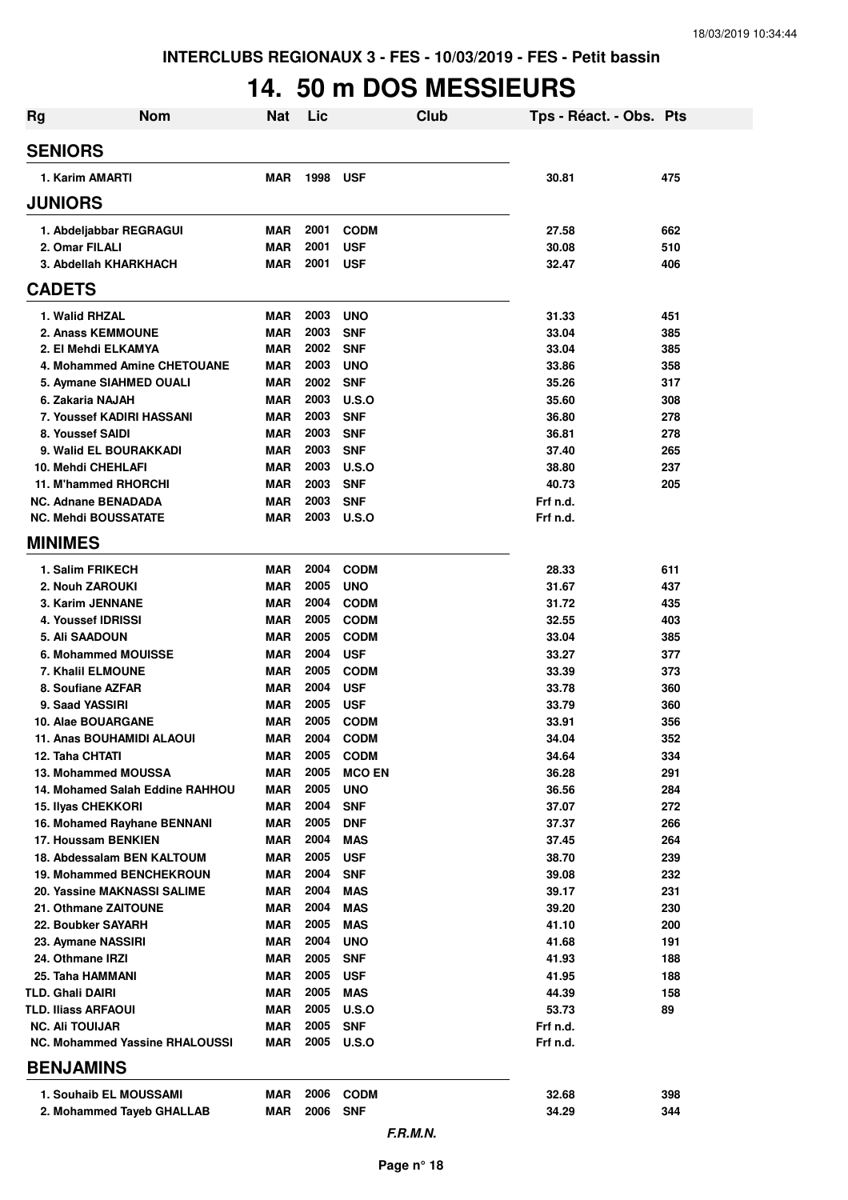# **14. 50 m DOS MESSIEURS**

| <b>Rg</b>     | <b>Nom</b>                                           | <b>Nat</b>        | Lic          | <b>Club</b>                | Tps - Réact. - Obs. Pts |     |
|---------------|------------------------------------------------------|-------------------|--------------|----------------------------|-------------------------|-----|
|               | <b>SENIORS</b>                                       |                   |              |                            |                         |     |
|               | 1. Karim AMARTI                                      | <b>MAR</b>        | 1998         | <b>USF</b>                 | 30.81                   | 475 |
|               | <b>JUNIORS</b>                                       |                   |              |                            |                         |     |
|               | 1. Abdeljabbar REGRAGUI                              | <b>MAR</b>        | 2001         | <b>CODM</b>                | 27.58                   | 662 |
|               | 2. Omar FILALI                                       | <b>MAR</b>        | 2001         | <b>USF</b>                 | 30.08                   | 510 |
|               | 3. Abdellah KHARKHACH                                | <b>MAR</b>        | 2001         | <b>USF</b>                 | 32.47                   | 406 |
| <b>CADETS</b> |                                                      |                   |              |                            |                         |     |
|               | 1. Walid RHZAL                                       | MAR               | 2003         | <b>UNO</b>                 | 31.33                   | 451 |
|               | 2. Anass KEMMOUNE                                    | <b>MAR</b>        | 2003         | <b>SNF</b>                 | 33.04                   | 385 |
|               | 2. El Mehdi ELKAMYA                                  | <b>MAR</b>        | 2002         | <b>SNF</b>                 | 33.04                   | 385 |
|               | 4. Mohammed Amine CHETOUANE                          | <b>MAR</b>        | 2003         | <b>UNO</b>                 | 33.86                   | 358 |
|               | 5. Aymane SIAHMED OUALI                              | <b>MAR</b>        | 2002         | <b>SNF</b>                 | 35.26                   | 317 |
|               | 6. Zakaria NAJAH                                     | <b>MAR</b>        | 2003         | <b>U.S.O</b>               | 35.60                   | 308 |
|               | 7. Youssef KADIRI HASSANI                            | <b>MAR</b>        | 2003         | <b>SNF</b>                 | 36.80                   | 278 |
|               | 8. Youssef SAIDI                                     | <b>MAR</b>        | 2003         | <b>SNF</b>                 | 36.81                   | 278 |
|               | 9. Walid EL BOURAKKADI                               | <b>MAR</b>        | 2003         | <b>SNF</b>                 | 37.40                   | 265 |
|               | 10. Mehdi CHEHLAFI                                   | <b>MAR</b>        | 2003         | U.S.O                      | 38.80                   | 237 |
|               | 11. M'hammed RHORCHI                                 | <b>MAR</b>        | 2003         | <b>SNF</b>                 | 40.73                   | 205 |
|               | <b>NC. Adnane BENADADA</b>                           | <b>MAR</b>        | 2003         | <b>SNF</b>                 | Frf n.d.                |     |
|               | <b>NC. Mehdi BOUSSATATE</b>                          | <b>MAR</b>        | 2003         | U.S.O                      | Frf n.d.                |     |
|               | <b>MINIMES</b>                                       |                   |              |                            |                         |     |
|               | 1. Salim FRIKECH                                     | <b>MAR</b>        | 2004         | <b>CODM</b>                | 28.33                   | 611 |
|               | 2. Nouh ZAROUKI                                      | <b>MAR</b>        | 2005         | <b>UNO</b>                 | 31.67                   | 437 |
|               | 3. Karim JENNANE                                     | <b>MAR</b>        | 2004         | <b>CODM</b>                | 31.72                   | 435 |
|               | 4. Youssef IDRISSI                                   | <b>MAR</b>        | 2005         | <b>CODM</b>                | 32.55                   | 403 |
|               | 5. Ali SAADOUN                                       | <b>MAR</b>        | 2005         | <b>CODM</b>                | 33.04                   | 385 |
|               | 6. Mohammed MOUISSE                                  | <b>MAR</b>        | 2004         | <b>USF</b>                 | 33.27                   | 377 |
|               | 7. Khalil ELMOUNE                                    | <b>MAR</b>        | 2005         | <b>CODM</b>                | 33.39                   | 373 |
|               | 8. Soufiane AZFAR                                    | <b>MAR</b>        | 2004         | <b>USF</b>                 | 33.78                   | 360 |
|               | 9. Saad YASSIRI                                      | <b>MAR</b>        | 2005         | <b>USF</b>                 | 33.79                   | 360 |
|               | 10. Alae BOUARGANE                                   | <b>MAR</b>        | 2005         | <b>CODM</b>                | 33.91                   | 356 |
|               | <b>11. Anas BOUHAMIDI ALAOUI</b>                     | MAR               | 2004         | <b>CODM</b>                | 34.04                   | 352 |
|               | 12. Taha CHTATI                                      | <b>MAR</b>        | 2005         | <b>CODM</b>                | 34.64                   | 334 |
|               | 13. Mohammed MOUSSA                                  | <b>MAR</b>        | 2005         | <b>MCO EN</b>              | 36.28                   | 291 |
|               | 14. Mohamed Salah Eddine RAHHOU                      | <b>MAR</b>        | 2005         | <b>UNO</b>                 | 36.56                   | 284 |
|               | <b>15. Ilyas CHEKKORI</b>                            | <b>MAR</b>        | 2004         | <b>SNF</b>                 | 37.07                   | 272 |
|               | 16. Mohamed Rayhane BENNANI                          | MAR               | 2005         | <b>DNF</b>                 | 37.37                   | 266 |
|               | 17. Houssam BENKIEN                                  | MAR               | 2004         | <b>MAS</b>                 | 37.45                   | 264 |
|               | 18. Abdessalam BEN KALTOUM                           | MAR               | 2005         | <b>USF</b>                 | 38.70                   | 239 |
|               | <b>19. Mohammed BENCHEKROUN</b>                      | <b>MAR</b>        | 2004         | <b>SNF</b>                 | 39.08                   | 232 |
|               | 20. Yassine MAKNASSI SALIME                          | MAR               | 2004         | <b>MAS</b>                 | 39.17                   | 231 |
|               | 21. Othmane ZAITOUNE                                 | <b>MAR</b>        | 2004         | <b>MAS</b>                 | 39.20                   | 230 |
|               | 22. Boubker SAYARH                                   | MAR               | 2005         | <b>MAS</b>                 | 41.10                   | 200 |
|               | 23. Aymane NASSIRI                                   | MAR               | 2004<br>2005 | <b>UNO</b>                 | 41.68                   | 191 |
|               | 24. Othmane IRZI                                     | MAR               |              | <b>SNF</b>                 | 41.93                   | 188 |
|               | 25. Taha HAMMANI                                     | <b>MAR</b>        | 2005         | <b>USF</b>                 | 41.95                   | 188 |
|               | TLD. Ghali DAIRI                                     | MAR               | 2005<br>2005 | <b>MAS</b>                 | 44.39                   | 158 |
|               | <b>TLD. Iliass ARFAOUI</b><br><b>NC. Ali TOUIJAR</b> | MAR               | 2005         | <b>U.S.O</b><br><b>SNF</b> | 53.73                   | 89  |
|               | <b>NC. Mohammed Yassine RHALOUSSI</b>                | MAR<br><b>MAR</b> | 2005         | <b>U.S.O</b>               | Frf n.d.<br>Frf n.d.    |     |
|               |                                                      |                   |              |                            |                         |     |
|               | <b>BENJAMINS</b>                                     |                   |              |                            |                         |     |
|               | 1. Souhaib EL MOUSSAMI                               | MAR               | 2006         | <b>CODM</b>                | 32.68                   | 398 |
|               | 2. Mohammed Tayeb GHALLAB                            | MAR               | 2006         | <b>SNF</b>                 | 34.29                   | 344 |
|               |                                                      |                   |              | F.R.M.N.                   |                         |     |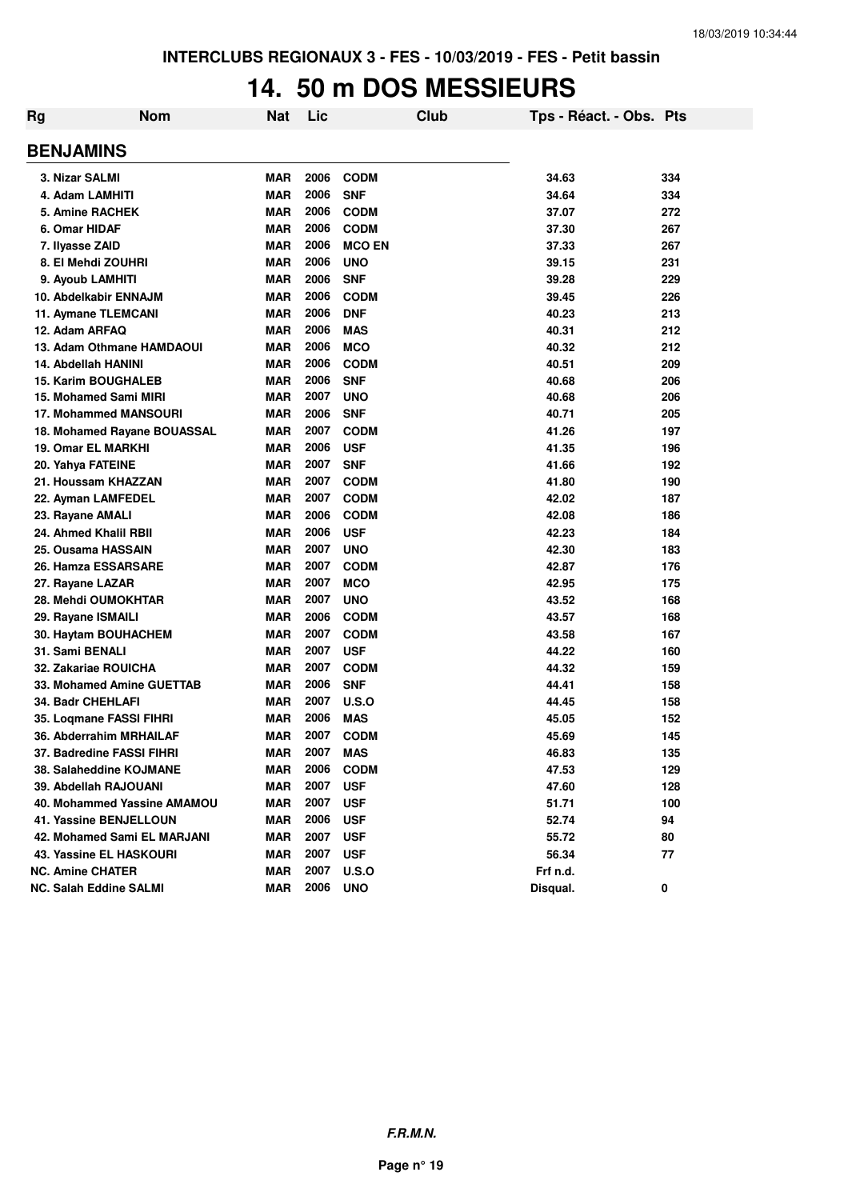## **14. 50 m DOS MESSIEURS**

| Rg | <b>Nom</b>                    | <b>Nat</b> | Lic  | Club          | Tps - Réact. - Obs. Pts |     |
|----|-------------------------------|------------|------|---------------|-------------------------|-----|
|    | <b>BENJAMINS</b>              |            |      |               |                         |     |
|    | 3. Nizar SALMI                | MAR        | 2006 | <b>CODM</b>   | 34.63                   | 334 |
|    | 4. Adam LAMHITI               | <b>MAR</b> | 2006 | <b>SNF</b>    | 34.64                   | 334 |
|    | 5. Amine RACHEK               | <b>MAR</b> | 2006 | <b>CODM</b>   | 37.07                   | 272 |
|    | 6. Omar HIDAF                 | <b>MAR</b> | 2006 | <b>CODM</b>   | 37.30                   | 267 |
|    | 7. Ilyasse ZAID               | <b>MAR</b> | 2006 | <b>MCO EN</b> | 37.33                   | 267 |
|    | 8. El Mehdi ZOUHRI            | <b>MAR</b> | 2006 | <b>UNO</b>    | 39.15                   | 231 |
|    | 9. Ayoub LAMHITI              | <b>MAR</b> | 2006 | <b>SNF</b>    | 39.28                   | 229 |
|    | 10. Abdelkabir ENNAJM         | <b>MAR</b> | 2006 | <b>CODM</b>   | 39.45                   | 226 |
|    | 11. Aymane TLEMCANI           | <b>MAR</b> | 2006 | <b>DNF</b>    | 40.23                   | 213 |
|    | 12. Adam ARFAQ                | <b>MAR</b> | 2006 | <b>MAS</b>    | 40.31                   | 212 |
|    | 13. Adam Othmane HAMDAOUI     | <b>MAR</b> | 2006 | <b>MCO</b>    | 40.32                   | 212 |
|    | 14. Abdellah HANINI           | <b>MAR</b> | 2006 | <b>CODM</b>   | 40.51                   | 209 |
|    | <b>15. Karim BOUGHALEB</b>    | <b>MAR</b> | 2006 | <b>SNF</b>    | 40.68                   | 206 |
|    | 15. Mohamed Sami MIRI         | <b>MAR</b> | 2007 | <b>UNO</b>    | 40.68                   | 206 |
|    | 17. Mohammed MANSOURI         | <b>MAR</b> | 2006 | <b>SNF</b>    | 40.71                   | 205 |
|    | 18. Mohamed Rayane BOUASSAL   | <b>MAR</b> | 2007 | <b>CODM</b>   | 41.26                   | 197 |
|    | 19. Omar EL MARKHI            | <b>MAR</b> | 2006 | <b>USF</b>    | 41.35                   | 196 |
|    | 20. Yahya FATEINE             | <b>MAR</b> | 2007 | <b>SNF</b>    | 41.66                   | 192 |
|    | 21. Houssam KHAZZAN           | <b>MAR</b> | 2007 | <b>CODM</b>   | 41.80                   | 190 |
|    | 22. Ayman LAMFEDEL            | <b>MAR</b> | 2007 | <b>CODM</b>   | 42.02                   | 187 |
|    | 23. Rayane AMALI              | <b>MAR</b> | 2006 | <b>CODM</b>   | 42.08                   | 186 |
|    | 24. Ahmed Khalil RBII         | <b>MAR</b> | 2006 | <b>USF</b>    | 42.23                   | 184 |
|    | 25. Ousama HASSAIN            | <b>MAR</b> | 2007 | <b>UNO</b>    | 42.30                   | 183 |
|    | 26. Hamza ESSARSARE           | <b>MAR</b> | 2007 | <b>CODM</b>   | 42.87                   | 176 |
|    | 27. Rayane LAZAR              | <b>MAR</b> | 2007 | <b>MCO</b>    | 42.95                   | 175 |
|    | 28. Mehdi OUMOKHTAR           | <b>MAR</b> | 2007 | <b>UNO</b>    | 43.52                   | 168 |
|    | 29. Rayane ISMAILI            | <b>MAR</b> | 2006 | <b>CODM</b>   | 43.57                   | 168 |
|    | 30. Haytam BOUHACHEM          | <b>MAR</b> | 2007 | <b>CODM</b>   | 43.58                   | 167 |
|    | 31. Sami BENALI               | <b>MAR</b> | 2007 | <b>USF</b>    | 44.22                   | 160 |
|    | 32. Zakariae ROUICHA          | <b>MAR</b> | 2007 | <b>CODM</b>   | 44.32                   | 159 |
|    | 33. Mohamed Amine GUETTAB     | <b>MAR</b> | 2006 | <b>SNF</b>    | 44.41                   | 158 |
|    | <b>34. Badr CHEHLAFI</b>      | <b>MAR</b> | 2007 | <b>U.S.O</b>  | 44.45                   | 158 |
|    | 35. Logmane FASSI FIHRI       | <b>MAR</b> | 2006 | <b>MAS</b>    | 45.05                   | 152 |
|    | 36. Abderrahim MRHAILAF       | <b>MAR</b> | 2007 | <b>CODM</b>   | 45.69                   | 145 |
|    | 37. Badredine FASSI FIHRI     | <b>MAR</b> | 2007 | <b>MAS</b>    | 46.83                   | 135 |
|    | 38. Salaheddine KOJMANE       | <b>MAR</b> | 2006 | <b>CODM</b>   | 47.53                   | 129 |
|    | 39. Abdellah RAJOUANI         | <b>MAR</b> | 2007 | <b>USF</b>    | 47.60                   | 128 |
|    | 40. Mohammed Yassine AMAMOU   | <b>MAR</b> | 2007 | <b>USF</b>    | 51.71                   | 100 |
|    | 41. Yassine BENJELLOUN        | <b>MAR</b> | 2006 | <b>USF</b>    | 52.74                   | 94  |
|    | 42. Mohamed Sami EL MARJANI   | <b>MAR</b> | 2007 | <b>USF</b>    | 55.72                   | 80  |
|    | 43. Yassine EL HASKOURI       | <b>MAR</b> | 2007 | <b>USF</b>    | 56.34                   | 77  |
|    | <b>NC. Amine CHATER</b>       | <b>MAR</b> | 2007 | U.S.O         | Frf n.d.                |     |
|    | <b>NC. Salah Eddine SALMI</b> | <b>MAR</b> | 2006 | <b>UNO</b>    | Disqual.                | 0   |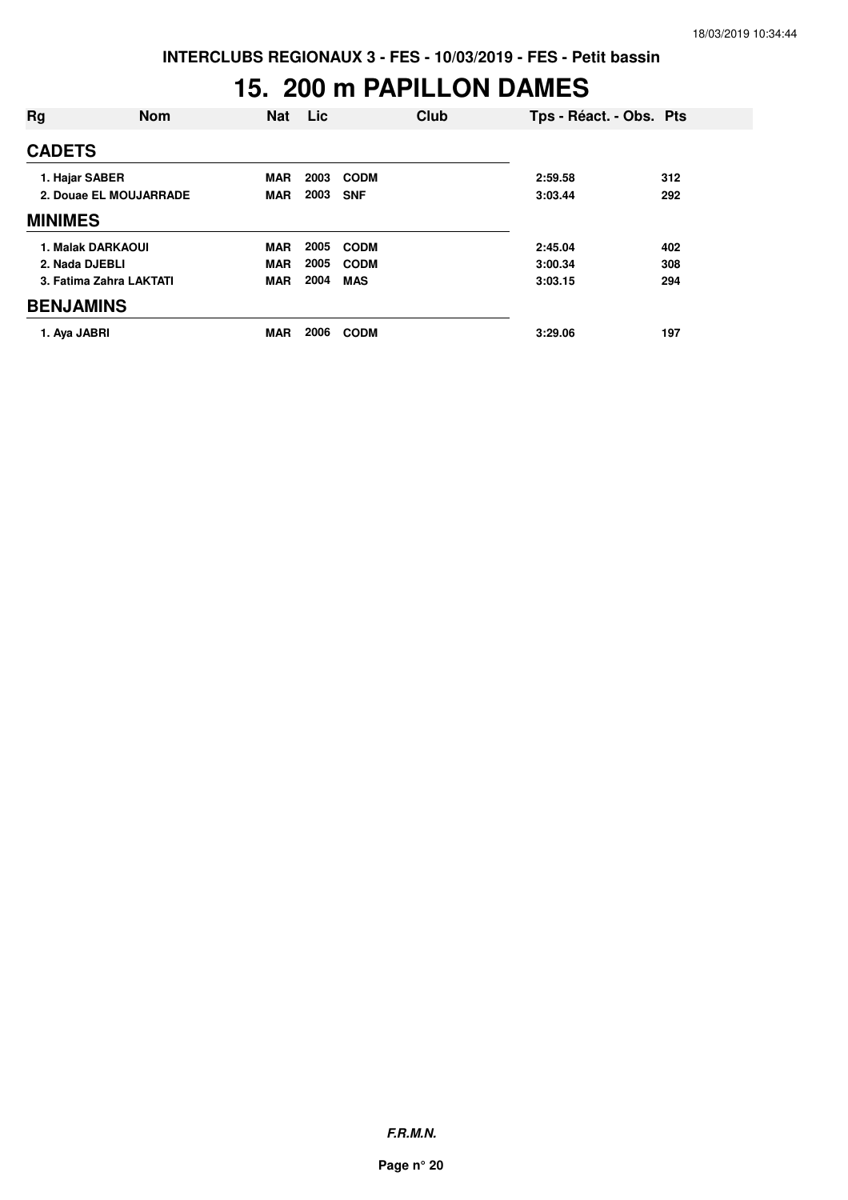## **15. 200 m PAPILLON DAMES**

| Rg               | <b>Nom</b>              | <b>Nat</b> | Lic  | Club        | Tps - Réact. - Obs. Pts |     |
|------------------|-------------------------|------------|------|-------------|-------------------------|-----|
| <b>CADETS</b>    |                         |            |      |             |                         |     |
| 1. Hajar SABER   |                         | <b>MAR</b> | 2003 | <b>CODM</b> | 2:59.58                 | 312 |
|                  | 2. Douae EL MOUJARRADE  | <b>MAR</b> | 2003 | <b>SNF</b>  | 3:03.44                 | 292 |
| <b>MINIMES</b>   |                         |            |      |             |                         |     |
|                  | 1. Malak DARKAOUI       | <b>MAR</b> | 2005 | <b>CODM</b> | 2:45.04                 | 402 |
| 2. Nada DJEBLI   |                         | <b>MAR</b> | 2005 | <b>CODM</b> | 3:00.34                 | 308 |
|                  | 3. Fatima Zahra LAKTATI | <b>MAR</b> | 2004 | <b>MAS</b>  | 3:03.15                 | 294 |
| <b>BENJAMINS</b> |                         |            |      |             |                         |     |
| 1. Aya JABRI     |                         | <b>MAR</b> | 2006 | <b>CODM</b> | 3:29.06                 | 197 |

**F.R.M.N.**

**Page n° 20**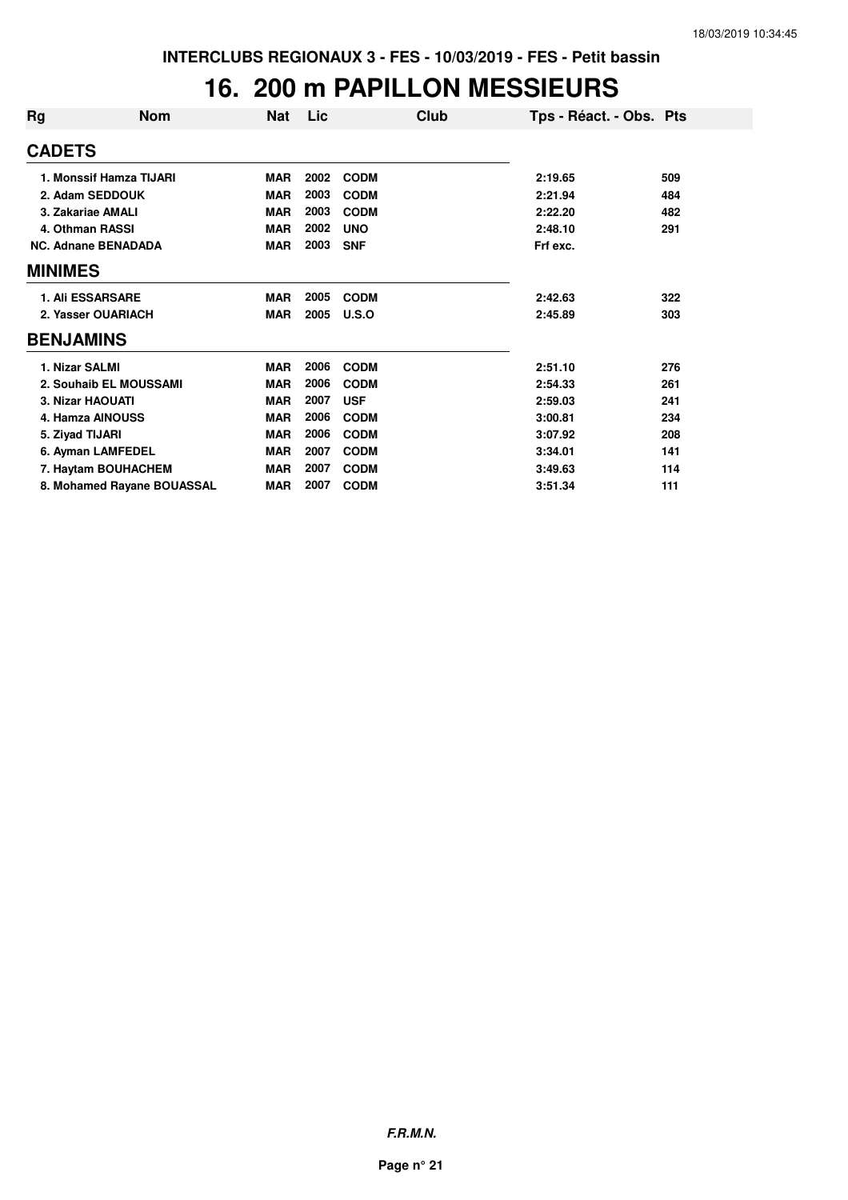#### **16. 200 m PAPILLON MESSIEURS**

| <b>Rg</b>     | <b>Nom</b>                 | <b>Nat</b> | Lic. | Club        | Tps - Réact. - Obs. Pts |     |
|---------------|----------------------------|------------|------|-------------|-------------------------|-----|
| <b>CADETS</b> |                            |            |      |             |                         |     |
|               | 1. Monssif Hamza TIJARI    | <b>MAR</b> | 2002 | <b>CODM</b> | 2:19.65                 | 509 |
|               | 2. Adam SEDDOUK            | <b>MAR</b> | 2003 | <b>CODM</b> | 2:21.94                 | 484 |
|               | 3. Zakariae AMALI          | <b>MAR</b> | 2003 | <b>CODM</b> | 2:22.20                 | 482 |
|               | 4. Othman RASSI            | <b>MAR</b> | 2002 | <b>UNO</b>  | 2:48.10                 | 291 |
|               | <b>NC. Adnane BENADADA</b> | <b>MAR</b> | 2003 | <b>SNF</b>  | Frf exc.                |     |
|               | <b>MINIMES</b>             |            |      |             |                         |     |
|               | <b>1. Ali ESSARSARE</b>    | <b>MAR</b> | 2005 | <b>CODM</b> | 2:42.63                 | 322 |
|               | 2. Yasser OUARIACH         | <b>MAR</b> | 2005 | U.S.O       | 2:45.89                 | 303 |
|               | <b>BENJAMINS</b>           |            |      |             |                         |     |
|               | 1. Nizar SALMI             | <b>MAR</b> | 2006 | <b>CODM</b> | 2:51.10                 | 276 |
|               | 2. Souhaib EL MOUSSAMI     | <b>MAR</b> | 2006 | <b>CODM</b> | 2:54.33                 | 261 |
|               | 3. Nizar HAOUATI           | <b>MAR</b> | 2007 | <b>USF</b>  | 2:59.03                 | 241 |
|               | 4. Hamza AINOUSS           | <b>MAR</b> | 2006 | <b>CODM</b> | 3:00.81                 | 234 |
|               | 5. Ziyad TIJARI            | <b>MAR</b> | 2006 | <b>CODM</b> | 3:07.92                 | 208 |
|               | 6. Ayman LAMFEDEL          | <b>MAR</b> | 2007 | <b>CODM</b> | 3:34.01                 | 141 |
|               | 7. Haytam BOUHACHEM        | <b>MAR</b> | 2007 | <b>CODM</b> | 3:49.63                 | 114 |
|               | 8. Mohamed Rayane BOUASSAL | <b>MAR</b> | 2007 | <b>CODM</b> | 3:51.34                 | 111 |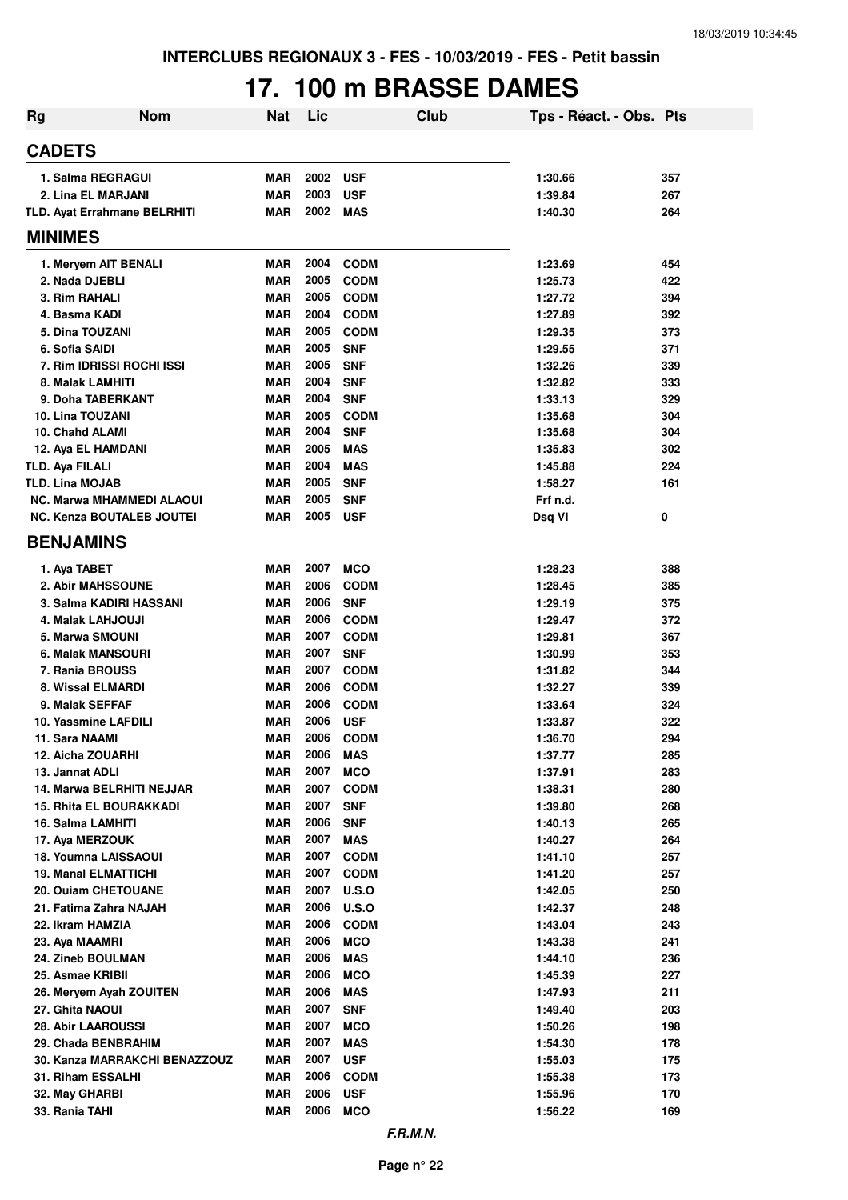## **17. 100 m BRASSE DAMES**

| <b>Rg</b>                                        | <b>Nom</b>                       | <b>Nat</b>               | Lic          | <b>Club</b>               | Tps - Réact. - Obs. Pts |            |
|--------------------------------------------------|----------------------------------|--------------------------|--------------|---------------------------|-------------------------|------------|
| <b>CADETS</b>                                    |                                  |                          |              |                           |                         |            |
|                                                  | 1. Salma REGRAGUI                | <b>MAR</b>               | 2002         | <b>USF</b>                | 1:30.66                 | 357        |
|                                                  | 2. Lina EL MARJANI               | <b>MAR</b>               | 2003         | <b>USF</b>                | 1:39.84                 | 267        |
|                                                  | TLD. Ayat Errahmane BELRHITI     | <b>MAR</b>               | 2002         | <b>MAS</b>                | 1:40.30                 | 264        |
| <b>MINIMES</b>                                   |                                  |                          |              |                           |                         |            |
|                                                  | 1. Meryem AIT BENALI             | <b>MAR</b>               | 2004         | <b>CODM</b>               | 1:23.69                 | 454        |
| 2. Nada DJEBLI                                   |                                  | <b>MAR</b>               | 2005         | <b>CODM</b>               | 1:25.73                 | 422        |
| 3. Rim RAHALI                                    |                                  | <b>MAR</b>               | 2005         | <b>CODM</b>               | 1:27.72                 | 394        |
| 4. Basma KADI                                    |                                  | <b>MAR</b>               | 2004         | <b>CODM</b>               | 1:27.89                 | 392        |
|                                                  | 5. Dina TOUZANI                  | <b>MAR</b>               | 2005         | <b>CODM</b>               | 1:29.35                 | 373        |
| 6. Sofia SAIDI                                   |                                  | <b>MAR</b>               | 2005         | <b>SNF</b>                | 1:29.55                 | 371        |
|                                                  | 7. Rim IDRISSI ROCHI ISSI        | <b>MAR</b>               | 2005         | <b>SNF</b>                | 1:32.26                 | 339        |
|                                                  | 8. Malak LAMHITI                 | <b>MAR</b>               | 2004         | <b>SNF</b>                | 1:32.82                 | 333        |
|                                                  | 9. Doha TABERKANT                | <b>MAR</b>               | 2004         | <b>SNF</b>                | 1:33.13                 | 329        |
| 10. Lina TOUZANI                                 |                                  | <b>MAR</b>               | 2005         | <b>CODM</b>               | 1:35.68                 | 304        |
| 10. Chahd ALAMI                                  |                                  | <b>MAR</b>               | 2004         | <b>SNF</b>                | 1:35.68                 | 304        |
|                                                  | 12. Aya EL HAMDANI               | <b>MAR</b>               | 2005<br>2004 | <b>MAS</b>                | 1:35.83                 | 302        |
| <b>TLD. Aya FILALI</b><br><b>TLD. Lina MOJAB</b> |                                  | <b>MAR</b><br><b>MAR</b> | 2005         | <b>MAS</b><br><b>SNF</b>  | 1:45.88<br>1:58.27      | 224<br>161 |
|                                                  | <b>NC. Marwa MHAMMEDI ALAOUI</b> | <b>MAR</b>               | 2005         | <b>SNF</b>                | Frf n.d.                |            |
|                                                  | <b>NC. Kenza BOUTALEB JOUTEI</b> | <b>MAR</b>               | 2005         | <b>USF</b>                | Dsq VI                  | 0          |
| <b>BENJAMINS</b>                                 |                                  |                          |              |                           |                         |            |
|                                                  |                                  |                          |              |                           |                         |            |
| 1. Aya TABET                                     | 2. Abir MAHSSOUNE                | <b>MAR</b><br><b>MAR</b> | 2007<br>2006 | <b>MCO</b><br><b>CODM</b> | 1:28.23<br>1:28.45      | 388<br>385 |
|                                                  | 3. Salma KADIRI HASSANI          | <b>MAR</b>               | 2006         | <b>SNF</b>                | 1:29.19                 | 375        |
|                                                  | 4. Malak LAHJOUJI                | <b>MAR</b>               | 2006         | <b>CODM</b>               | 1:29.47                 | 372        |
|                                                  | <b>5. Marwa SMOUNI</b>           | <b>MAR</b>               | 2007         | <b>CODM</b>               | 1:29.81                 | 367        |
|                                                  | <b>6. Malak MANSOURI</b>         | <b>MAR</b>               | 2007         | <b>SNF</b>                | 1:30.99                 | 353        |
|                                                  | 7. Rania BROUSS                  | <b>MAR</b>               | 2007         | <b>CODM</b>               | 1:31.82                 | 344        |
|                                                  | 8. Wissal ELMARDI                | <b>MAR</b>               | 2006         | <b>CODM</b>               | 1:32.27                 | 339        |
|                                                  | 9. Malak SEFFAF                  | <b>MAR</b>               | 2006         | <b>CODM</b>               | 1:33.64                 | 324        |
|                                                  | 10. Yassmine LAFDILI             | <b>MAR</b>               | 2006         | <b>USF</b>                | 1:33.87                 | 322        |
| 11. Sara NAAMI                                   |                                  | <b>MAR</b>               | 2006         | <b>CODM</b>               | 1:36.70                 | 294        |
|                                                  | 12. Aicha ZOUARHI                | <b>MAR</b>               | 2006         | MAS                       | 1:37.77                 | 285        |
| 13. Jannat ADLI                                  |                                  | <b>MAR</b>               | 2007         | <b>MCO</b>                | 1:37.91                 | 283        |
|                                                  | 14. Marwa BELRHITI NEJJAR        | <b>MAR</b>               | 2007         | <b>CODM</b>               | 1:38.31                 | 280        |
|                                                  | 15. Rhita EL BOURAKKADI          | <b>MAR</b>               | 2007         | <b>SNF</b>                | 1:39.80                 | 268        |
|                                                  | 16. Salma LAMHITI                | <b>MAR</b>               | 2006         | <b>SNF</b>                | 1:40.13                 | 265        |
| 17. Aya MERZOUK                                  | 18. Youmna LAISSAOUI             | <b>MAR</b><br><b>MAR</b> | 2007<br>2007 | <b>MAS</b><br><b>CODM</b> | 1:40.27<br>1:41.10      | 264        |
|                                                  | <b>19. Manal ELMATTICHI</b>      | <b>MAR</b>               | 2007         | <b>CODM</b>               | 1:41.20                 | 257<br>257 |
|                                                  | 20. Ouiam CHETOUANE              | <b>MAR</b>               | 2007         | <b>U.S.O</b>              | 1:42.05                 | 250        |
|                                                  | 21. Fatima Zahra NAJAH           | <b>MAR</b>               | 2006         | <b>U.S.O</b>              | 1:42.37                 | 248        |
| 22. Ikram HAMZIA                                 |                                  | <b>MAR</b>               | 2006         | <b>CODM</b>               | 1:43.04                 | 243        |
| 23. Aya MAAMRI                                   |                                  | <b>MAR</b>               | 2006         | <b>MCO</b>                | 1:43.38                 | 241        |
|                                                  | 24. Zineb BOULMAN                | <b>MAR</b>               | 2006         | <b>MAS</b>                | 1:44.10                 | 236        |
| 25. Asmae KRIBII                                 |                                  | <b>MAR</b>               | 2006         | <b>MCO</b>                | 1:45.39                 | 227        |
|                                                  | 26. Meryem Ayah ZOUITEN          | <b>MAR</b>               | 2006         | <b>MAS</b>                | 1:47.93                 | 211        |
| 27. Ghita NAOUI                                  |                                  | <b>MAR</b>               | 2007         | <b>SNF</b>                | 1:49.40                 | 203        |
|                                                  | 28. Abir LAAROUSSI               | <b>MAR</b>               | 2007         | <b>MCO</b>                | 1:50.26                 | 198        |
|                                                  | 29. Chada BENBRAHIM              | <b>MAR</b>               | 2007         | <b>MAS</b>                | 1:54.30                 | 178        |
|                                                  | 30. Kanza MARRAKCHI BENAZZOUZ    | <b>MAR</b>               | 2007         | <b>USF</b>                | 1:55.03                 | 175        |
|                                                  | 31. Riham ESSALHI                | <b>MAR</b>               | 2006         | <b>CODM</b>               | 1:55.38                 | 173        |
| 32. May GHARBI                                   |                                  | <b>MAR</b>               | 2006         | <b>USF</b>                | 1:55.96                 | 170        |
| 33. Rania TAHI                                   |                                  | <b>MAR</b>               | 2006         | <b>MCO</b>                | 1:56.22                 | 169        |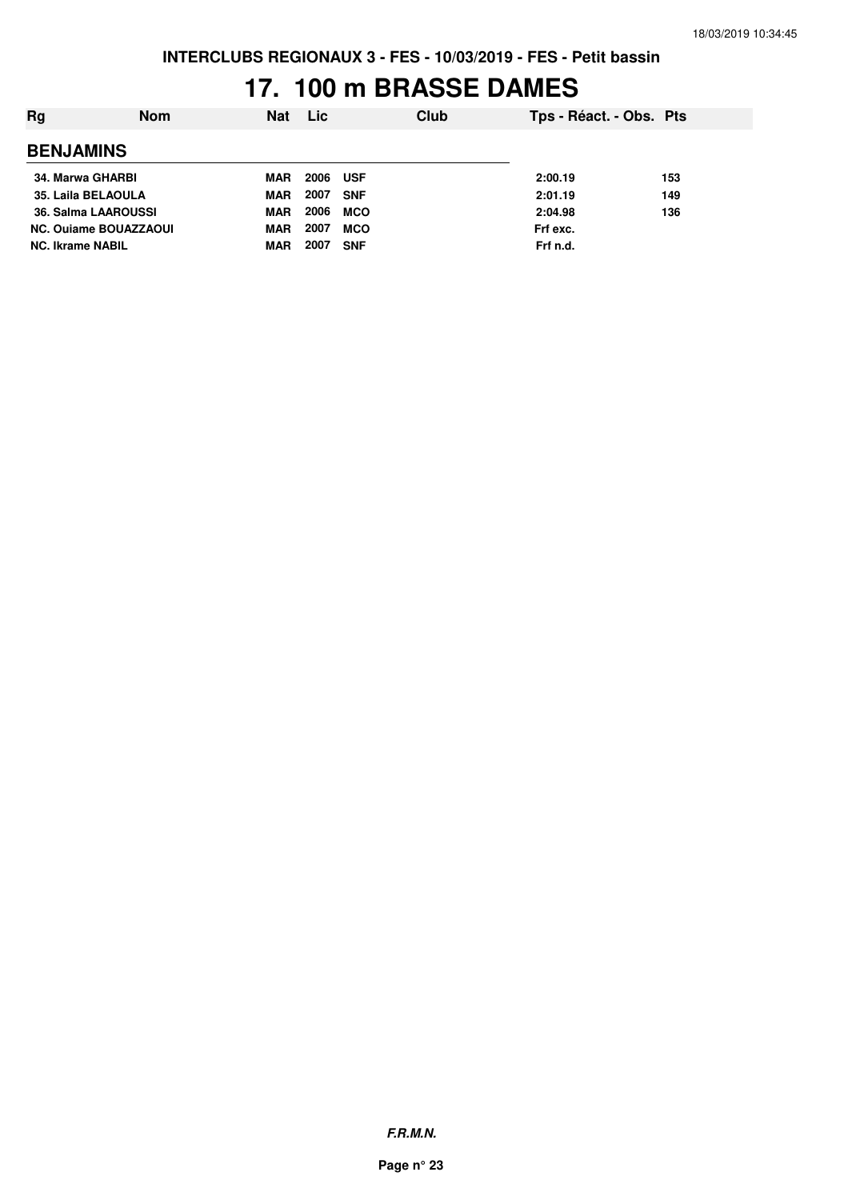## **17. 100 m BRASSE DAMES**

| Rg                           | <b>Nom</b> | <b>Nat</b> | <b>Lic</b> |            | Club | Tps - Réact. - Obs. Pts |     |
|------------------------------|------------|------------|------------|------------|------|-------------------------|-----|
| <b>BENJAMINS</b>             |            |            |            |            |      |                         |     |
| 34. Marwa GHARBI             |            | MAR        | 2006       | <b>USF</b> |      | 2:00.19                 | 153 |
| 35. Laila BELAOULA           |            | <b>MAR</b> | 2007       | <b>SNF</b> |      | 2:01.19                 | 149 |
| 36. Salma LAAROUSSI          |            | <b>MAR</b> | 2006       | <b>MCO</b> |      | 2:04.98                 | 136 |
| <b>NC. Ouiame BOUAZZAOUI</b> |            | <b>MAR</b> | 2007       | <b>MCO</b> |      | Frf exc.                |     |
| <b>NC. Ikrame NABIL</b>      |            | MAR        | 2007       | <b>SNF</b> |      | Frf n.d.                |     |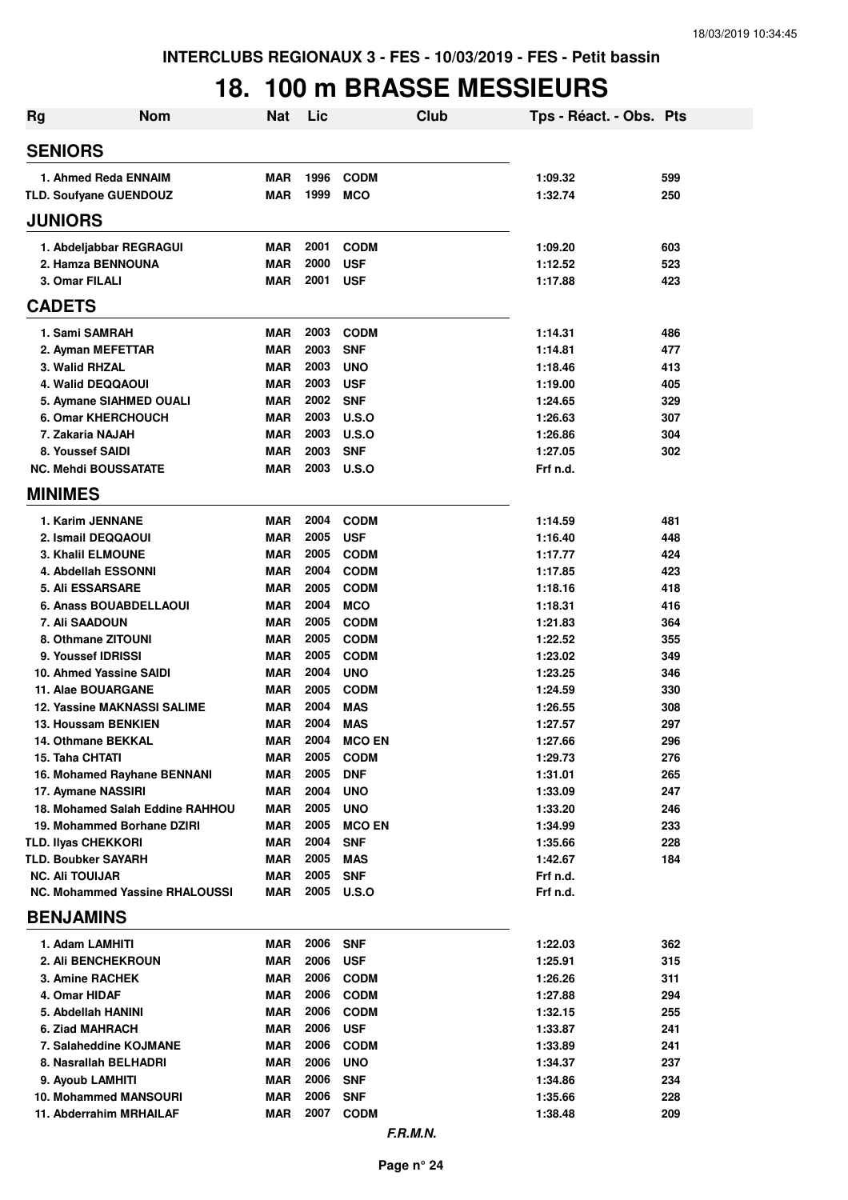## **18. 100 m BRASSE MESSIEURS**

| Rg                                               | <b>Nom</b>                            | <b>Nat</b>               | Lic          |                           | Club | Tps - Réact. - Obs. Pts |            |
|--------------------------------------------------|---------------------------------------|--------------------------|--------------|---------------------------|------|-------------------------|------------|
| <b>SENIORS</b>                                   |                                       |                          |              |                           |      |                         |            |
| 1. Ahmed Reda ENNAIM                             |                                       | <b>MAR</b>               | 1996         | <b>CODM</b>               |      | 1:09.32                 | 599        |
| TLD. Soufyane GUENDOUZ                           |                                       | <b>MAR</b>               | 1999         | <b>MCO</b>                |      | 1:32.74                 | 250        |
| <b>JUNIORS</b>                                   |                                       |                          |              |                           |      |                         |            |
| 1. Abdeljabbar REGRAGUI                          |                                       | <b>MAR</b>               | 2001         | <b>CODM</b>               |      | 1:09.20                 | 603        |
| 2. Hamza BENNOUNA                                |                                       | <b>MAR</b>               | 2000         | <b>USF</b>                |      | 1:12.52                 | 523        |
| 3. Omar FILALI                                   |                                       | <b>MAR</b>               | 2001         | <b>USF</b>                |      | 1:17.88                 | 423        |
| <b>CADETS</b>                                    |                                       |                          |              |                           |      |                         |            |
| 1. Sami SAMRAH                                   |                                       | <b>MAR</b>               | 2003         | <b>CODM</b>               |      | 1:14.31                 | 486        |
| 2. Ayman MEFETTAR                                |                                       | <b>MAR</b>               | 2003         | <b>SNF</b>                |      | 1:14.81                 | 477        |
| 3. Walid RHZAL                                   |                                       | <b>MAR</b>               | 2003         | <b>UNO</b>                |      | 1:18.46                 | 413        |
| 4. Walid DEQQAOUI                                |                                       | <b>MAR</b>               | 2003         | <b>USF</b>                |      | 1:19.00                 | 405        |
| 5. Aymane SIAHMED OUALI                          |                                       | <b>MAR</b>               | 2002         | <b>SNF</b>                |      | 1:24.65                 | 329        |
| 6. Omar KHERCHOUCH                               |                                       | <b>MAR</b>               | 2003         | U.S.O                     |      | 1:26.63                 | 307        |
| 7. Zakaria NAJAH                                 |                                       | <b>MAR</b>               | 2003         | U.S.O                     |      | 1:26.86                 | 304        |
| 8. Youssef SAIDI                                 |                                       | <b>MAR</b>               | 2003         | <b>SNF</b>                |      | 1:27.05                 | 302        |
| <b>NC. Mehdi BOUSSATATE</b>                      |                                       | <b>MAR</b>               | 2003         | U.S.O                     |      | Frf n.d.                |            |
| <b>MINIMES</b>                                   |                                       |                          |              |                           |      |                         |            |
| 1. Karim JENNANE                                 |                                       | <b>MAR</b>               | 2004         | <b>CODM</b>               |      | 1:14.59                 | 481        |
| 2. Ismail DEQQAOUI                               |                                       | <b>MAR</b>               | 2005         | <b>USF</b>                |      | 1:16.40                 | 448        |
| <b>3. Khalil ELMOUNE</b>                         |                                       | <b>MAR</b>               | 2005         | <b>CODM</b>               |      | 1:17.77                 | 424        |
| 4. Abdellah ESSONNI                              |                                       | <b>MAR</b>               | 2004         | <b>CODM</b>               |      | 1:17.85                 | 423        |
| <b>5. Ali ESSARSARE</b>                          |                                       | <b>MAR</b>               | 2005         | <b>CODM</b>               |      | 1:18.16                 | 418        |
| 6. Anass BOUABDELLAOUI                           |                                       | <b>MAR</b>               | 2004         | <b>MCO</b>                |      | 1:18.31                 | 416        |
| 7. Ali SAADOUN                                   |                                       | <b>MAR</b>               | 2005         | <b>CODM</b>               |      | 1:21.83                 | 364        |
| 8. Othmane ZITOUNI<br>9. Youssef IDRISSI         |                                       | <b>MAR</b>               | 2005<br>2005 | <b>CODM</b>               |      | 1:22.52                 | 355        |
| 10. Ahmed Yassine SAIDI                          |                                       | <b>MAR</b><br><b>MAR</b> | 2004         | <b>CODM</b><br><b>UNO</b> |      | 1:23.02<br>1:23.25      | 349<br>346 |
| 11. Alae BOUARGANE                               |                                       | <b>MAR</b>               | 2005         | <b>CODM</b>               |      | 1:24.59                 | 330        |
|                                                  | <b>12. Yassine MAKNASSI SALIME</b>    | <b>MAR</b>               | 2004         | <b>MAS</b>                |      | 1:26.55                 | 308        |
| 13. Houssam BENKIEN                              |                                       | <b>MAR</b>               | 2004         | <b>MAS</b>                |      | 1:27.57                 | 297        |
| 14. Othmane BEKKAL                               |                                       | <b>MAR</b>               | 2004         | <b>MCO EN</b>             |      | 1:27.66                 | 296        |
| 15. Taha CHTATI                                  |                                       | <b>MAR</b>               | 2005         | <b>CODM</b>               |      | 1:29.73                 | 276        |
|                                                  | 16. Mohamed Rayhane BENNANI           | <b>MAR</b>               | 2005         | <b>DNF</b>                |      | 1:31.01                 | 265        |
| 17. Aymane NASSIRI                               |                                       | <b>MAR</b>               | 2004         | <b>UNO</b>                |      | 1:33.09                 | 247        |
|                                                  | 18. Mohamed Salah Eddine RAHHOU       | MAR                      | 2005         | <b>UNO</b>                |      | 1:33.20                 | 246        |
|                                                  | 19. Mohammed Borhane DZIRI            | MAR                      | 2005         | <b>MCO EN</b>             |      | 1:34.99                 | 233        |
| <b>TLD. IIvas CHEKKORI</b>                       |                                       | <b>MAR</b>               | 2004         | <b>SNF</b>                |      | 1:35.66                 | 228        |
| <b>TLD. Boubker SAYARH</b>                       |                                       | <b>MAR</b>               | 2005         | <b>MAS</b>                |      | 1:42.67                 | 184        |
| <b>NC. Ali TOUIJAR</b>                           |                                       | <b>MAR</b>               | 2005         | <b>SNF</b>                |      | Frf n.d.                |            |
|                                                  | <b>NC. Mohammed Yassine RHALOUSSI</b> | MAR                      | 2005         | U.S.O                     |      | Frf n.d.                |            |
| <b>BENJAMINS</b>                                 |                                       |                          |              |                           |      |                         |            |
| 1. Adam LAMHITI                                  |                                       | MAR                      | 2006         | <b>SNF</b>                |      | 1:22.03                 | 362        |
| <b>2. Ali BENCHEKROUN</b>                        |                                       | <b>MAR</b>               | 2006         | <b>USF</b>                |      | 1:25.91                 | 315        |
| <b>3. Amine RACHEK</b>                           |                                       | <b>MAR</b>               | 2006         | <b>CODM</b>               |      | 1:26.26                 | 311        |
| 4. Omar HIDAF                                    |                                       | <b>MAR</b>               | 2006         | <b>CODM</b>               |      | 1:27.88                 | 294        |
| 5. Abdellah HANINI                               |                                       | <b>MAR</b>               | 2006         | <b>CODM</b>               |      | 1:32.15                 | 255        |
| 6. Ziad MAHRACH                                  |                                       | <b>MAR</b>               | 2006         | <b>USF</b>                |      | 1:33.87                 | 241        |
| 7. Salaheddine KOJMANE                           |                                       | <b>MAR</b>               | 2006         | <b>CODM</b>               |      | 1:33.89                 | 241        |
| 8. Nasrallah BELHADRI                            |                                       | <b>MAR</b>               | 2006         | <b>UNO</b>                |      | 1:34.37                 | 237        |
| 9. Ayoub LAMHITI                                 |                                       | <b>MAR</b>               | 2006<br>2006 | <b>SNF</b>                |      | 1:34.86                 | 234        |
| 10. Mohammed MANSOURI<br>11. Abderrahim MRHAILAF |                                       | <b>MAR</b><br>MAR        | 2007         | <b>SNF</b><br><b>CODM</b> |      | 1:35.66<br>1:38.48      | 228<br>209 |
|                                                  |                                       |                          |              | F.R.M.N.                  |      |                         |            |
|                                                  |                                       |                          |              |                           |      |                         |            |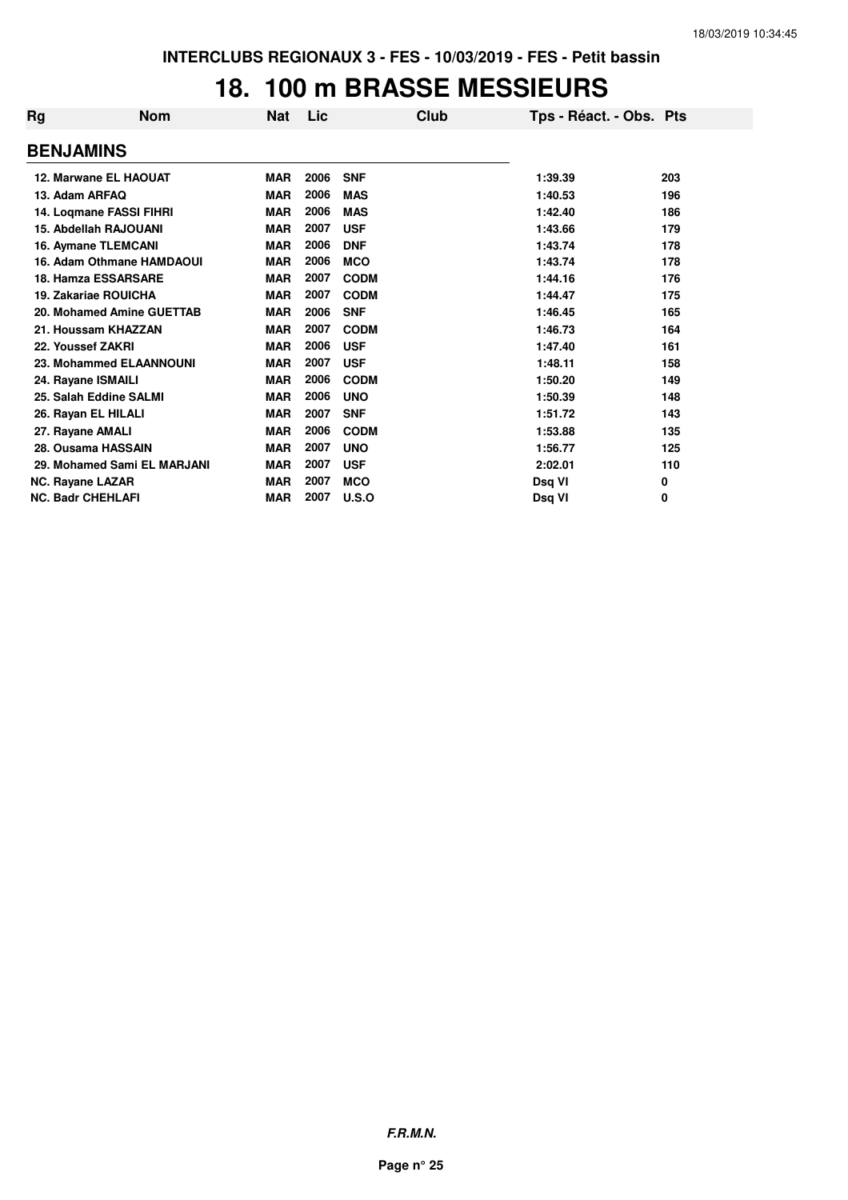#### **18. 100 m BRASSE MESSIEURS**

| <b>Rg</b>                   | <b>Nom</b> | <b>Nat</b> | Lic  | Club         | Tps - Réact. - Obs. Pts |     |
|-----------------------------|------------|------------|------|--------------|-------------------------|-----|
| <b>BENJAMINS</b>            |            |            |      |              |                         |     |
| 12. Marwane EL HAOUAT       |            | <b>MAR</b> | 2006 | <b>SNF</b>   | 1:39.39                 | 203 |
| 13. Adam ARFAQ              |            | <b>MAR</b> | 2006 | <b>MAS</b>   | 1:40.53                 | 196 |
| 14. Loqmane FASSI FIHRI     |            | <b>MAR</b> | 2006 | <b>MAS</b>   | 1:42.40                 | 186 |
| 15. Abdellah RAJOUANI       |            | <b>MAR</b> | 2007 | <b>USF</b>   | 1:43.66                 | 179 |
| 16. Aymane TLEMCANI         |            | <b>MAR</b> | 2006 | <b>DNF</b>   | 1:43.74                 | 178 |
| 16. Adam Othmane HAMDAOUI   |            | <b>MAR</b> | 2006 | <b>MCO</b>   | 1:43.74                 | 178 |
| 18. Hamza ESSARSARE         |            | <b>MAR</b> | 2007 | <b>CODM</b>  | 1:44.16                 | 176 |
| 19. Zakariae ROUICHA        |            | <b>MAR</b> | 2007 | <b>CODM</b>  | 1:44.47                 | 175 |
| 20. Mohamed Amine GUETTAB   |            | <b>MAR</b> | 2006 | <b>SNF</b>   | 1:46.45                 | 165 |
| 21. Houssam KHAZZAN         |            | <b>MAR</b> | 2007 | <b>CODM</b>  | 1:46.73                 | 164 |
| 22. Youssef ZAKRI           |            | <b>MAR</b> | 2006 | <b>USF</b>   | 1:47.40                 | 161 |
| 23. Mohammed ELAANNOUNI     |            | <b>MAR</b> | 2007 | <b>USF</b>   | 1:48.11                 | 158 |
| 24. Rayane ISMAILI          |            | <b>MAR</b> | 2006 | <b>CODM</b>  | 1:50.20                 | 149 |
| 25. Salah Eddine SALMI      |            | <b>MAR</b> | 2006 | <b>UNO</b>   | 1:50.39                 | 148 |
| 26. Rayan EL HILALI         |            | <b>MAR</b> | 2007 | <b>SNF</b>   | 1:51.72                 | 143 |
| 27. Rayane AMALI            |            | <b>MAR</b> | 2006 | <b>CODM</b>  | 1:53.88                 | 135 |
| 28. Ousama HASSAIN          |            | <b>MAR</b> | 2007 | <b>UNO</b>   | 1:56.77                 | 125 |
| 29. Mohamed Sami EL MARJANI |            | <b>MAR</b> | 2007 | <b>USF</b>   | 2:02.01                 | 110 |
| <b>NC. Rayane LAZAR</b>     |            | <b>MAR</b> | 2007 | <b>MCO</b>   | Dsq VI                  | 0   |
| <b>NC. Badr CHEHLAFI</b>    |            | <b>MAR</b> | 2007 | <b>U.S.O</b> | Dsq VI                  | 0   |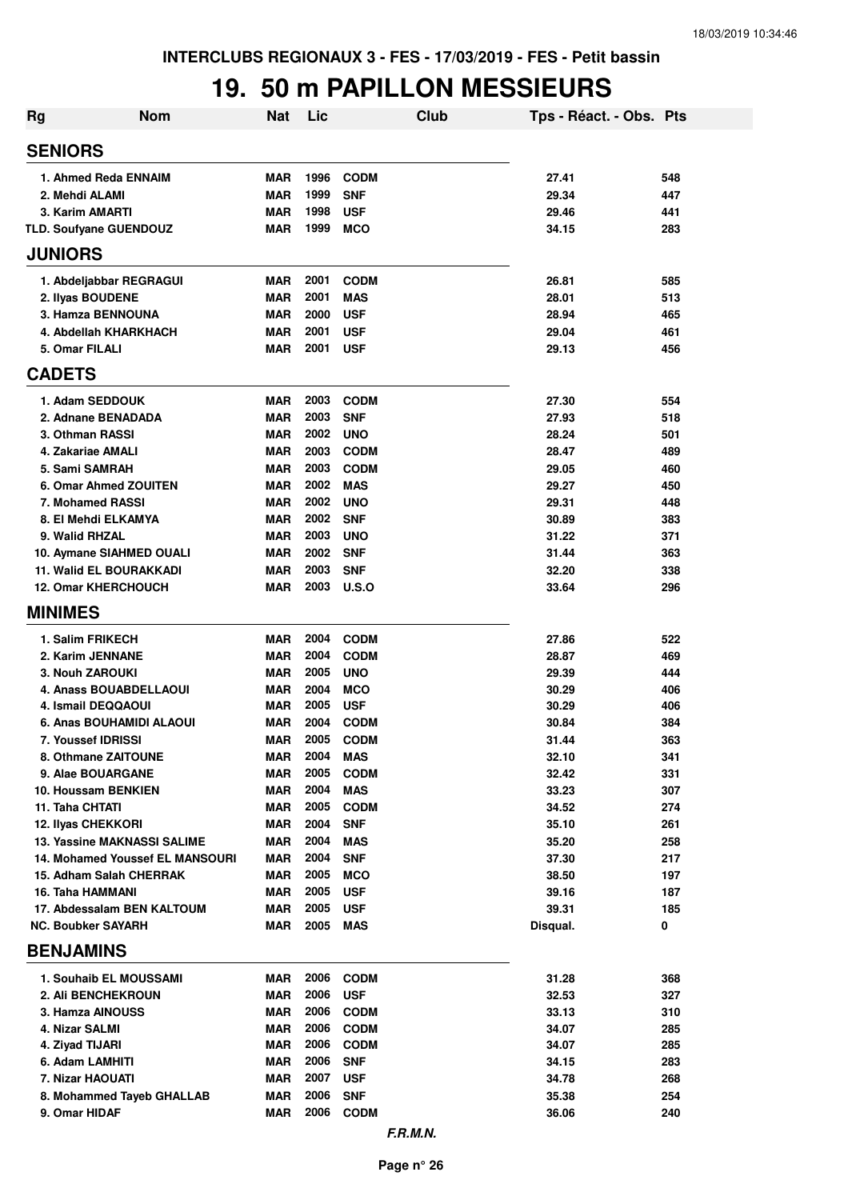## **19. 50 m PAPILLON MESSIEURS**

| <b>Rg</b>                          | <b>Nom</b>                             | <b>Nat</b>        | Lic          |                            | Club | Tps - Réact. - Obs. Pts |            |
|------------------------------------|----------------------------------------|-------------------|--------------|----------------------------|------|-------------------------|------------|
| <b>SENIORS</b>                     |                                        |                   |              |                            |      |                         |            |
| 1. Ahmed Reda ENNAIM               |                                        | MAR               | 1996         | <b>CODM</b>                |      | 27.41                   | 548        |
| 2. Mehdi ALAMI                     |                                        | <b>MAR</b>        | 1999         | <b>SNF</b>                 |      | 29.34                   | 447        |
| 3. Karim AMARTI                    |                                        | <b>MAR</b>        | 1998         | <b>USF</b>                 |      | 29.46                   | 441        |
| TLD. Soufyane GUENDOUZ             |                                        | MAR               | 1999         | <b>MCO</b>                 |      | 34.15                   | 283        |
| <b>JUNIORS</b>                     |                                        |                   |              |                            |      |                         |            |
| 1. Abdeljabbar REGRAGUI            |                                        | <b>MAR</b>        | 2001         | <b>CODM</b>                |      | 26.81                   | 585        |
| 2. Ilyas BOUDENE                   |                                        | <b>MAR</b>        | 2001         | <b>MAS</b>                 |      | 28.01                   | 513        |
| 3. Hamza BENNOUNA                  |                                        | <b>MAR</b>        | 2000         | <b>USF</b>                 |      | 28.94                   | 465        |
| 4. Abdellah KHARKHACH              |                                        | <b>MAR</b>        | 2001         | <b>USF</b>                 |      | 29.04                   | 461        |
| 5. Omar FILALI                     |                                        | <b>MAR</b>        | 2001         | <b>USF</b>                 |      | 29.13                   | 456        |
| <b>CADETS</b>                      |                                        |                   |              |                            |      |                         |            |
| 1. Adam SEDDOUK                    |                                        | <b>MAR</b>        | 2003         | <b>CODM</b>                |      | 27.30                   | 554        |
| 2. Adnane BENADADA                 |                                        | <b>MAR</b>        | 2003         | <b>SNF</b>                 |      | 27.93                   | 518        |
| 3. Othman RASSI                    |                                        | <b>MAR</b>        | 2002         | <b>UNO</b>                 |      | 28.24                   | 501        |
| 4. Zakariae AMALI                  |                                        | <b>MAR</b>        | 2003         | <b>CODM</b>                |      | 28.47                   | 489        |
| 5. Sami SAMRAH                     |                                        | <b>MAR</b>        | 2003         | <b>CODM</b>                |      | 29.05                   | 460        |
| 6. Omar Ahmed ZOUITEN              |                                        | <b>MAR</b>        | 2002         | <b>MAS</b>                 |      | 29.27                   | 450        |
| 7. Mohamed RASSI                   |                                        | <b>MAR</b>        | 2002         | <b>UNO</b>                 |      | 29.31                   | 448        |
| 8. El Mehdi ELKAMYA                |                                        | <b>MAR</b>        | 2002         | <b>SNF</b>                 |      | 30.89                   | 383        |
| 9. Walid RHZAL                     |                                        | <b>MAR</b>        | 2003         | <b>UNO</b>                 |      | 31.22                   | 371        |
| 10. Aymane SIAHMED OUALI           |                                        | <b>MAR</b>        | 2002         | <b>SNF</b>                 |      | 31.44                   | 363        |
| <b>11. Walid EL BOURAKKADI</b>     |                                        | <b>MAR</b>        | 2003         | <b>SNF</b>                 |      | 32.20                   | 338        |
| <b>12. Omar KHERCHOUCH</b>         |                                        | <b>MAR</b>        | 2003         | U.S.O                      |      | 33.64                   | 296        |
| <b>MINIMES</b>                     |                                        |                   |              |                            |      |                         |            |
| 1. Salim FRIKECH                   |                                        | <b>MAR</b>        | 2004         | <b>CODM</b>                |      | 27.86                   | 522        |
| 2. Karim JENNANE                   |                                        | <b>MAR</b>        | 2004         | <b>CODM</b>                |      | 28.87                   | 469        |
| 3. Nouh ZAROUKI                    |                                        | <b>MAR</b>        | 2005         | <b>UNO</b>                 |      | 29.39                   | 444        |
| <b>4. Anass BOUABDELLAOUI</b>      |                                        | <b>MAR</b>        | 2004         | <b>MCO</b>                 |      | 30.29                   | 406        |
| 4. Ismail DEQQAOUI                 |                                        | MAR               | 2005         | <b>USF</b>                 |      | 30.29                   | 406        |
| 6. Anas BOUHAMIDI ALAOUI           |                                        | MAR               | 2004         | <b>CODM</b>                |      | 30.84                   | 384        |
| 7. Youssef IDRISSI                 |                                        | <b>MAR</b>        | 2005         | <b>CODM</b>                |      | 31.44                   | 363        |
| 8. Othmane ZAITOUNE                |                                        | MAR               | 2004         | <b>MAS</b>                 |      | 32.10                   | 341        |
| 9. Alae BOUARGANE                  |                                        | <b>MAR</b>        | 2005         | <b>CODM</b>                |      | 32.42                   | 331        |
| 10. Houssam BENKIEN                |                                        | <b>MAR</b>        | 2004         | <b>MAS</b>                 |      | 33.23                   | 307        |
| 11. Taha CHTATI                    |                                        | <b>MAR</b>        | 2005         | <b>CODM</b>                |      | 34.52                   | 274        |
| <b>12. Ilyas CHEKKORI</b>          |                                        | <b>MAR</b>        | 2004         | <b>SNF</b>                 |      | 35.10                   | 261        |
| <b>13. Yassine MAKNASSI SALIME</b> |                                        | <b>MAR</b>        | 2004<br>2004 | <b>MAS</b>                 |      | 35.20                   | 258        |
| 15. Adham Salah CHERRAK            | <b>14. Mohamed Youssef EL MANSOURI</b> | <b>MAR</b><br>MAR | 2005         | <b>SNF</b><br><b>MCO</b>   |      | 37.30<br>38.50          | 217<br>197 |
| 16. Taha HAMMANI                   |                                        | MAR               | 2005         | <b>USF</b>                 |      | 39.16                   | 187        |
| 17. Abdessalam BEN KALTOUM         |                                        | MAR               | 2005         | <b>USF</b>                 |      | 39.31                   | 185        |
| <b>NC. Boubker SAYARH</b>          |                                        | MAR               | 2005         | MAS                        |      | Disqual.                | 0          |
| <b>BENJAMINS</b>                   |                                        |                   |              |                            |      |                         |            |
|                                    |                                        |                   |              |                            |      |                         |            |
| 1. Souhaib EL MOUSSAMI             |                                        | MAR               | 2006         | <b>CODM</b>                |      | 31.28                   | 368        |
| 2. Ali BENCHEKROUN                 |                                        | <b>MAR</b>        | 2006         | <b>USF</b>                 |      | 32.53                   | 327        |
| 3. Hamza AINOUSS                   |                                        | <b>MAR</b>        | 2006<br>2006 | <b>CODM</b>                |      | 33.13                   | 310        |
| 4. Nizar SALMI<br>4. Ziyad TIJARI  |                                        | MAR<br>MAR        | 2006         | <b>CODM</b><br><b>CODM</b> |      | 34.07<br>34.07          | 285<br>285 |
| 6. Adam LAMHITI                    |                                        | <b>MAR</b>        | 2006         | <b>SNF</b>                 |      | 34.15                   | 283        |
| 7. Nizar HAOUATI                   |                                        | <b>MAR</b>        | 2007         | <b>USF</b>                 |      | 34.78                   | 268        |
| 8. Mohammed Tayeb GHALLAB          |                                        | <b>MAR</b>        | 2006         | <b>SNF</b>                 |      | 35.38                   | 254        |
| 9. Omar HIDAF                      |                                        | <b>MAR</b>        | 2006         | <b>CODM</b>                |      | 36.06                   | 240        |
|                                    |                                        |                   |              |                            |      |                         |            |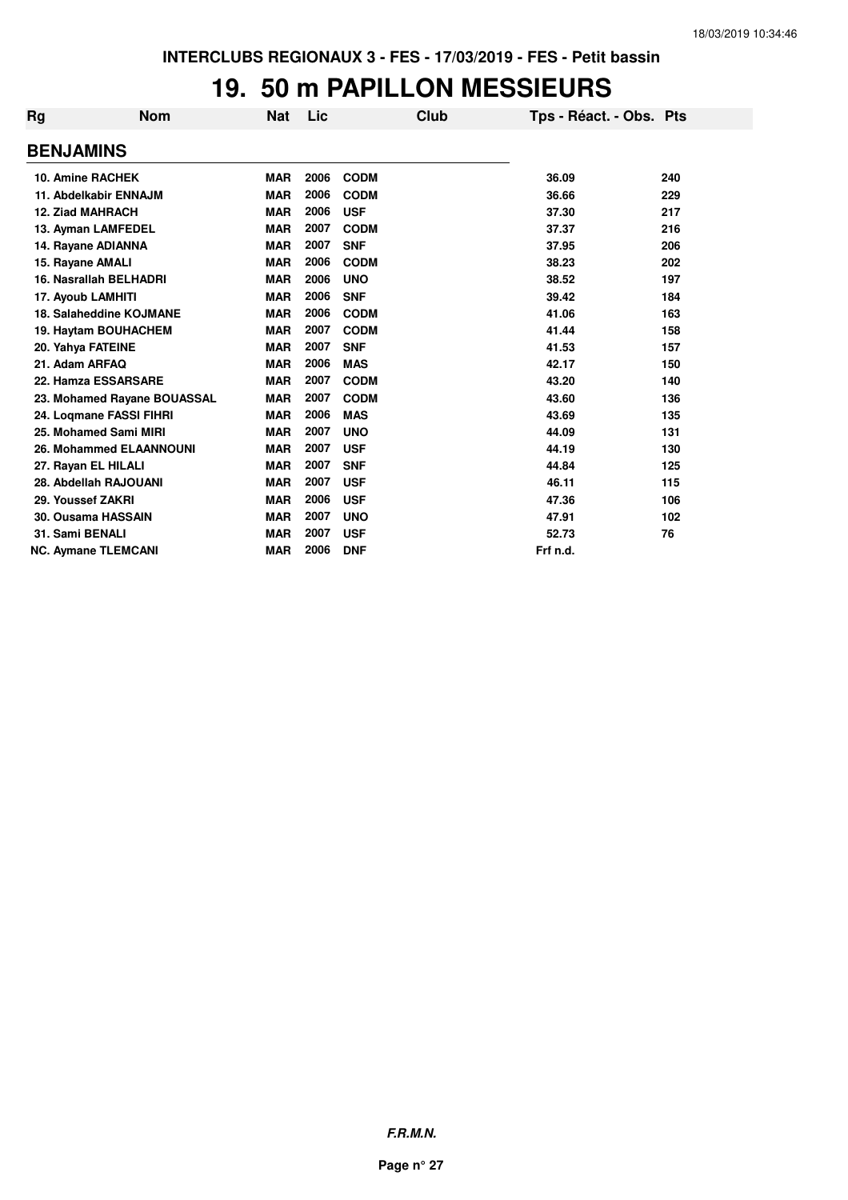## **19. 50 m PAPILLON MESSIEURS**

| Rg | <b>Nom</b>                     | <b>Nat</b> | Lic  | Club        | Tps - Réact. - Obs. Pts |     |
|----|--------------------------------|------------|------|-------------|-------------------------|-----|
|    | <b>BENJAMINS</b>               |            |      |             |                         |     |
|    | <b>10. Amine RACHEK</b>        | <b>MAR</b> | 2006 | <b>CODM</b> | 36.09                   | 240 |
|    | 11. Abdelkabir ENNAJM          | <b>MAR</b> | 2006 | <b>CODM</b> | 36.66                   | 229 |
|    | <b>12. Ziad MAHRACH</b>        | <b>MAR</b> | 2006 | <b>USF</b>  | 37.30                   | 217 |
|    | 13. Ayman LAMFEDEL             | <b>MAR</b> | 2007 | <b>CODM</b> | 37.37                   | 216 |
|    | 14. Rayane ADIANNA             | <b>MAR</b> | 2007 | <b>SNF</b>  | 37.95                   | 206 |
|    | 15. Rayane AMALI               | <b>MAR</b> | 2006 | <b>CODM</b> | 38.23                   | 202 |
|    | 16. Nasrallah BELHADRI         | <b>MAR</b> | 2006 | <b>UNO</b>  | 38.52                   | 197 |
|    | 17. Ayoub LAMHITI              | <b>MAR</b> | 2006 | <b>SNF</b>  | 39.42                   | 184 |
|    | 18. Salaheddine KOJMANE        | <b>MAR</b> | 2006 | <b>CODM</b> | 41.06                   | 163 |
|    | 19. Haytam BOUHACHEM           | <b>MAR</b> | 2007 | <b>CODM</b> | 41.44                   | 158 |
|    | 20. Yahya FATEINE              | <b>MAR</b> | 2007 | <b>SNF</b>  | 41.53                   | 157 |
|    | 21. Adam ARFAQ                 | <b>MAR</b> | 2006 | <b>MAS</b>  | 42.17                   | 150 |
|    | 22. Hamza ESSARSARE            | <b>MAR</b> | 2007 | <b>CODM</b> | 43.20                   | 140 |
|    | 23. Mohamed Rayane BOUASSAL    | <b>MAR</b> | 2007 | <b>CODM</b> | 43.60                   | 136 |
|    | 24. Logmane FASSI FIHRI        | <b>MAR</b> | 2006 | <b>MAS</b>  | 43.69                   | 135 |
|    | 25. Mohamed Sami MIRI          | <b>MAR</b> | 2007 | <b>UNO</b>  | 44.09                   | 131 |
|    | <b>26. Mohammed ELAANNOUNI</b> | <b>MAR</b> | 2007 | <b>USF</b>  | 44.19                   | 130 |
|    | 27. Rayan EL HILALI            | <b>MAR</b> | 2007 | <b>SNF</b>  | 44.84                   | 125 |
|    | 28. Abdellah RAJOUANI          | <b>MAR</b> | 2007 | <b>USF</b>  | 46.11                   | 115 |
|    | 29. Youssef ZAKRI              | <b>MAR</b> | 2006 | <b>USF</b>  | 47.36                   | 106 |
|    | <b>30. Ousama HASSAIN</b>      | <b>MAR</b> | 2007 | <b>UNO</b>  | 47.91                   | 102 |
|    | 31. Sami BENALI                | <b>MAR</b> | 2007 | <b>USF</b>  | 52.73                   | 76  |
|    | <b>NC. Aymane TLEMCANI</b>     | <b>MAR</b> | 2006 | <b>DNF</b>  | Frf n.d.                |     |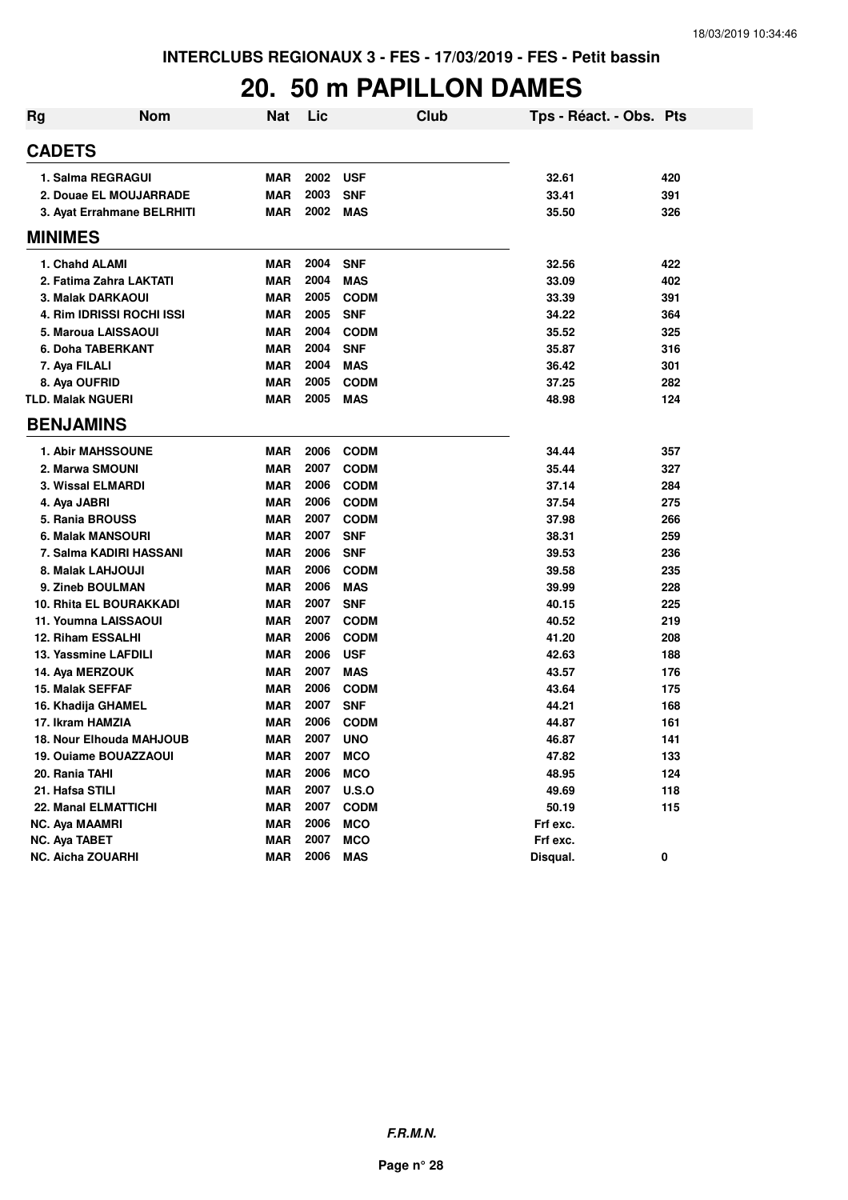#### **20. 50 m PAPILLON DAMES**

| <b>Rg</b> | <b>Nom</b>                     | <b>Nat</b> | Lic  | <b>Club</b> | Tps - Réact. - Obs. Pts |     |
|-----------|--------------------------------|------------|------|-------------|-------------------------|-----|
|           | <b>CADETS</b>                  |            |      |             |                         |     |
|           | 1. Salma REGRAGUI              | <b>MAR</b> | 2002 | <b>USF</b>  | 32.61                   | 420 |
|           | 2. Douae EL MOUJARRADE         | <b>MAR</b> | 2003 | <b>SNF</b>  | 33.41                   | 391 |
|           | 3. Ayat Errahmane BELRHITI     | <b>MAR</b> | 2002 | <b>MAS</b>  | 35.50                   | 326 |
|           | <b>MINIMES</b>                 |            |      |             |                         |     |
|           | 1. Chahd ALAMI                 | <b>MAR</b> | 2004 | <b>SNF</b>  | 32.56                   | 422 |
|           | 2. Fatima Zahra LAKTATI        | <b>MAR</b> | 2004 | <b>MAS</b>  | 33.09                   | 402 |
|           | 3. Malak DARKAOUI              | <b>MAR</b> | 2005 | <b>CODM</b> | 33.39                   | 391 |
|           | 4. Rim IDRISSI ROCHI ISSI      | <b>MAR</b> | 2005 | <b>SNF</b>  | 34.22                   | 364 |
|           | 5. Maroua LAISSAOUI            | <b>MAR</b> | 2004 | <b>CODM</b> | 35.52                   | 325 |
|           | 6. Doha TABERKANT              | <b>MAR</b> | 2004 | <b>SNF</b>  | 35.87                   | 316 |
|           | 7. Aya FILALI                  | <b>MAR</b> | 2004 | <b>MAS</b>  | 36.42                   | 301 |
|           | 8. Aya OUFRID                  | <b>MAR</b> | 2005 | <b>CODM</b> | 37.25                   | 282 |
|           | <b>TLD. Malak NGUERI</b>       | <b>MAR</b> | 2005 | <b>MAS</b>  | 48.98                   | 124 |
|           | <b>BENJAMINS</b>               |            |      |             |                         |     |
|           | <b>1. Abir MAHSSOUNE</b>       | <b>MAR</b> | 2006 | <b>CODM</b> | 34.44                   | 357 |
|           | 2. Marwa SMOUNI                | <b>MAR</b> | 2007 | <b>CODM</b> | 35.44                   | 327 |
|           | 3. Wissal ELMARDI              | <b>MAR</b> | 2006 | <b>CODM</b> | 37.14                   | 284 |
|           | 4. Aya JABRI                   | <b>MAR</b> | 2006 | <b>CODM</b> | 37.54                   | 275 |
|           | 5. Rania BROUSS                | <b>MAR</b> | 2007 | <b>CODM</b> | 37.98                   | 266 |
|           | 6. Malak MANSOURI              | <b>MAR</b> | 2007 | <b>SNF</b>  | 38.31                   | 259 |
|           | 7. Salma KADIRI HASSANI        | <b>MAR</b> | 2006 | <b>SNF</b>  | 39.53                   | 236 |
|           | 8. Malak LAHJOUJI              | <b>MAR</b> | 2006 | <b>CODM</b> | 39.58                   | 235 |
|           | 9. Zineb BOULMAN               | <b>MAR</b> | 2006 | <b>MAS</b>  | 39.99                   | 228 |
|           | <b>10. Rhita EL BOURAKKADI</b> | <b>MAR</b> | 2007 | <b>SNF</b>  | 40.15                   | 225 |
|           | 11. Youmna LAISSAOUI           | <b>MAR</b> | 2007 | <b>CODM</b> | 40.52                   | 219 |
|           | 12. Riham ESSALHI              | <b>MAR</b> | 2006 | <b>CODM</b> | 41.20                   | 208 |
|           | 13. Yassmine LAFDILI           | <b>MAR</b> | 2006 | <b>USF</b>  | 42.63                   | 188 |
|           | 14. Aya MERZOUK                | <b>MAR</b> | 2007 | <b>MAS</b>  | 43.57                   | 176 |
|           | 15. Malak SEFFAF               | <b>MAR</b> | 2006 | <b>CODM</b> | 43.64                   | 175 |
|           | 16. Khadija GHAMEL             | <b>MAR</b> | 2007 | <b>SNF</b>  | 44.21                   | 168 |
|           | 17. Ikram HAMZIA               | <b>MAR</b> | 2006 | <b>CODM</b> | 44.87                   | 161 |
|           | 18. Nour Elhouda MAHJOUB       | <b>MAR</b> | 2007 | <b>UNO</b>  | 46.87                   | 141 |
|           | 19. Ouiame BOUAZZAOUI          | <b>MAR</b> | 2007 | <b>MCO</b>  | 47.82                   | 133 |
|           | 20. Rania TAHI                 | <b>MAR</b> | 2006 | <b>MCO</b>  | 48.95                   | 124 |
|           | 21. Hafsa STILI                | <b>MAR</b> | 2007 | U.S.O       | 49.69                   | 118 |
|           | 22. Manal ELMATTICHI           | <b>MAR</b> | 2007 | <b>CODM</b> | 50.19                   | 115 |
|           | <b>NC. Aya MAAMRI</b>          | <b>MAR</b> | 2006 | <b>MCO</b>  | Frf exc.                |     |
|           | <b>NC. Aya TABET</b>           | <b>MAR</b> | 2007 | <b>MCO</b>  | Frf exc.                |     |
|           | <b>NC. Aicha ZOUARHI</b>       | <b>MAR</b> | 2006 | <b>MAS</b>  | Disqual.                | 0   |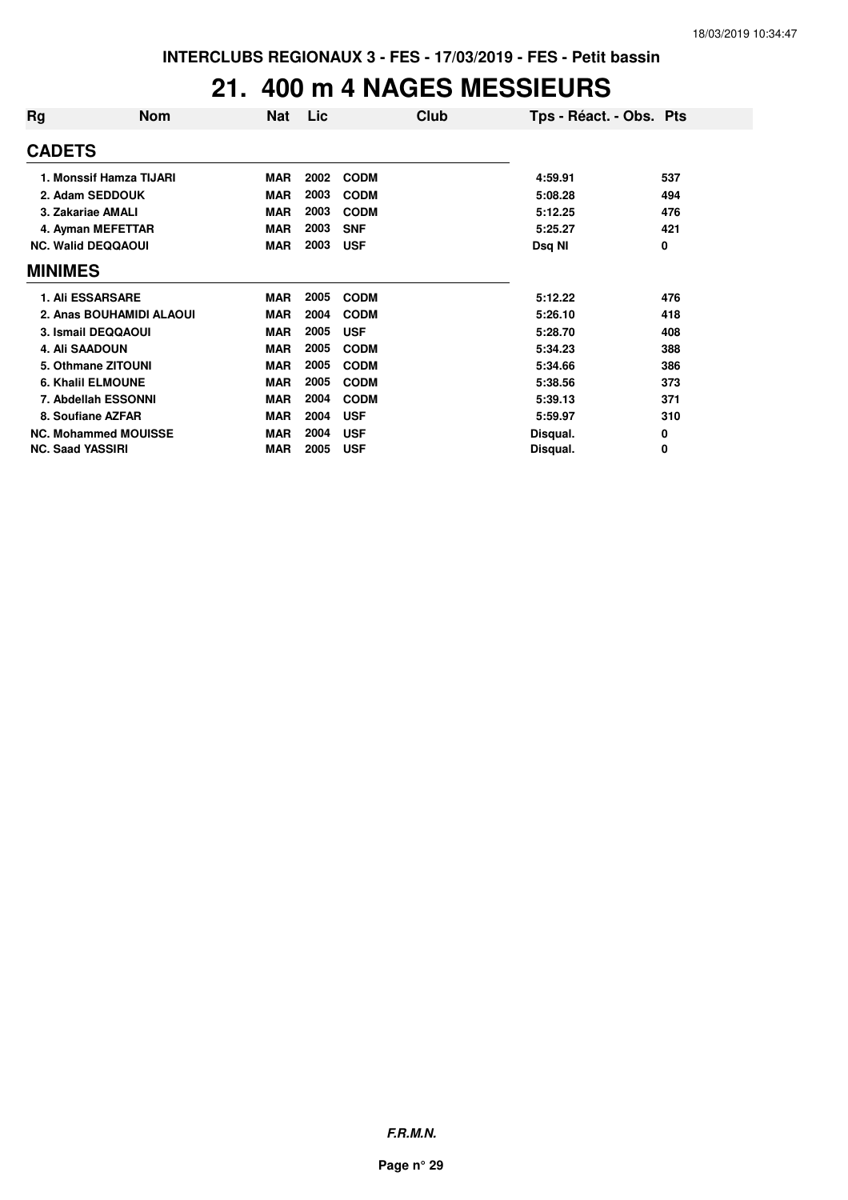## **21. 400 m 4 NAGES MESSIEURS**

| Rg             | <b>Nom</b>                  | <b>Nat</b> | <b>Lic</b> | Club        | Tps - Réact. - Obs. Pts |     |
|----------------|-----------------------------|------------|------------|-------------|-------------------------|-----|
| <b>CADETS</b>  |                             |            |            |             |                         |     |
|                | 1. Monssif Hamza TIJARI     | <b>MAR</b> | 2002       | <b>CODM</b> | 4:59.91                 | 537 |
|                | 2. Adam SEDDOUK             | <b>MAR</b> | 2003       | <b>CODM</b> | 5:08.28                 | 494 |
|                | 3. Zakariae AMALI           | <b>MAR</b> | 2003       | <b>CODM</b> | 5:12.25                 | 476 |
|                | 4. Ayman MEFETTAR           | <b>MAR</b> | 2003       | <b>SNF</b>  | 5:25.27                 | 421 |
|                | <b>NC. Walid DEQQAOUI</b>   | <b>MAR</b> | 2003       | <b>USF</b>  | Dsq NI                  | 0   |
| <b>MINIMES</b> |                             |            |            |             |                         |     |
|                | <b>1. Ali ESSARSARE</b>     | <b>MAR</b> | 2005       | <b>CODM</b> | 5:12.22                 | 476 |
|                | 2. Anas BOUHAMIDI ALAOUI    | <b>MAR</b> | 2004       | <b>CODM</b> | 5:26.10                 | 418 |
|                | 3. Ismail DEQQAOUI          | <b>MAR</b> | 2005       | <b>USF</b>  | 5:28.70                 | 408 |
|                | <b>4. Ali SAADOUN</b>       | <b>MAR</b> | 2005       | <b>CODM</b> | 5:34.23                 | 388 |
|                | 5. Othmane ZITOUNI          | <b>MAR</b> | 2005       | <b>CODM</b> | 5:34.66                 | 386 |
|                | <b>6. Khalil ELMOUNE</b>    | <b>MAR</b> | 2005       | <b>CODM</b> | 5:38.56                 | 373 |
|                | 7. Abdellah ESSONNI         | <b>MAR</b> | 2004       | <b>CODM</b> | 5:39.13                 | 371 |
|                | 8. Soufiane AZFAR           | <b>MAR</b> | 2004       | <b>USF</b>  | 5:59.97                 | 310 |
|                | <b>NC. Mohammed MOUISSE</b> | <b>MAR</b> | 2004       | <b>USF</b>  | Disqual.                | 0   |
|                | <b>NC. Saad YASSIRI</b>     | <b>MAR</b> | 2005       | <b>USF</b>  | Disqual.                | 0   |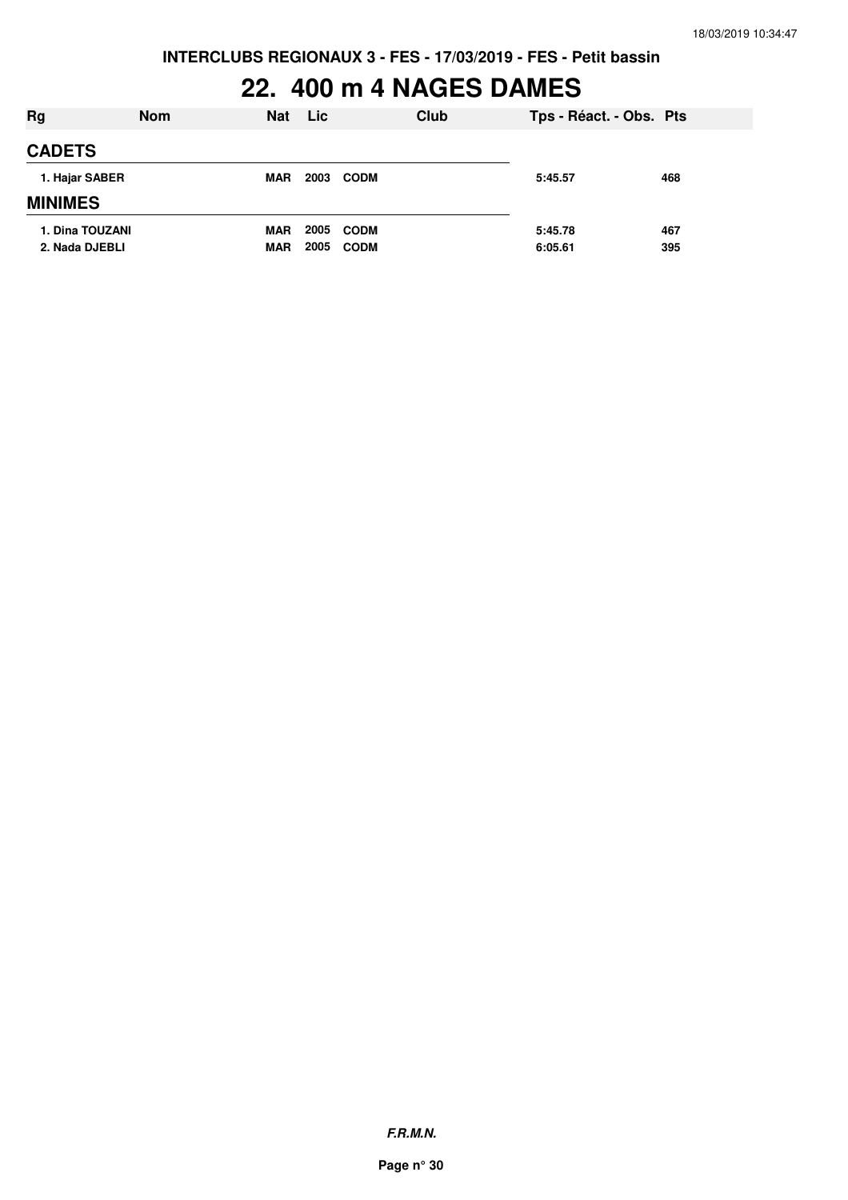# **22. 400 m 4 NAGES DAMES**

| Rg                                | <b>Nom</b> | <b>Nat</b>               | <b>Lic</b>   |                            | Club | Tps - Réact. - Obs. Pts |            |
|-----------------------------------|------------|--------------------------|--------------|----------------------------|------|-------------------------|------------|
| <b>CADETS</b>                     |            |                          |              |                            |      |                         |            |
| 1. Hajar SABER<br><b>MINIMES</b>  |            | <b>MAR</b>               | 2003         | <b>CODM</b>                |      | 5:45.57                 | 468        |
| 1. Dina TOUZANI<br>2. Nada DJEBLI |            | <b>MAR</b><br><b>MAR</b> | 2005<br>2005 | <b>CODM</b><br><b>CODM</b> |      | 5:45.78<br>6:05.61      | 467<br>395 |

**F.R.M.N.**

**Page n° 30**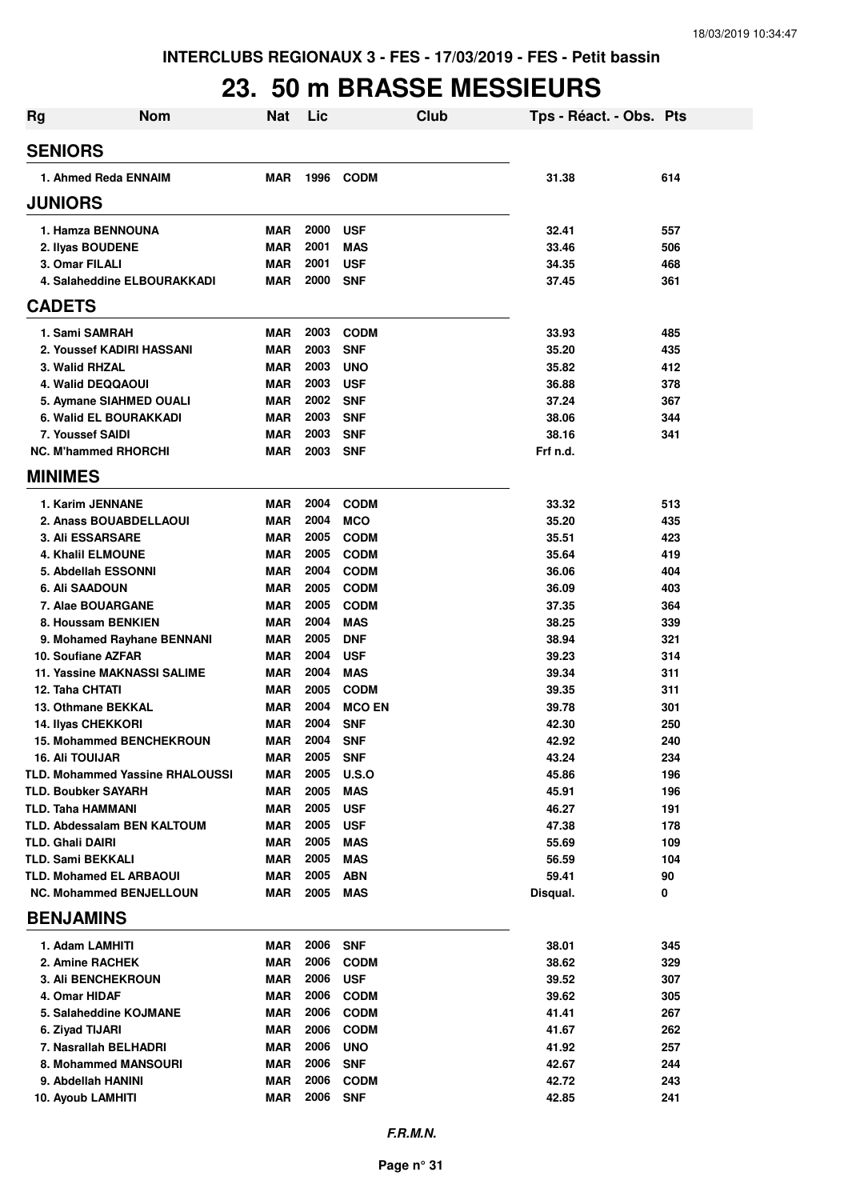#### **23. 50 m BRASSE MESSIEURS**

| <b>Rg</b>                                    | <b>Nom</b>                             | <b>Nat</b>               | Lic          | Club                      | Tps - Réact. - Obs. Pts |            |
|----------------------------------------------|----------------------------------------|--------------------------|--------------|---------------------------|-------------------------|------------|
| <b>SENIORS</b>                               |                                        |                          |              |                           |                         |            |
|                                              | 1. Ahmed Reda ENNAIM                   | <b>MAR</b>               | 1996         | <b>CODM</b>               | 31.38                   | 614        |
| <b>JUNIORS</b>                               |                                        |                          |              |                           |                         |            |
|                                              | 1. Hamza BENNOUNA                      | <b>MAR</b>               | 2000         | <b>USF</b>                | 32.41                   | 557        |
| 2. Ilyas BOUDENE                             |                                        | <b>MAR</b>               | 2001         | <b>MAS</b>                | 33.46                   | 506        |
| 3. Omar FILALI                               |                                        | <b>MAR</b>               | 2001         | <b>USF</b>                | 34.35                   | 468        |
|                                              | 4. Salaheddine ELBOURAKKADI            | <b>MAR</b>               | 2000         | <b>SNF</b>                | 37.45                   | 361        |
| <b>CADETS</b>                                |                                        |                          |              |                           |                         |            |
| 1. Sami SAMRAH                               |                                        | <b>MAR</b>               | 2003         | <b>CODM</b>               | 33.93                   | 485        |
|                                              | 2. Youssef KADIRI HASSANI              | <b>MAR</b>               | 2003         | <b>SNF</b>                | 35.20                   | 435        |
| 3. Walid RHZAL                               |                                        | <b>MAR</b>               | 2003         | <b>UNO</b>                | 35.82                   | 412        |
| 4. Walid DEQQAOUI                            |                                        | <b>MAR</b>               | 2003         | <b>USF</b>                | 36.88                   | 378        |
|                                              | 5. Aymane SIAHMED OUALI                | <b>MAR</b>               | 2002         | <b>SNF</b>                | 37.24                   | 367        |
|                                              | 6. Walid EL BOURAKKADI                 | <b>MAR</b>               | 2003         | <b>SNF</b>                | 38.06                   | 344        |
| 7. Youssef SAIDI                             |                                        | <b>MAR</b>               | 2003         | <b>SNF</b>                | 38.16                   | 341        |
|                                              | <b>NC. M'hammed RHORCHI</b>            | <b>MAR</b>               | 2003         | <b>SNF</b>                | Frf n.d.                |            |
| <b>MINIMES</b>                               |                                        |                          |              |                           |                         |            |
| 1. Karim JENNANE                             |                                        | <b>MAR</b>               | 2004         | <b>CODM</b>               | 33.32                   | 513        |
|                                              | 2. Anass BOUABDELLAOUI                 | <b>MAR</b>               | 2004         | <b>MCO</b>                | 35.20                   | 435        |
| <b>3. Ali ESSARSARE</b>                      |                                        | <b>MAR</b>               | 2005         | <b>CODM</b>               | 35.51                   | 423        |
| <b>4. Khalil ELMOUNE</b>                     |                                        | <b>MAR</b>               | 2005         | <b>CODM</b>               | 35.64                   | 419        |
|                                              | 5. Abdellah ESSONNI                    | <b>MAR</b>               | 2004         | <b>CODM</b>               | 36.06                   | 404        |
| <b>6. Ali SAADOUN</b>                        |                                        | <b>MAR</b>               | 2005         | <b>CODM</b>               | 36.09                   | 403        |
|                                              | 7. Alae BOUARGANE                      | <b>MAR</b>               | 2005         | <b>CODM</b>               | 37.35                   | 364        |
|                                              | 8. Houssam BENKIEN                     | <b>MAR</b>               | 2004         | <b>MAS</b>                | 38.25                   | 339        |
|                                              | 9. Mohamed Rayhane BENNANI             | <b>MAR</b>               | 2005         | <b>DNF</b>                | 38.94                   | 321        |
| 10. Soufiane AZFAR                           |                                        | <b>MAR</b>               | 2004         | <b>USF</b>                | 39.23                   | 314        |
|                                              | <b>11. Yassine MAKNASSI SALIME</b>     | <b>MAR</b>               | 2004         | <b>MAS</b>                | 39.34                   | 311        |
| 12. Taha CHTATI                              |                                        | <b>MAR</b>               | 2005         | <b>CODM</b>               | 39.35                   | 311        |
| 13. Othmane BEKKAL                           |                                        | <b>MAR</b>               | 2004         | <b>MCO EN</b>             | 39.78                   | 301        |
| 14. Ilyas CHEKKORI                           |                                        | <b>MAR</b>               | 2004         | <b>SNF</b>                | 42.30                   | 250        |
|                                              | 15. Mohammed BENCHEKROUN               | <b>MAR</b>               | 2004         | <b>SNF</b>                | 42.92                   | 240        |
| <b>16. Ali TOUIJAR</b>                       |                                        | <b>MAR</b>               | 2005         | <b>SNF</b>                | 43.24                   | 234        |
|                                              | <b>TLD. Mohammed Yassine RHALOUSSI</b> | <b>MAR</b>               | 2005         | U.S.O                     | 45.86                   | 196        |
| <b>TLD. Boubker SAYARH</b>                   |                                        | <b>MAR</b>               | 2005         | <b>MAS</b>                | 45.91                   | 196        |
| TLD. Taha HAMMANI                            |                                        | <b>MAR</b>               | 2005         | <b>USF</b>                | 46.27                   | 191        |
|                                              | TLD. Abdessalam BEN KALTOUM            | <b>MAR</b><br><b>MAR</b> | 2005<br>2005 | <b>USF</b>                | 47.38                   | 178        |
| <b>TLD. Ghali DAIRI</b><br>TLD. Sami BEKKALI |                                        | MAR                      | 2005         | <b>MAS</b><br><b>MAS</b>  | 55.69<br>56.59          | 109<br>104 |
|                                              | <b>TLD. Mohamed EL ARBAOUI</b>         | <b>MAR</b>               | 2005         | <b>ABN</b>                | 59.41                   | 90         |
|                                              | <b>NC. Mohammed BENJELLOUN</b>         | MAR                      | 2005         | MAS                       | Disqual.                | 0          |
| <b>BENJAMINS</b>                             |                                        |                          |              |                           |                         |            |
|                                              |                                        | MAR                      | 2006         | <b>SNF</b>                | 38.01                   | 345        |
| 1. Adam LAMHITI                              |                                        | <b>MAR</b>               | 2006         |                           |                         | 329        |
| 2. Amine RACHEK                              | <b>3. Ali BENCHEKROUN</b>              | <b>MAR</b>               | 2006         | <b>CODM</b><br><b>USF</b> | 38.62<br>39.52          | 307        |
| 4. Omar HIDAF                                |                                        | <b>MAR</b>               | 2006         | <b>CODM</b>               | 39.62                   | 305        |
|                                              | 5. Salaheddine KOJMANE                 | MAR                      | 2006         | <b>CODM</b>               | 41.41                   | 267        |
| 6. Ziyad TIJARI                              |                                        | MAR                      | 2006         | <b>CODM</b>               | 41.67                   | 262        |
|                                              | 7. Nasrallah BELHADRI                  | <b>MAR</b>               | 2006         | <b>UNO</b>                | 41.92                   | 257        |
|                                              | 8. Mohammed MANSOURI                   | <b>MAR</b>               | 2006         | <b>SNF</b>                | 42.67                   | 244        |
| 9. Abdellah HANINI                           |                                        | <b>MAR</b>               | 2006         | <b>CODM</b>               | 42.72                   | 243        |
| 10. Ayoub LAMHITI                            |                                        | MAR                      | 2006         | <b>SNF</b>                | 42.85                   | 241        |
|                                              |                                        |                          |              |                           |                         |            |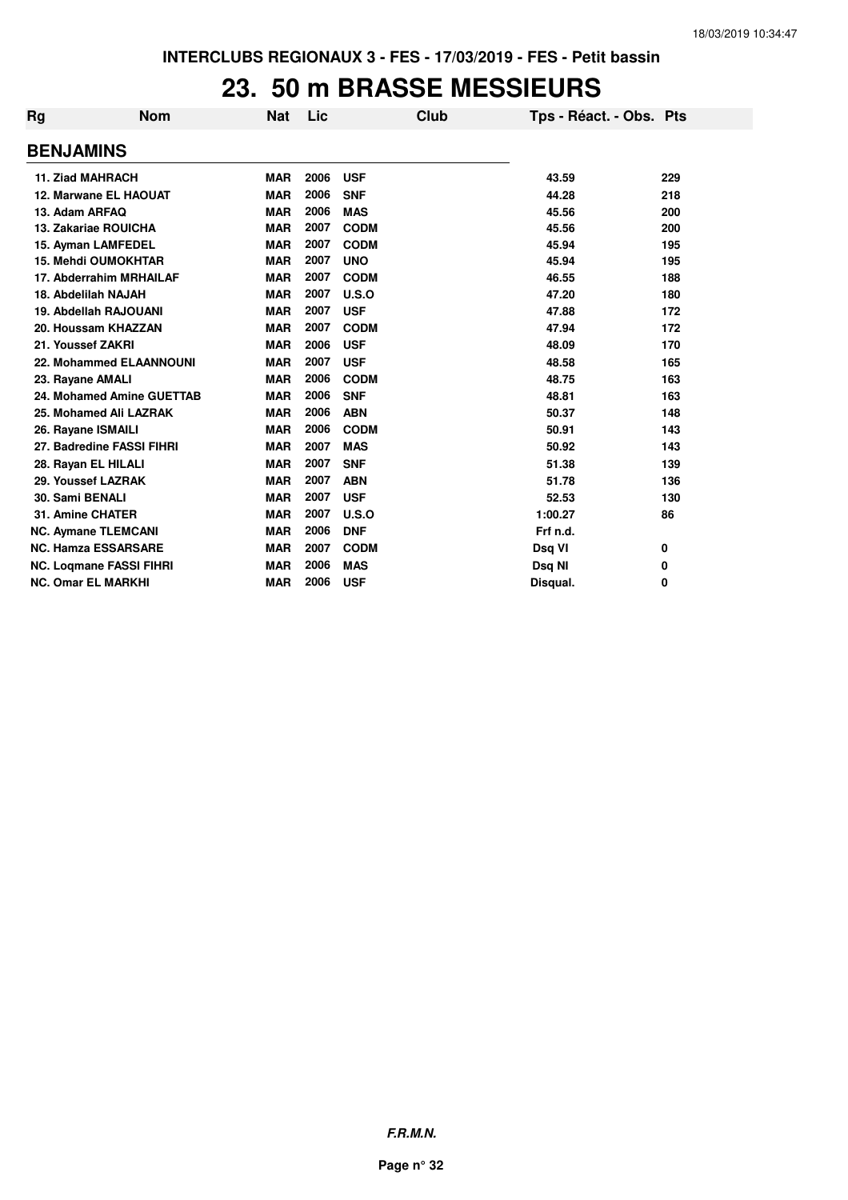#### **23. 50 m BRASSE MESSIEURS**

| Rg | <b>Nom</b>                     | <b>Nat</b> | Lic  | Club        | Tps - Réact. - Obs. Pts |     |
|----|--------------------------------|------------|------|-------------|-------------------------|-----|
|    | <b>BENJAMINS</b>               |            |      |             |                         |     |
|    | <b>11. Ziad MAHRACH</b>        | <b>MAR</b> | 2006 | <b>USF</b>  | 43.59                   | 229 |
|    | 12. Marwane EL HAOUAT          | <b>MAR</b> | 2006 | <b>SNF</b>  | 44.28                   | 218 |
|    | 13. Adam ARFAQ                 | <b>MAR</b> | 2006 | <b>MAS</b>  | 45.56                   | 200 |
|    | <b>13. Zakariae ROUICHA</b>    | <b>MAR</b> | 2007 | <b>CODM</b> | 45.56                   | 200 |
|    | 15. Ayman LAMFEDEL             | <b>MAR</b> | 2007 | <b>CODM</b> | 45.94                   | 195 |
|    | <b>15. Mehdi OUMOKHTAR</b>     | <b>MAR</b> | 2007 | <b>UNO</b>  | 45.94                   | 195 |
|    | 17. Abderrahim MRHAILAF        | <b>MAR</b> | 2007 | <b>CODM</b> | 46.55                   | 188 |
|    | 18. Abdelilah NAJAH            | <b>MAR</b> | 2007 | U.S.O       | 47.20                   | 180 |
|    | 19. Abdellah RAJOUANI          | <b>MAR</b> | 2007 | <b>USF</b>  | 47.88                   | 172 |
|    | 20. Houssam KHAZZAN            | <b>MAR</b> | 2007 | <b>CODM</b> | 47.94                   | 172 |
|    | 21. Youssef ZAKRI              | <b>MAR</b> | 2006 | <b>USF</b>  | 48.09                   | 170 |
|    | <b>22. Mohammed ELAANNOUNI</b> | <b>MAR</b> | 2007 | <b>USF</b>  | 48.58                   | 165 |
|    | 23. Rayane AMALI               | <b>MAR</b> | 2006 | <b>CODM</b> | 48.75                   | 163 |
|    | 24. Mohamed Amine GUETTAB      | <b>MAR</b> | 2006 | <b>SNF</b>  | 48.81                   | 163 |
|    | 25. Mohamed Ali LAZRAK         | <b>MAR</b> | 2006 | <b>ABN</b>  | 50.37                   | 148 |
|    | 26. Rayane ISMAILI             | <b>MAR</b> | 2006 | <b>CODM</b> | 50.91                   | 143 |
|    | 27. Badredine FASSI FIHRI      | <b>MAR</b> | 2007 | <b>MAS</b>  | 50.92                   | 143 |
|    | 28. Rayan EL HILALI            | <b>MAR</b> | 2007 | <b>SNF</b>  | 51.38                   | 139 |
|    | 29. Youssef LAZRAK             | <b>MAR</b> | 2007 | <b>ABN</b>  | 51.78                   | 136 |
|    | 30. Sami BENALI                | <b>MAR</b> | 2007 | <b>USF</b>  | 52.53                   | 130 |
|    | 31. Amine CHATER               | <b>MAR</b> | 2007 | U.S.O       | 1:00.27                 | 86  |
|    | <b>NC. Aymane TLEMCANI</b>     | <b>MAR</b> | 2006 | <b>DNF</b>  | Frf n.d.                |     |
|    | <b>NC. Hamza ESSARSARE</b>     | <b>MAR</b> | 2007 | <b>CODM</b> | Dsq VI                  | 0   |
|    | <b>NC. Logmane FASSI FIHRI</b> | <b>MAR</b> | 2006 | <b>MAS</b>  | Dsq NI                  | 0   |
|    | <b>NC. Omar EL MARKHI</b>      | <b>MAR</b> | 2006 | <b>USF</b>  | Disqual.                | 0   |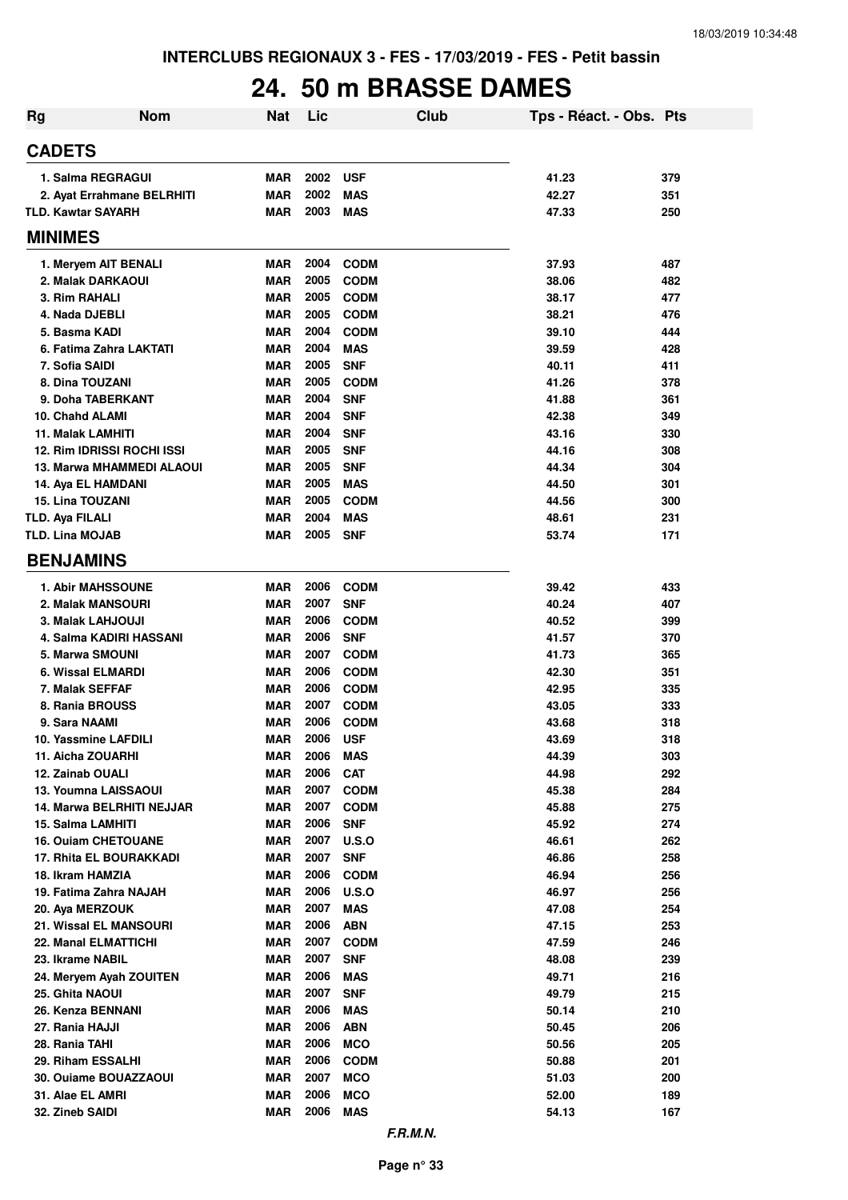## **24. 50 m BRASSE DAMES**

| <b>Rg</b> | <b>Nom</b>                       | <b>Nat</b>               | Lic          | Club                       | Tps - Réact. - Obs. Pts |            |
|-----------|----------------------------------|--------------------------|--------------|----------------------------|-------------------------|------------|
|           | <b>CADETS</b>                    |                          |              |                            |                         |            |
|           | 1. Salma REGRAGUI                | <b>MAR</b>               | 2002         | <b>USF</b>                 | 41.23                   | 379        |
|           | 2. Ayat Errahmane BELRHITI       | <b>MAR</b>               | 2002         | <b>MAS</b>                 | 42.27                   | 351        |
|           | <b>TLD. Kawtar SAYARH</b>        | <b>MAR</b>               | 2003         | <b>MAS</b>                 | 47.33                   | 250        |
|           | <b>MINIMES</b>                   |                          |              |                            |                         |            |
|           | 1. Meryem AIT BENALI             | <b>MAR</b>               | 2004         | <b>CODM</b>                | 37.93                   | 487        |
|           | 2. Malak DARKAOUI                | <b>MAR</b>               | 2005         | <b>CODM</b>                | 38.06                   | 482        |
|           | 3. Rim RAHALI                    | <b>MAR</b>               | 2005         | <b>CODM</b>                | 38.17                   | 477        |
|           | 4. Nada DJEBLI                   | <b>MAR</b>               | 2005         | <b>CODM</b>                | 38.21                   | 476        |
|           | 5. Basma KADI                    | <b>MAR</b>               | 2004         | <b>CODM</b>                | 39.10                   | 444        |
|           | 6. Fatima Zahra LAKTATI          | <b>MAR</b>               | 2004         | <b>MAS</b>                 | 39.59                   | 428        |
|           | 7. Sofia SAIDI                   | <b>MAR</b>               | 2005         | <b>SNF</b>                 | 40.11                   | 411        |
|           | 8. Dina TOUZANI                  | <b>MAR</b>               | 2005         | <b>CODM</b>                | 41.26                   | 378        |
|           | 9. Doha TABERKANT                | <b>MAR</b>               | 2004         | <b>SNF</b>                 | 41.88                   | 361        |
|           | 10. Chahd ALAMI                  | <b>MAR</b>               | 2004         | <b>SNF</b>                 | 42.38                   | 349        |
|           | 11. Malak LAMHITI                | <b>MAR</b>               | 2004         | <b>SNF</b>                 | 43.16                   | 330        |
|           | 12. Rim IDRISSI ROCHI ISSI       | <b>MAR</b>               | 2005         | <b>SNF</b>                 | 44.16                   | 308        |
|           | 13. Marwa MHAMMEDI ALAOUI        | <b>MAR</b>               | 2005         | <b>SNF</b>                 | 44.34                   | 304        |
|           | 14. Aya EL HAMDANI               | <b>MAR</b>               | 2005         | <b>MAS</b>                 | 44.50                   | 301        |
|           | <b>15. Lina TOUZANI</b>          | <b>MAR</b>               | 2005         | <b>CODM</b>                | 44.56                   | 300        |
|           | <b>TLD. Aya FILALI</b>           | <b>MAR</b>               | 2004         | <b>MAS</b>                 | 48.61                   | 231        |
|           | <b>TLD. Lina MOJAB</b>           | <b>MAR</b>               | 2005         | <b>SNF</b>                 | 53.74                   | 171        |
|           | <b>BENJAMINS</b>                 |                          |              |                            |                         |            |
|           | <b>1. Abir MAHSSOUNE</b>         | <b>MAR</b>               | 2006         | <b>CODM</b>                | 39.42                   | 433        |
|           | 2. Malak MANSOURI                | <b>MAR</b>               | 2007         | <b>SNF</b>                 | 40.24                   | 407        |
|           | 3. Malak LAHJOUJI                | <b>MAR</b>               | 2006         | <b>CODM</b>                | 40.52                   | 399        |
|           | 4. Salma KADIRI HASSANI          | <b>MAR</b>               | 2006         | <b>SNF</b>                 | 41.57                   | 370        |
|           | 5. Marwa SMOUNI                  | <b>MAR</b>               | 2007         | <b>CODM</b>                | 41.73                   | 365        |
|           | 6. Wissal ELMARDI                | <b>MAR</b>               | 2006         | <b>CODM</b>                | 42.30                   | 351        |
|           | 7. Malak SEFFAF                  | <b>MAR</b>               | 2006<br>2007 | <b>CODM</b>                | 42.95                   | 335        |
|           | 8. Rania BROUSS<br>9. Sara NAAMI | <b>MAR</b><br><b>MAR</b> | 2006         | <b>CODM</b><br><b>CODM</b> | 43.05<br>43.68          | 333<br>318 |
|           | 10. Yassmine LAFDILI             | <b>MAR</b>               | 2006         | <b>USF</b>                 | 43.69                   | 318        |
|           | 11. Aicha ZOUARHI                | <b>MAR</b>               | 2006         | <b>MAS</b>                 | 44.39                   | 303        |
|           | 12. Zainab OUALI                 | <b>MAR</b>               | 2006         | <b>CAT</b>                 | 44.98                   | 292        |
|           | 13. Youmna LAISSAOUI             | <b>MAR</b>               | 2007         | <b>CODM</b>                | 45.38                   | 284        |
|           | 14. Marwa BELRHITI NEJJAR        | <b>MAR</b>               | 2007         | <b>CODM</b>                | 45.88                   | 275        |
|           | 15. Salma LAMHITI                | <b>MAR</b>               | 2006         | <b>SNF</b>                 | 45.92                   | 274        |
|           | <b>16. Ouiam CHETOUANE</b>       | <b>MAR</b>               | 2007         | U.S.O                      | 46.61                   | 262        |
|           | 17. Rhita EL BOURAKKADI          | <b>MAR</b>               | 2007         | <b>SNF</b>                 | 46.86                   | 258        |
|           | 18. Ikram HAMZIA                 | <b>MAR</b>               | 2006         | <b>CODM</b>                | 46.94                   | 256        |
|           | 19. Fatima Zahra NAJAH           | <b>MAR</b>               | 2006         | U.S.O                      | 46.97                   | 256        |
|           | 20. Aya MERZOUK                  | <b>MAR</b>               | 2007         | <b>MAS</b>                 | 47.08                   | 254        |
|           | 21. Wissal EL MANSOURI           | <b>MAR</b>               | 2006         | <b>ABN</b>                 | 47.15                   | 253        |
|           | 22. Manal ELMATTICHI             | <b>MAR</b>               | 2007         | <b>CODM</b>                | 47.59                   | 246        |
|           | 23. Ikrame NABIL                 | <b>MAR</b>               | 2007         | <b>SNF</b>                 | 48.08                   | 239        |
|           | 24. Meryem Ayah ZOUITEN          | <b>MAR</b>               | 2006         | <b>MAS</b>                 | 49.71                   | 216        |
|           | 25. Ghita NAOUI                  | <b>MAR</b>               | 2007         | <b>SNF</b>                 | 49.79                   | 215        |
|           | 26. Kenza BENNANI                | <b>MAR</b>               | 2006         | <b>MAS</b>                 | 50.14                   | 210        |
|           | 27. Rania HAJJI                  | <b>MAR</b>               | 2006         | <b>ABN</b>                 | 50.45                   | 206        |
|           | 28. Rania TAHI                   | <b>MAR</b>               | 2006         | <b>MCO</b>                 | 50.56                   | 205        |
|           | 29. Riham ESSALHI                | <b>MAR</b>               | 2006         | <b>CODM</b>                | 50.88                   | 201        |
|           | 30. Ouiame BOUAZZAOUI            | <b>MAR</b>               | 2007         | <b>MCO</b>                 | 51.03                   | 200        |
|           | 31. Alae EL AMRI                 | <b>MAR</b>               | 2006         | <b>MCO</b>                 | 52.00                   | 189        |
|           | 32. Zineb SAIDI                  | <b>MAR</b>               | 2006         | <b>MAS</b>                 | 54.13                   | 167        |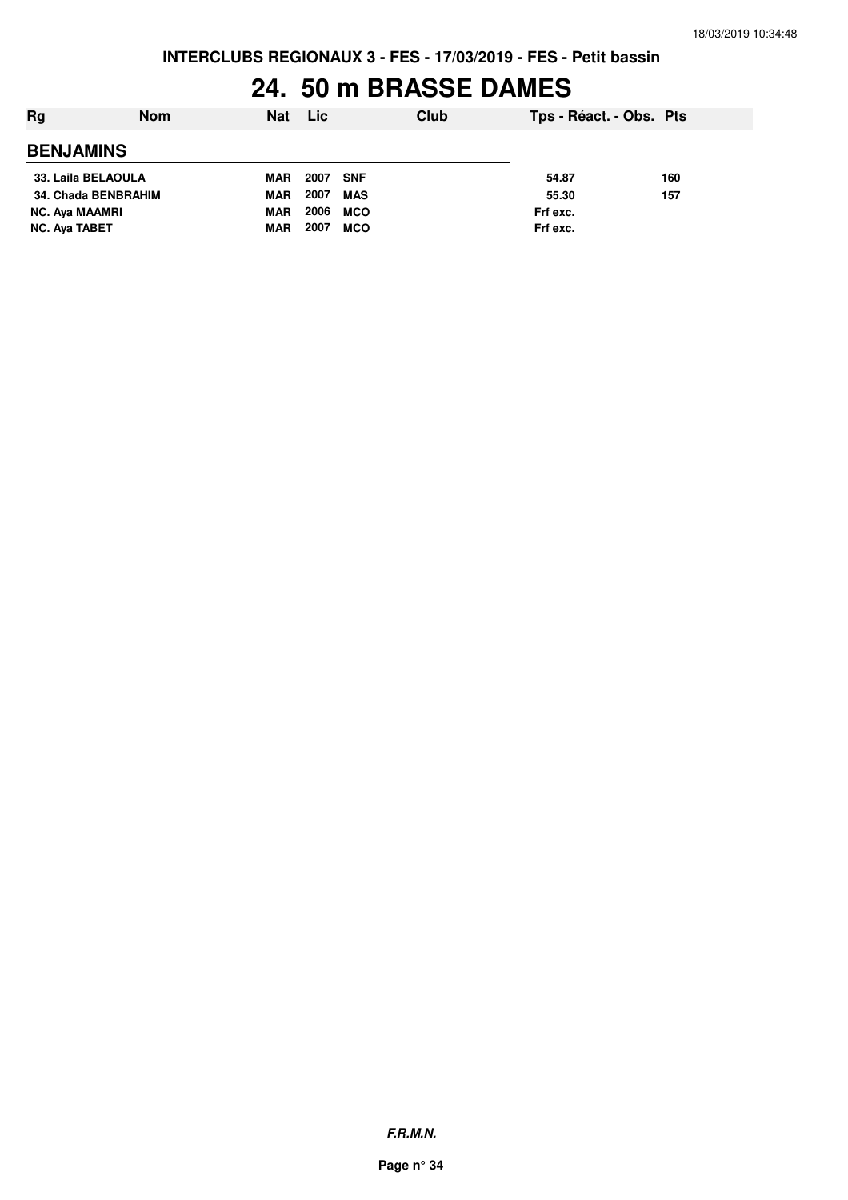## **24. 50 m BRASSE DAMES**

| Rg                    | <b>Nom</b> | Nat        | <b>Lic</b> |            | Club | Tps - Réact. - Obs. Pts |     |
|-----------------------|------------|------------|------------|------------|------|-------------------------|-----|
| <b>BENJAMINS</b>      |            |            |            |            |      |                         |     |
| 33. Laila BELAOULA    |            | <b>MAR</b> | 2007       | <b>SNF</b> |      | 54.87                   | 160 |
| 34. Chada BENBRAHIM   |            | <b>MAR</b> | 2007       | MAS        |      | 55.30                   | 157 |
| <b>NC. Aya MAAMRI</b> |            | <b>MAR</b> | 2006       | <b>MCO</b> |      | Frf exc.                |     |
| NC. Aya TABET         |            | <b>MAR</b> | 2007       | <b>MCO</b> |      | Frf exc.                |     |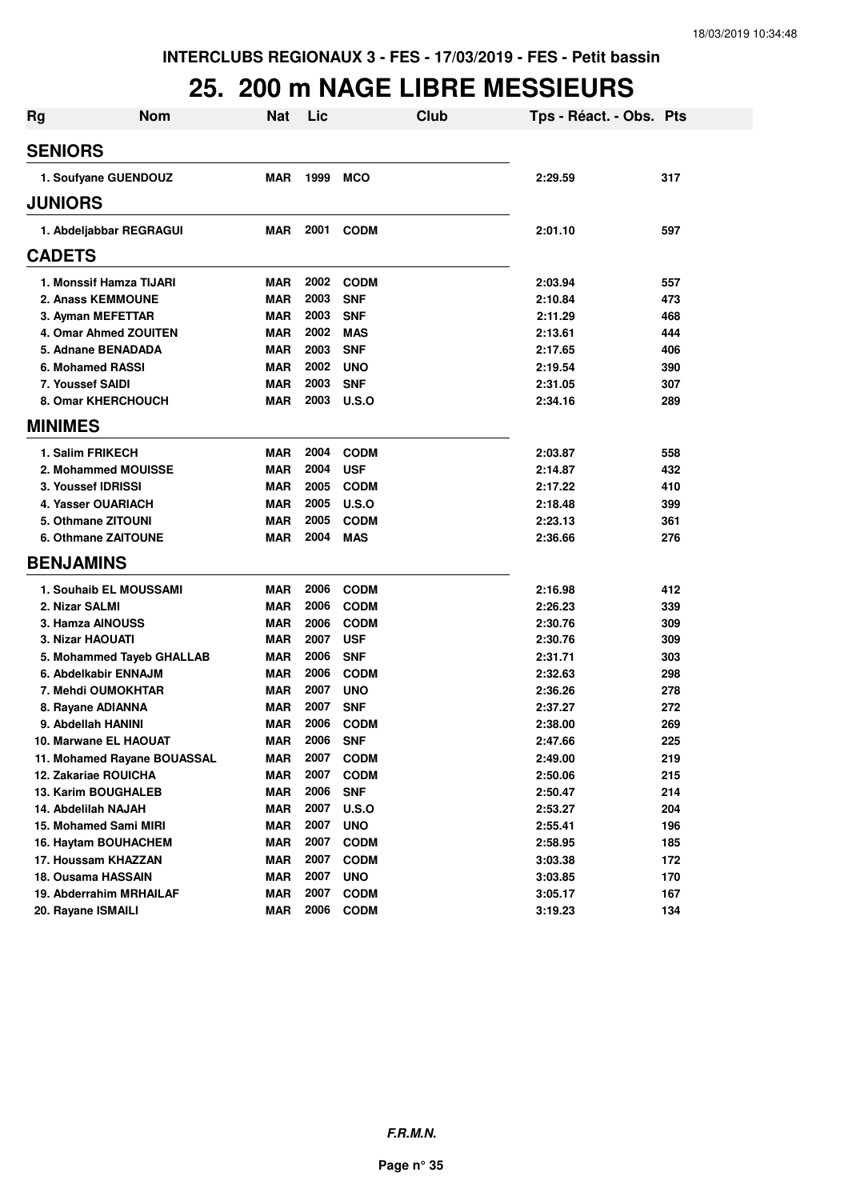#### **25. 200 m NAGE LIBRE MESSIEURS**

| <b>Rg</b> | <b>Nom</b>                              | <b>Nat</b>               | Lic  | Club                      | Tps - Réact. - Obs. Pts |            |
|-----------|-----------------------------------------|--------------------------|------|---------------------------|-------------------------|------------|
|           | <b>SENIORS</b>                          |                          |      |                           |                         |            |
|           | 1. Soufyane GUENDOUZ                    | MAR                      | 1999 | <b>MCO</b>                | 2:29.59                 | 317        |
|           | <b>JUNIORS</b>                          |                          |      |                           |                         |            |
|           | 1. Abdeljabbar REGRAGUI                 | <b>MAR</b>               | 2001 | <b>CODM</b>               | 2:01.10                 | 597        |
|           | <b>CADETS</b>                           |                          |      |                           |                         |            |
|           | 1. Monssif Hamza TIJARI                 | <b>MAR</b>               | 2002 | <b>CODM</b>               | 2:03.94                 | 557        |
|           | 2. Anass KEMMOUNE                       | <b>MAR</b>               | 2003 | <b>SNF</b>                | 2:10.84                 | 473        |
|           | 3. Ayman MEFETTAR                       | <b>MAR</b>               | 2003 | <b>SNF</b>                | 2:11.29                 | 468        |
|           | 4. Omar Ahmed ZOUITEN                   | <b>MAR</b>               | 2002 | <b>MAS</b>                | 2:13.61                 | 444        |
|           | 5. Adnane BENADADA                      | <b>MAR</b>               | 2003 | <b>SNF</b>                | 2:17.65                 | 406        |
|           | 6. Mohamed RASSI                        | <b>MAR</b>               | 2002 | <b>UNO</b>                | 2:19.54                 | 390        |
|           | 7. Youssef SAIDI                        | <b>MAR</b>               | 2003 | <b>SNF</b>                | 2:31.05                 | 307        |
|           | <b>8. Omar KHERCHOUCH</b>               | <b>MAR</b>               | 2003 | U.S.O                     | 2:34.16                 | 289        |
|           | <b>MINIMES</b>                          |                          |      |                           |                         |            |
|           | 1. Salim FRIKECH                        | <b>MAR</b>               | 2004 | <b>CODM</b>               | 2:03.87                 | 558        |
|           | 2. Mohammed MOUISSE                     | <b>MAR</b>               | 2004 | <b>USF</b>                | 2:14.87                 | 432        |
|           | 3. Youssef IDRISSI                      | <b>MAR</b>               | 2005 | <b>CODM</b>               | 2:17.22                 | 410        |
|           | 4. Yasser OUARIACH                      | <b>MAR</b>               | 2005 | U.S.O                     | 2:18.48                 | 399        |
|           | 5. Othmane ZITOUNI                      | <b>MAR</b>               | 2005 | <b>CODM</b>               | 2:23.13                 | 361        |
|           | 6. Othmane ZAITOUNE                     | <b>MAR</b>               | 2004 | <b>MAS</b>                | 2:36.66                 | 276        |
|           | <b>BENJAMINS</b>                        |                          |      |                           |                         |            |
|           | 1. Souhaib EL MOUSSAMI                  | <b>MAR</b>               | 2006 | <b>CODM</b>               | 2:16.98                 | 412        |
|           | 2. Nizar SALMI                          | <b>MAR</b>               | 2006 | <b>CODM</b>               | 2:26.23                 | 339        |
|           | 3. Hamza AINOUSS                        | <b>MAR</b>               | 2006 | <b>CODM</b>               | 2:30.76                 | 309        |
|           | 3. Nizar HAOUATI                        | <b>MAR</b>               | 2007 | <b>USF</b>                | 2:30.76                 | 309        |
|           | 5. Mohammed Tayeb GHALLAB               | <b>MAR</b>               | 2006 | <b>SNF</b>                | 2:31.71                 | 303        |
|           | 6. Abdelkabir ENNAJM                    | <b>MAR</b>               | 2006 | <b>CODM</b>               | 2:32.63                 | 298        |
|           | 7. Mehdi OUMOKHTAR                      | <b>MAR</b>               | 2007 | <b>UNO</b>                | 2:36.26                 | 278        |
|           |                                         | <b>MAR</b>               | 2007 | <b>SNF</b>                | 2:37.27                 | 272        |
|           | 8. Rayane ADIANNA<br>9. Abdellah HANINI | <b>MAR</b>               | 2006 | <b>CODM</b>               | 2:38.00                 | 269        |
|           | 10. Marwane EL HAOUAT                   | <b>MAR</b>               | 2006 | <b>SNF</b>                |                         | 225        |
|           | 11. Mohamed Rayane BOUASSAL             |                          | 2007 | <b>CODM</b>               | 2:47.66<br>2:49.00      | 219        |
|           |                                         | <b>MAR</b>               | 2007 |                           |                         |            |
|           | 12. Zakariae ROUICHA                    | <b>MAR</b><br><b>MAR</b> | 2006 | <b>CODM</b><br><b>SNF</b> | 2:50.06                 | 215<br>214 |
|           | 13. Karim BOUGHALEB                     |                          | 2007 |                           | 2:50.47                 |            |
|           | 14. Abdelilah NAJAH                     | <b>MAR</b>               |      | U.S.O                     | 2:53.27                 | 204        |
|           | 15. Mohamed Sami MIRI                   | <b>MAR</b>               | 2007 | <b>UNO</b>                | 2:55.41                 | 196        |
|           | 16. Haytam BOUHACHEM                    | <b>MAR</b>               | 2007 | <b>CODM</b>               | 2:58.95                 | 185        |
|           | 17. Houssam KHAZZAN                     | <b>MAR</b>               | 2007 | <b>CODM</b>               | 3:03.38                 | 172        |
|           | 18. Ousama HASSAIN                      | <b>MAR</b>               | 2007 | <b>UNO</b>                | 3:03.85                 | 170        |
|           | 19. Abderrahim MRHAILAF                 | <b>MAR</b>               | 2007 | <b>CODM</b>               | 3:05.17                 | 167        |
|           | 20. Rayane ISMAILI                      | <b>MAR</b>               | 2006 | <b>CODM</b>               | 3:19.23                 | 134        |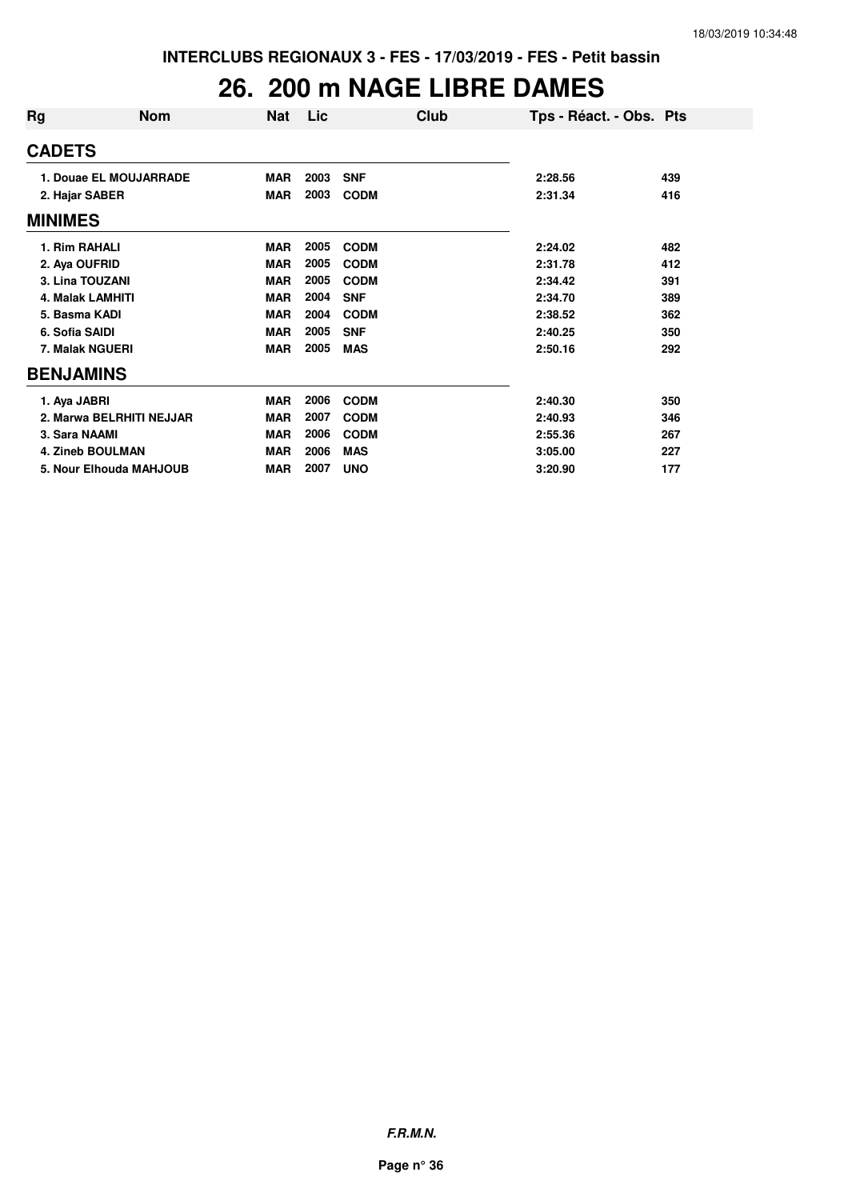#### **26. 200 m NAGE LIBRE DAMES**

| Rg               | <b>Nom</b>               | Nat        | Lic  | Club        | Tps - Réact. - Obs. Pts |     |
|------------------|--------------------------|------------|------|-------------|-------------------------|-----|
| <b>CADETS</b>    |                          |            |      |             |                         |     |
|                  | 1. Douae EL MOUJARRADE   | <b>MAR</b> | 2003 | <b>SNF</b>  | 2:28.56                 | 439 |
| 2. Hajar SABER   |                          | <b>MAR</b> | 2003 | <b>CODM</b> | 2:31.34                 | 416 |
| <b>MINIMES</b>   |                          |            |      |             |                         |     |
| 1. Rim RAHALI    |                          | <b>MAR</b> | 2005 | <b>CODM</b> | 2:24.02                 | 482 |
| 2. Aya OUFRID    |                          | <b>MAR</b> | 2005 | <b>CODM</b> | 2:31.78                 | 412 |
|                  | 3. Lina TOUZANI          | <b>MAR</b> | 2005 | <b>CODM</b> | 2:34.42                 | 391 |
|                  | <b>4. Malak LAMHITI</b>  | <b>MAR</b> | 2004 | <b>SNF</b>  | 2:34.70                 | 389 |
| 5. Basma KADI    |                          | <b>MAR</b> | 2004 | <b>CODM</b> | 2:38.52                 | 362 |
| 6. Sofia SAIDI   |                          | <b>MAR</b> | 2005 | <b>SNF</b>  | 2:40.25                 | 350 |
|                  | 7. Malak NGUERI          | <b>MAR</b> | 2005 | <b>MAS</b>  | 2:50.16                 | 292 |
| <b>BENJAMINS</b> |                          |            |      |             |                         |     |
| 1. Aya JABRI     |                          | <b>MAR</b> | 2006 | <b>CODM</b> | 2:40.30                 | 350 |
|                  | 2. Marwa BELRHITI NEJJAR | <b>MAR</b> | 2007 | <b>CODM</b> | 2:40.93                 | 346 |
| 3. Sara NAAMI    |                          | <b>MAR</b> | 2006 | <b>CODM</b> | 2:55.36                 | 267 |
|                  | <b>4. Zineb BOULMAN</b>  | <b>MAR</b> | 2006 | <b>MAS</b>  | 3:05.00                 | 227 |
|                  | 5. Nour Elhouda MAHJOUB  | <b>MAR</b> | 2007 | <b>UNO</b>  | 3:20.90                 | 177 |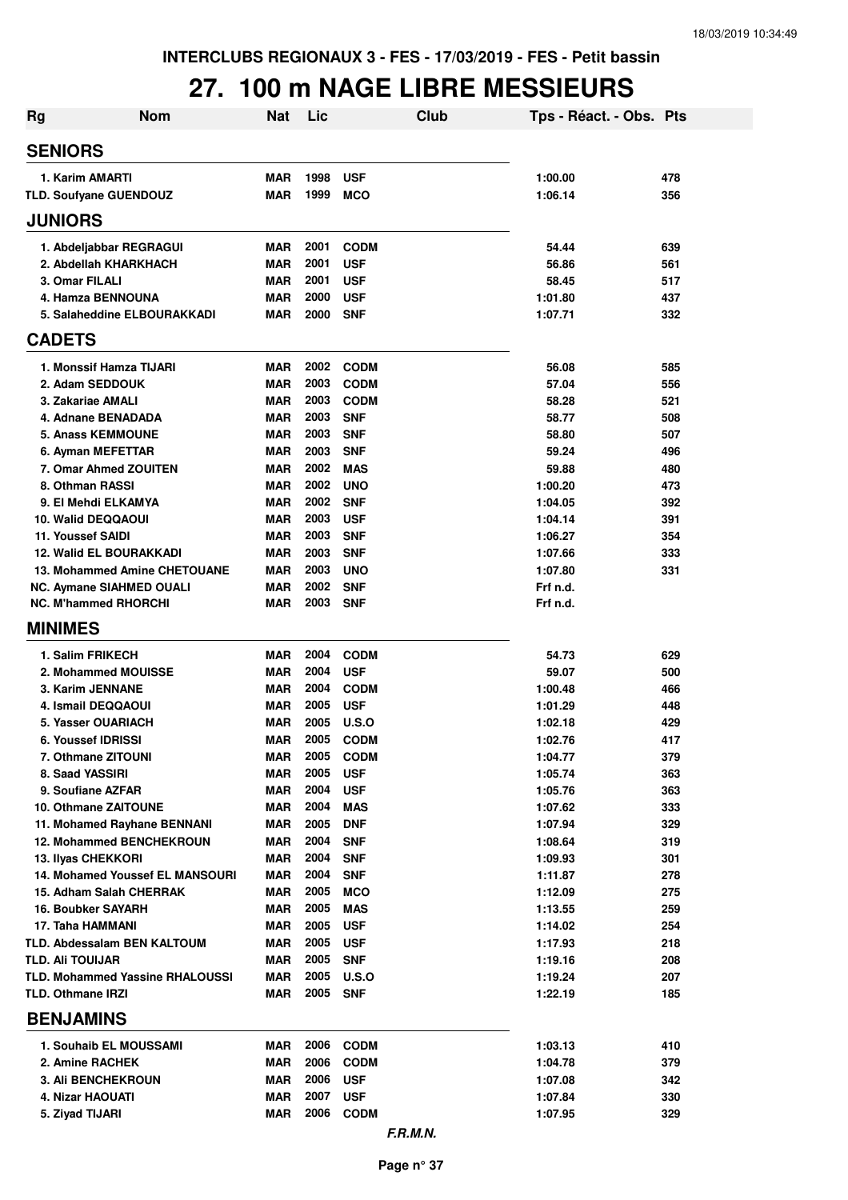## **27. 100 m NAGE LIBRE MESSIEURS**

| <b>Nom</b><br><b>Rg</b>                                       | <b>Nat</b>               | Lic          | Club                       | Tps - Réact. - Obs. Pts |            |
|---------------------------------------------------------------|--------------------------|--------------|----------------------------|-------------------------|------------|
| <b>SENIORS</b>                                                |                          |              |                            |                         |            |
| 1. Karim AMARTI                                               | <b>MAR</b>               | 1998         | <b>USF</b>                 | 1:00.00                 | 478        |
| TLD. Soufyane GUENDOUZ                                        | <b>MAR</b>               | 1999         | <b>MCO</b>                 | 1:06.14                 | 356        |
| <b>JUNIORS</b>                                                |                          |              |                            |                         |            |
| 1. Abdeljabbar REGRAGUI                                       | <b>MAR</b>               | 2001         | <b>CODM</b>                | 54.44                   | 639        |
| 2. Abdellah KHARKHACH                                         | <b>MAR</b>               | 2001         | <b>USF</b>                 | 56.86                   | 561        |
| 3. Omar FILALI                                                | <b>MAR</b>               | 2001         | <b>USF</b>                 | 58.45                   | 517        |
| 4. Hamza BENNOUNA                                             | MAR                      | 2000         | <b>USF</b>                 | 1:01.80                 | 437        |
| 5. Salaheddine ELBOURAKKADI                                   | MAR                      | 2000         | <b>SNF</b>                 | 1:07.71                 | 332        |
| <b>CADETS</b>                                                 |                          |              |                            |                         |            |
| 1. Monssif Hamza TIJARI                                       | MAR                      | 2002         | <b>CODM</b>                | 56.08                   | 585        |
| 2. Adam SEDDOUK                                               | <b>MAR</b>               | 2003         | <b>CODM</b>                | 57.04                   | 556        |
| 3. Zakariae AMALI                                             | <b>MAR</b>               | 2003         | <b>CODM</b>                | 58.28                   | 521        |
| 4. Adnane BENADADA<br><b>5. Anass KEMMOUNE</b>                | <b>MAR</b><br><b>MAR</b> | 2003<br>2003 | <b>SNF</b><br><b>SNF</b>   | 58.77<br>58.80          | 508<br>507 |
| 6. Ayman MEFETTAR                                             | <b>MAR</b>               | 2003         | <b>SNF</b>                 | 59.24                   | 496        |
| 7. Omar Ahmed ZOUITEN                                         | <b>MAR</b>               | 2002         | <b>MAS</b>                 | 59.88                   | 480        |
| 8. Othman RASSI                                               | MAR                      | 2002         | <b>UNO</b>                 | 1:00.20                 | 473        |
| 9. El Mehdi ELKAMYA                                           | <b>MAR</b>               | 2002         | <b>SNF</b>                 | 1:04.05                 | 392        |
| 10. Walid DEQQAOUI                                            | <b>MAR</b>               | 2003         | <b>USF</b>                 | 1:04.14                 | 391        |
| 11. Youssef SAIDI                                             | <b>MAR</b>               | 2003         | <b>SNF</b>                 | 1:06.27                 | 354        |
| <b>12. Walid EL BOURAKKADI</b>                                | <b>MAR</b>               | 2003         | <b>SNF</b>                 | 1:07.66                 | 333        |
| 13. Mohammed Amine CHETOUANE                                  | <b>MAR</b>               | 2003         | <b>UNO</b>                 | 1:07.80                 | 331        |
| NC. Aymane SIAHMED OUALI                                      | <b>MAR</b>               | 2002         | <b>SNF</b>                 | Frf n.d.                |            |
| <b>NC. M'hammed RHORCHI</b>                                   | MAR                      | 2003         | <b>SNF</b>                 | Frf n.d.                |            |
| <b>MINIMES</b>                                                |                          |              |                            |                         |            |
| 1. Salim FRIKECH                                              | <b>MAR</b>               | 2004         | <b>CODM</b>                | 54.73                   | 629        |
| 2. Mohammed MOUISSE                                           | <b>MAR</b>               | 2004         | <b>USF</b>                 | 59.07                   | 500        |
| 3. Karim JENNANE                                              | <b>MAR</b>               | 2004         | <b>CODM</b>                | 1:00.48                 | 466        |
| 4. Ismail DEQQAOUI                                            | <b>MAR</b>               | 2005         | <b>USF</b>                 | 1:01.29                 | 448        |
| 5. Yasser OUARIACH<br>6. Youssef IDRISSI                      | <b>MAR</b><br><b>MAR</b> | 2005<br>2005 | U.S.O                      | 1:02.18                 | 429        |
| 7. Othmane ZITOUNI                                            | MAR                      | 2005         | <b>CODM</b><br><b>CODM</b> | 1:02.76<br>1:04.77      | 417<br>379 |
| 8. Saad YASSIRI                                               | MAR                      | 2005         | <b>USF</b>                 | 1:05.74                 | 363        |
| 9. Soufiane AZFAR                                             | <b>MAR</b>               | 2004         | <b>USF</b>                 | 1:05.76                 | 363        |
| 10. Othmane ZAITOUNE                                          | MAR                      | 2004         | <b>MAS</b>                 | 1:07.62                 | 333        |
| 11. Mohamed Rayhane BENNANI                                   | MAR                      | 2005         | <b>DNF</b>                 | 1:07.94                 | 329        |
| 12. Mohammed BENCHEKROUN                                      | MAR                      | 2004         | <b>SNF</b>                 | 1:08.64                 | 319        |
| <b>13. Ilyas CHEKKORI</b>                                     | <b>MAR</b>               | 2004         | <b>SNF</b>                 | 1:09.93                 | 301        |
| <b>14. Mohamed Youssef EL MANSOURI</b>                        | MAR                      | 2004         | <b>SNF</b>                 | 1:11.87                 | 278        |
| 15. Adham Salah CHERRAK                                       | MAR                      | 2005         | <b>MCO</b>                 | 1:12.09                 | 275        |
| <b>16. Boubker SAYARH</b>                                     | MAR                      | 2005         | MAS                        | 1:13.55                 | 259        |
| 17. Taha HAMMANI                                              | MAR                      | 2005         | <b>USF</b>                 | 1:14.02                 | 254        |
| <b>TLD. Abdessalam BEN KALTOUM</b><br><b>TLD. Ali TOUIJAR</b> | <b>MAR</b><br><b>MAR</b> | 2005<br>2005 | <b>USF</b><br><b>SNF</b>   | 1:17.93<br>1:19.16      | 218<br>208 |
| <b>TLD. Mohammed Yassine RHALOUSSI</b>                        | <b>MAR</b>               | 2005         | U.S.O                      | 1:19.24                 | 207        |
| <b>TLD. Othmane IRZI</b>                                      | <b>MAR</b>               | 2005         | <b>SNF</b>                 | 1:22.19                 | 185        |
| <b>BENJAMINS</b>                                              |                          |              |                            |                         |            |
| 1. Souhaib EL MOUSSAMI                                        | MAR                      | 2006         | <b>CODM</b>                | 1:03.13                 | 410        |
| 2. Amine RACHEK                                               | MAR                      | 2006         | <b>CODM</b>                | 1:04.78                 | 379        |
| <b>3. Ali BENCHEKROUN</b>                                     | <b>MAR</b>               | 2006         | <b>USF</b>                 | 1:07.08                 | 342        |
| 4. Nizar HAOUATI                                              | <b>MAR</b>               | 2007         | <b>USF</b>                 | 1:07.84                 | 330        |
| 5. Ziyad TIJARI                                               | <b>MAR</b>               | 2006         | <b>CODM</b>                | 1:07.95                 | 329        |
|                                                               |                          |              | F.R.M.N.                   |                         |            |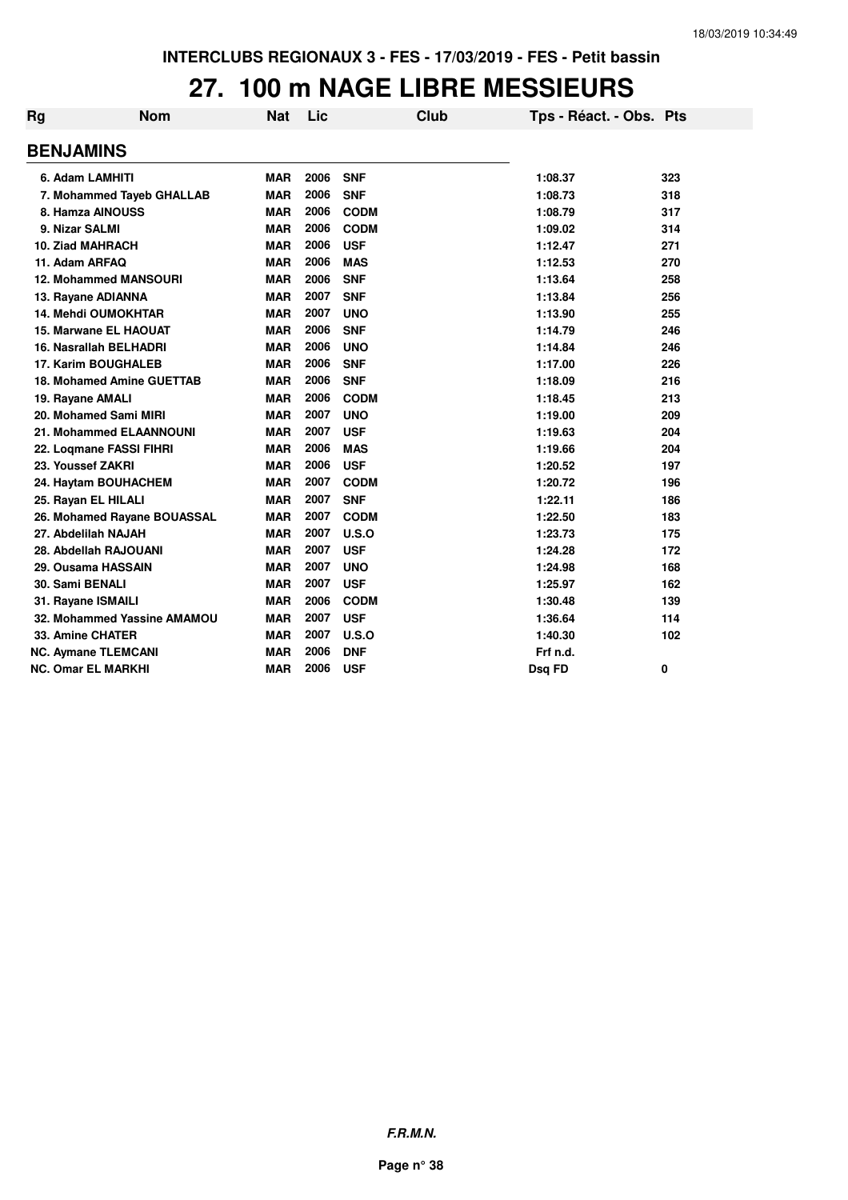#### **27. 100 m NAGE LIBRE MESSIEURS**

| Rg               | <b>Nom</b>                   | Nat        | Lic  | Club        | Tps - Réact. - Obs. Pts |     |
|------------------|------------------------------|------------|------|-------------|-------------------------|-----|
| <b>BENJAMINS</b> |                              |            |      |             |                         |     |
|                  | 6. Adam LAMHITI              | <b>MAR</b> | 2006 | <b>SNF</b>  | 1:08.37                 | 323 |
|                  | 7. Mohammed Tayeb GHALLAB    | <b>MAR</b> | 2006 | <b>SNF</b>  | 1:08.73                 | 318 |
|                  | 8. Hamza AINOUSS             | <b>MAR</b> | 2006 | <b>CODM</b> | 1:08.79                 | 317 |
| 9. Nizar SALMI   |                              | <b>MAR</b> | 2006 | <b>CODM</b> | 1:09.02                 | 314 |
|                  | <b>10. Ziad MAHRACH</b>      | <b>MAR</b> | 2006 | <b>USF</b>  | 1:12.47                 | 271 |
| 11. Adam ARFAQ   |                              | <b>MAR</b> | 2006 | <b>MAS</b>  | 1:12.53                 | 270 |
|                  | <b>12. Mohammed MANSOURI</b> | <b>MAR</b> | 2006 | <b>SNF</b>  | 1:13.64                 | 258 |
|                  | 13. Rayane ADIANNA           | <b>MAR</b> | 2007 | <b>SNF</b>  | 1:13.84                 | 256 |
|                  | <b>14. Mehdi OUMOKHTAR</b>   | <b>MAR</b> | 2007 | <b>UNO</b>  | 1:13.90                 | 255 |
|                  | 15. Marwane EL HAOUAT        | <b>MAR</b> | 2006 | <b>SNF</b>  | 1:14.79                 | 246 |
|                  | 16. Nasrallah BELHADRI       | <b>MAR</b> | 2006 | <b>UNO</b>  | 1:14.84                 | 246 |
|                  | 17. Karim BOUGHALEB          | <b>MAR</b> | 2006 | <b>SNF</b>  | 1:17.00                 | 226 |
|                  | 18. Mohamed Amine GUETTAB    | <b>MAR</b> | 2006 | <b>SNF</b>  | 1:18.09                 | 216 |
| 19. Rayane AMALI |                              | <b>MAR</b> | 2006 | <b>CODM</b> | 1:18.45                 | 213 |
|                  | 20. Mohamed Sami MIRI        | <b>MAR</b> | 2007 | <b>UNO</b>  | 1:19.00                 | 209 |
|                  | 21. Mohammed ELAANNOUNI      | <b>MAR</b> | 2007 | <b>USF</b>  | 1:19.63                 | 204 |
|                  | 22. Loqmane FASSI FIHRI      | <b>MAR</b> | 2006 | <b>MAS</b>  | 1:19.66                 | 204 |
|                  | 23. Youssef ZAKRI            | <b>MAR</b> | 2006 | <b>USF</b>  | 1:20.52                 | 197 |
|                  | 24. Haytam BOUHACHEM         | <b>MAR</b> | 2007 | <b>CODM</b> | 1:20.72                 | 196 |
|                  | 25. Rayan EL HILALI          | <b>MAR</b> | 2007 | <b>SNF</b>  | 1:22.11                 | 186 |
|                  | 26. Mohamed Rayane BOUASSAL  | <b>MAR</b> | 2007 | <b>CODM</b> | 1:22.50                 | 183 |
|                  | 27. Abdelilah NAJAH          | <b>MAR</b> | 2007 | U.S.O       | 1:23.73                 | 175 |
|                  | 28. Abdellah RAJOUANI        | <b>MAR</b> | 2007 | <b>USF</b>  | 1:24.28                 | 172 |
|                  | 29. Ousama HASSAIN           | <b>MAR</b> | 2007 | <b>UNO</b>  | 1:24.98                 | 168 |
| 30. Sami BENALI  |                              | <b>MAR</b> | 2007 | <b>USF</b>  | 1:25.97                 | 162 |
|                  | 31. Rayane ISMAILI           | <b>MAR</b> | 2006 | <b>CODM</b> | 1:30.48                 | 139 |
|                  | 32. Mohammed Yassine AMAMOU  | <b>MAR</b> | 2007 | <b>USF</b>  | 1:36.64                 | 114 |
|                  | 33. Amine CHATER             | <b>MAR</b> | 2007 | U.S.O       | 1:40.30                 | 102 |
|                  | <b>NC. Aymane TLEMCANI</b>   | <b>MAR</b> | 2006 | <b>DNF</b>  | Frf n.d.                |     |
|                  | <b>NC. Omar EL MARKHI</b>    | <b>MAR</b> | 2006 | <b>USF</b>  | Dsg FD                  | 0   |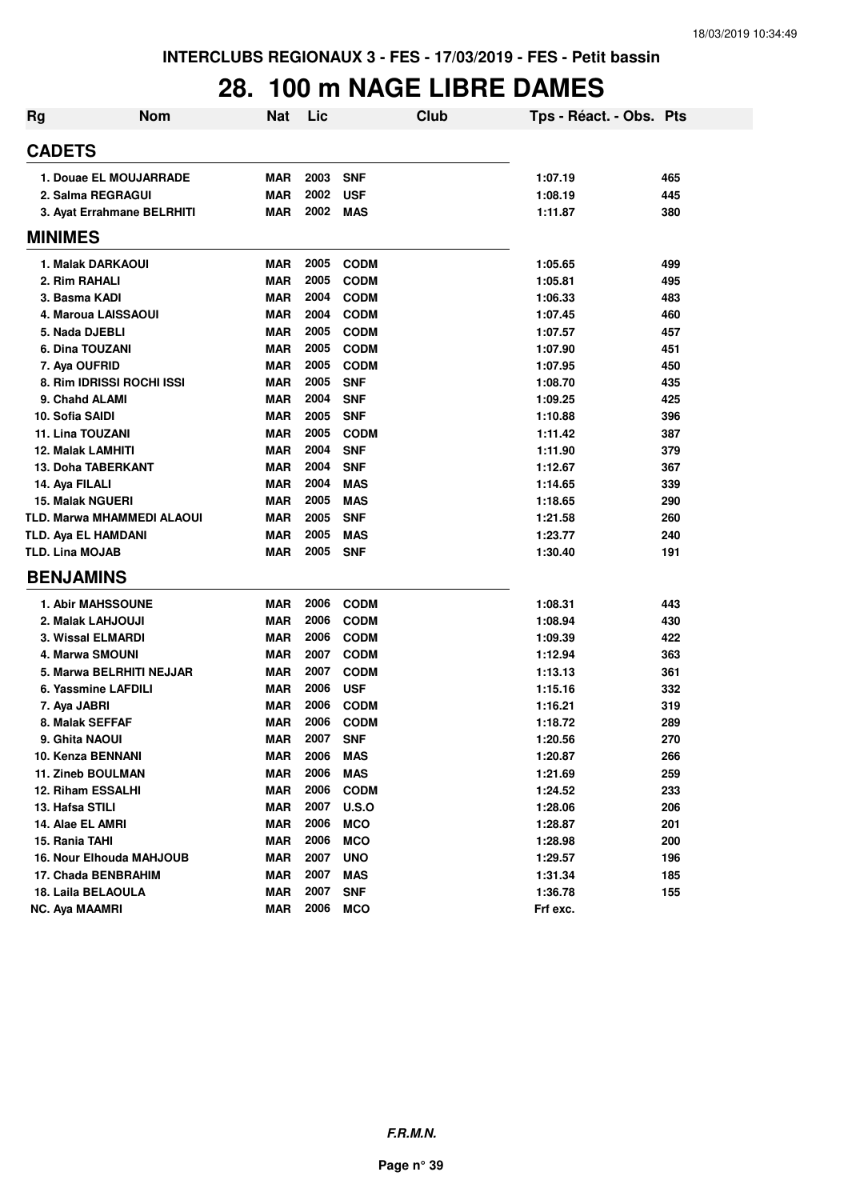## **28. 100 m NAGE LIBRE DAMES**

| <b>Rg</b> | <b>Nom</b>                 | <b>Nat</b> | Lic  | Club         | Tps - Réact. - Obs. Pts |     |
|-----------|----------------------------|------------|------|--------------|-------------------------|-----|
|           | <b>CADETS</b>              |            |      |              |                         |     |
|           | 1. Douae EL MOUJARRADE     | <b>MAR</b> | 2003 | <b>SNF</b>   | 1:07.19                 | 465 |
|           | 2. Salma REGRAGUI          | <b>MAR</b> | 2002 | <b>USF</b>   | 1:08.19                 | 445 |
|           | 3. Ayat Errahmane BELRHITI | MAR        | 2002 | <b>MAS</b>   | 1:11.87                 | 380 |
|           | <b>MINIMES</b>             |            |      |              |                         |     |
|           | 1. Malak DARKAOUI          | <b>MAR</b> | 2005 | <b>CODM</b>  | 1:05.65                 | 499 |
|           | 2. Rim RAHALI              | <b>MAR</b> | 2005 | <b>CODM</b>  | 1:05.81                 | 495 |
|           | 3. Basma KADI              | <b>MAR</b> | 2004 | <b>CODM</b>  | 1:06.33                 | 483 |
|           | 4. Maroua LAISSAOUI        | <b>MAR</b> | 2004 | <b>CODM</b>  | 1:07.45                 | 460 |
|           | 5. Nada DJEBLI             | <b>MAR</b> | 2005 | <b>CODM</b>  | 1:07.57                 | 457 |
|           | 6. Dina TOUZANI            | <b>MAR</b> | 2005 | <b>CODM</b>  | 1:07.90                 | 451 |
|           | 7. Aya OUFRID              | <b>MAR</b> | 2005 | <b>CODM</b>  | 1:07.95                 | 450 |
|           | 8. Rim IDRISSI ROCHI ISSI  | <b>MAR</b> | 2005 | <b>SNF</b>   | 1:08.70                 | 435 |
|           | 9. Chahd ALAMI             | <b>MAR</b> | 2004 | <b>SNF</b>   | 1:09.25                 | 425 |
|           | 10. Sofia SAIDI            | <b>MAR</b> | 2005 | <b>SNF</b>   | 1:10.88                 | 396 |
|           | 11. Lina TOUZANI           | <b>MAR</b> | 2005 | <b>CODM</b>  | 1:11.42                 | 387 |
|           | <b>12. Malak LAMHITI</b>   | <b>MAR</b> | 2004 | <b>SNF</b>   | 1:11.90                 | 379 |
|           | <b>13. Doha TABERKANT</b>  | <b>MAR</b> | 2004 | <b>SNF</b>   | 1:12.67                 | 367 |
|           | 14. Aya FILALI             | <b>MAR</b> | 2004 | <b>MAS</b>   | 1:14.65                 | 339 |
|           | <b>15. Malak NGUERI</b>    | <b>MAR</b> | 2005 | <b>MAS</b>   | 1:18.65                 | 290 |
|           | TLD. Marwa MHAMMEDI ALAOUI | <b>MAR</b> | 2005 | <b>SNF</b>   | 1:21.58                 | 260 |
|           | TLD. Aya EL HAMDANI        | <b>MAR</b> | 2005 | <b>MAS</b>   | 1:23.77                 | 240 |
|           | <b>TLD. Lina MOJAB</b>     | <b>MAR</b> | 2005 | <b>SNF</b>   | 1:30.40                 | 191 |
|           | <b>BENJAMINS</b>           |            |      |              |                         |     |
|           |                            |            |      |              |                         |     |
|           | <b>1. Abir MAHSSOUNE</b>   | <b>MAR</b> | 2006 | <b>CODM</b>  | 1:08.31                 | 443 |
|           | 2. Malak LAHJOUJI          | <b>MAR</b> | 2006 | <b>CODM</b>  | 1:08.94                 | 430 |
|           | 3. Wissal ELMARDI          | <b>MAR</b> | 2006 | <b>CODM</b>  | 1:09.39                 | 422 |
|           | 4. Marwa SMOUNI            | <b>MAR</b> | 2007 | <b>CODM</b>  | 1:12.94                 | 363 |
|           | 5. Marwa BELRHITI NEJJAR   | <b>MAR</b> | 2007 | <b>CODM</b>  | 1:13.13                 | 361 |
|           | 6. Yassmine LAFDILI        | <b>MAR</b> | 2006 | <b>USF</b>   | 1:15.16                 | 332 |
|           | 7. Aya JABRI               | <b>MAR</b> | 2006 | <b>CODM</b>  | 1:16.21                 | 319 |
|           | 8. Malak SEFFAF            | <b>MAR</b> | 2006 | <b>CODM</b>  | 1:18.72                 | 289 |
|           | 9. Ghita NAOUI             | <b>MAR</b> | 2007 | <b>SNF</b>   | 1:20.56                 | 270 |
|           | 10. Kenza BENNANI          | <b>MAR</b> | 2006 | <b>MAS</b>   | 1:20.87                 | 266 |
|           | 11. Zineb BOULMAN          | <b>MAR</b> | 2006 | <b>MAS</b>   | 1:21.69                 | 259 |
|           | 12. Riham ESSALHI          | <b>MAR</b> | 2006 | <b>CODM</b>  | 1:24.52                 | 233 |
|           | 13. Hafsa STILI            | <b>MAR</b> | 2007 | <b>U.S.O</b> | 1:28.06                 | 206 |
|           | 14. Alae EL AMRI           | <b>MAR</b> | 2006 | <b>MCO</b>   | 1:28.87                 | 201 |
|           | 15. Rania TAHI             | <b>MAR</b> | 2006 | <b>MCO</b>   | 1:28.98                 | 200 |
|           | 16. Nour Elhouda MAHJOUB   | <b>MAR</b> | 2007 | <b>UNO</b>   | 1:29.57                 | 196 |
|           | 17. Chada BENBRAHIM        | <b>MAR</b> | 2007 | <b>MAS</b>   | 1:31.34                 | 185 |
|           | 18. Laila BELAOULA         | <b>MAR</b> | 2007 | <b>SNF</b>   | 1:36.78                 | 155 |
|           | <b>NC. Aya MAAMRI</b>      | <b>MAR</b> | 2006 | <b>MCO</b>   | Frf exc.                |     |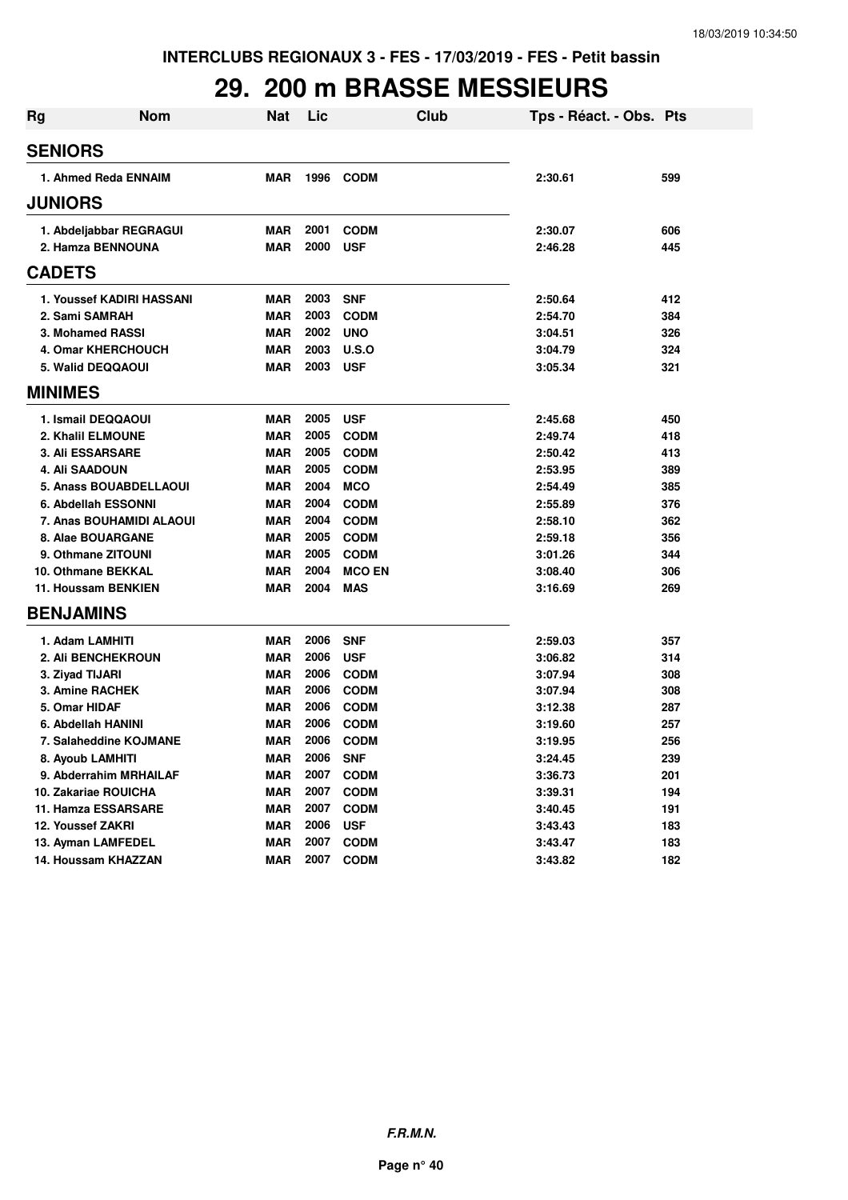## **29. 200 m BRASSE MESSIEURS**

| <b>Rg</b> | <b>Nom</b>                | <b>Nat</b> | Lic  | Club          | Tps - Réact. - Obs. Pts |     |
|-----------|---------------------------|------------|------|---------------|-------------------------|-----|
|           | <b>SENIORS</b>            |            |      |               |                         |     |
|           | 1. Ahmed Reda ENNAIM      | <b>MAR</b> | 1996 | <b>CODM</b>   | 2:30.61                 | 599 |
|           | <b>JUNIORS</b>            |            |      |               |                         |     |
|           | 1. Abdeljabbar REGRAGUI   | <b>MAR</b> | 2001 | <b>CODM</b>   | 2:30.07                 | 606 |
|           | 2. Hamza BENNOUNA         | <b>MAR</b> | 2000 | <b>USF</b>    | 2:46.28                 | 445 |
|           | <b>CADETS</b>             |            |      |               |                         |     |
|           | 1. Youssef KADIRI HASSANI | <b>MAR</b> | 2003 | <b>SNF</b>    | 2:50.64                 | 412 |
|           | 2. Sami SAMRAH            | <b>MAR</b> | 2003 | <b>CODM</b>   | 2:54.70                 | 384 |
|           | 3. Mohamed RASSI          | <b>MAR</b> | 2002 | <b>UNO</b>    | 3:04.51                 | 326 |
|           | <b>4. Omar KHERCHOUCH</b> | <b>MAR</b> | 2003 | U.S.O         | 3:04.79                 | 324 |
|           | 5. Walid DEQQAOUI         | <b>MAR</b> | 2003 | <b>USF</b>    | 3:05.34                 | 321 |
|           | <b>MINIMES</b>            |            |      |               |                         |     |
|           | 1. Ismail DEQQAOUI        | <b>MAR</b> | 2005 | <b>USF</b>    | 2:45.68                 | 450 |
|           | 2. Khalil ELMOUNE         | <b>MAR</b> | 2005 | <b>CODM</b>   | 2:49.74                 | 418 |
|           | <b>3. Ali ESSARSARE</b>   | <b>MAR</b> | 2005 | <b>CODM</b>   | 2:50.42                 | 413 |
|           | 4. Ali SAADOUN            | <b>MAR</b> | 2005 | <b>CODM</b>   | 2:53.95                 | 389 |
|           | 5. Anass BOUABDELLAOUI    | <b>MAR</b> | 2004 | <b>MCO</b>    | 2:54.49                 | 385 |
|           | 6. Abdellah ESSONNI       | <b>MAR</b> | 2004 | <b>CODM</b>   | 2:55.89                 | 376 |
|           | 7. Anas BOUHAMIDI ALAOUI  | <b>MAR</b> | 2004 | <b>CODM</b>   | 2:58.10                 | 362 |
|           | 8. Alae BOUARGANE         | <b>MAR</b> | 2005 | <b>CODM</b>   | 2:59.18                 | 356 |
|           | 9. Othmane ZITOUNI        | <b>MAR</b> | 2005 | <b>CODM</b>   | 3:01.26                 | 344 |
|           | 10. Othmane BEKKAL        | <b>MAR</b> | 2004 | <b>MCO EN</b> | 3:08.40                 | 306 |
|           | 11. Houssam BENKIEN       | <b>MAR</b> | 2004 | <b>MAS</b>    | 3:16.69                 | 269 |
|           | <b>BENJAMINS</b>          |            |      |               |                         |     |
|           | 1. Adam LAMHITI           | <b>MAR</b> | 2006 | <b>SNF</b>    | 2:59.03                 | 357 |
|           | <b>2. Ali BENCHEKROUN</b> | <b>MAR</b> | 2006 | <b>USF</b>    | 3:06.82                 | 314 |
|           | 3. Ziyad TIJARI           | <b>MAR</b> | 2006 | <b>CODM</b>   | 3:07.94                 | 308 |
|           | <b>3. Amine RACHEK</b>    | <b>MAR</b> | 2006 | <b>CODM</b>   | 3:07.94                 | 308 |
|           | 5. Omar HIDAF             | <b>MAR</b> | 2006 | <b>CODM</b>   | 3:12.38                 | 287 |
|           | 6. Abdellah HANINI        | <b>MAR</b> | 2006 | <b>CODM</b>   | 3:19.60                 | 257 |
|           | 7. Salaheddine KOJMANE    | <b>MAR</b> | 2006 | <b>CODM</b>   | 3:19.95                 | 256 |
|           | 8. Ayoub LAMHITI          | MAR        | 2006 | <b>SNF</b>    | 3:24.45                 | 239 |
|           | 9. Abderrahim MRHAILAF    | MAR        | 2007 | <b>CODM</b>   | 3:36.73                 | 201 |
|           | 10. Zakariae ROUICHA      | <b>MAR</b> | 2007 | <b>CODM</b>   | 3:39.31                 | 194 |
|           | 11. Hamza ESSARSARE       | MAR        | 2007 | <b>CODM</b>   | 3:40.45                 | 191 |
|           | 12. Youssef ZAKRI         | <b>MAR</b> | 2006 | <b>USF</b>    | 3:43.43                 | 183 |
|           | 13. Ayman LAMFEDEL        | <b>MAR</b> | 2007 | <b>CODM</b>   | 3:43.47                 | 183 |
|           | 14. Houssam KHAZZAN       | <b>MAR</b> | 2007 | <b>CODM</b>   | 3:43.82                 | 182 |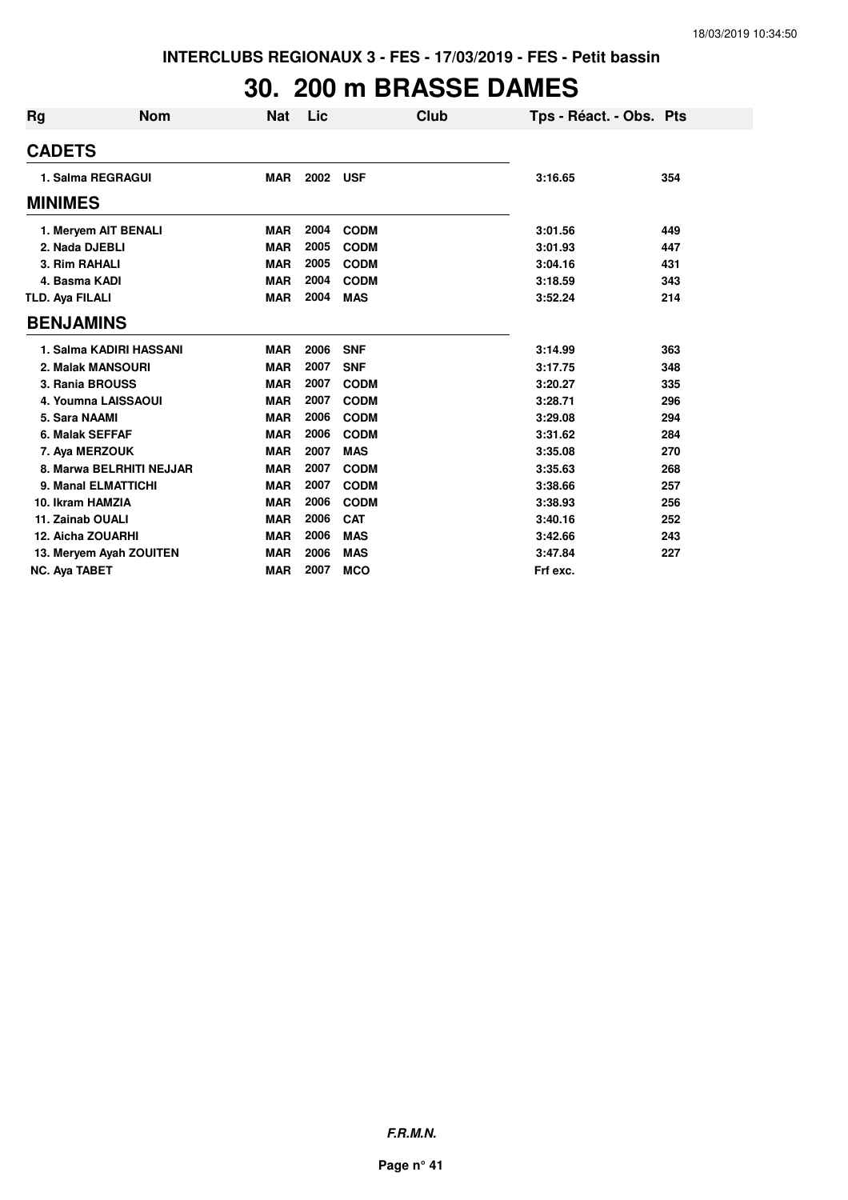# **30. 200 m BRASSE DAMES**

| Rg                     | <b>Nom</b>               | Nat        | Lic  | Club        | Tps - Réact. - Obs. Pts |     |
|------------------------|--------------------------|------------|------|-------------|-------------------------|-----|
| <b>CADETS</b>          |                          |            |      |             |                         |     |
|                        | 1. Salma REGRAGUI        | <b>MAR</b> | 2002 | <b>USF</b>  | 3:16.65                 | 354 |
| <b>MINIMES</b>         |                          |            |      |             |                         |     |
|                        | 1. Meryem AIT BENALI     | <b>MAR</b> | 2004 | <b>CODM</b> | 3:01.56                 | 449 |
|                        | 2. Nada DJEBLI           | <b>MAR</b> | 2005 | <b>CODM</b> | 3:01.93                 | 447 |
|                        | 3. Rim RAHALI            | <b>MAR</b> | 2005 | <b>CODM</b> | 3:04.16                 | 431 |
|                        | 4. Basma KADI            | <b>MAR</b> | 2004 | <b>CODM</b> | 3:18.59                 | 343 |
| <b>TLD. Aya FILALI</b> |                          | <b>MAR</b> | 2004 | <b>MAS</b>  | 3:52.24                 | 214 |
| <b>BENJAMINS</b>       |                          |            |      |             |                         |     |
|                        | 1. Salma KADIRI HASSANI  | <b>MAR</b> | 2006 | <b>SNF</b>  | 3:14.99                 | 363 |
|                        | 2. Malak MANSOURI        | <b>MAR</b> | 2007 | <b>SNF</b>  | 3:17.75                 | 348 |
|                        | 3. Rania BROUSS          | <b>MAR</b> | 2007 | <b>CODM</b> | 3:20.27                 | 335 |
|                        | 4. Youmna LAISSAOUI      | <b>MAR</b> | 2007 | <b>CODM</b> | 3:28.71                 | 296 |
| 5. Sara NAAMI          |                          | <b>MAR</b> | 2006 | <b>CODM</b> | 3:29.08                 | 294 |
|                        | 6. Malak SEFFAF          | <b>MAR</b> | 2006 | <b>CODM</b> | 3:31.62                 | 284 |
|                        | 7. Aya MERZOUK           | <b>MAR</b> | 2007 | <b>MAS</b>  | 3:35.08                 | 270 |
|                        | 8. Marwa BELRHITI NEJJAR | <b>MAR</b> | 2007 | <b>CODM</b> | 3:35.63                 | 268 |
|                        | 9. Manal ELMATTICHI      | <b>MAR</b> | 2007 | <b>CODM</b> | 3:38.66                 | 257 |
|                        | 10. Ikram HAMZIA         | <b>MAR</b> | 2006 | <b>CODM</b> | 3:38.93                 | 256 |
|                        | 11. Zainab OUALI         | <b>MAR</b> | 2006 | <b>CAT</b>  | 3:40.16                 | 252 |
|                        | 12. Aicha ZOUARHI        | <b>MAR</b> | 2006 | <b>MAS</b>  | 3:42.66                 | 243 |
|                        | 13. Meryem Ayah ZOUITEN  | <b>MAR</b> | 2006 | <b>MAS</b>  | 3:47.84                 | 227 |
| <b>NC. Ava TABET</b>   |                          | <b>MAR</b> | 2007 | <b>MCO</b>  | Frf exc.                |     |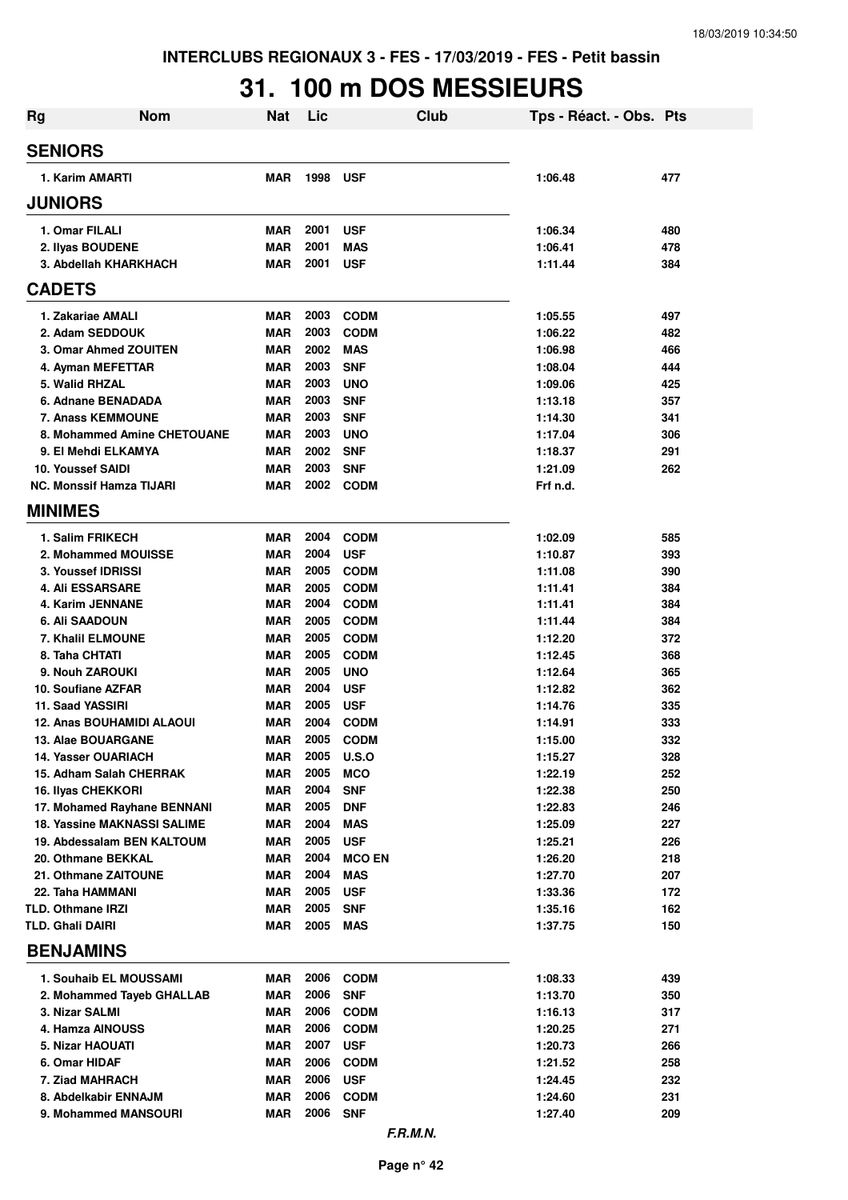# **31. 100 m DOS MESSIEURS**

| <b>Rg</b> | <b>Nom</b>                                                       | <b>Nat</b>        | Lic          | Club                        | Tps - Réact. - Obs. Pts |            |
|-----------|------------------------------------------------------------------|-------------------|--------------|-----------------------------|-------------------------|------------|
|           | <b>SENIORS</b>                                                   |                   |              |                             |                         |            |
|           | 1. Karim AMARTI                                                  | <b>MAR</b>        | 1998         | <b>USF</b>                  | 1:06.48                 | 477        |
|           | <b>JUNIORS</b>                                                   |                   |              |                             |                         |            |
|           | 1. Omar FILALI                                                   | <b>MAR</b>        | 2001         | <b>USF</b>                  | 1:06.34                 | 480        |
|           | 2. Ilyas BOUDENE                                                 | <b>MAR</b>        | 2001         | <b>MAS</b>                  | 1:06.41                 | 478        |
|           | 3. Abdellah KHARKHACH                                            | <b>MAR</b>        | 2001         | <b>USF</b>                  | 1:11.44                 | 384        |
|           | <b>CADETS</b>                                                    |                   |              |                             |                         |            |
|           | 1. Zakariae AMALI                                                | <b>MAR</b>        | 2003         | <b>CODM</b>                 | 1:05.55                 | 497        |
|           | 2. Adam SEDDOUK                                                  | <b>MAR</b>        | 2003         | <b>CODM</b>                 | 1:06.22                 | 482        |
|           | 3. Omar Ahmed ZOUITEN                                            | <b>MAR</b>        | 2002         | <b>MAS</b>                  | 1:06.98                 | 466        |
|           | 4. Ayman MEFETTAR                                                | <b>MAR</b>        | 2003         | <b>SNF</b>                  | 1:08.04                 | 444        |
|           | 5. Walid RHZAL                                                   | <b>MAR</b>        | 2003         | <b>UNO</b>                  | 1:09.06                 | 425        |
|           | 6. Adnane BENADADA                                               | <b>MAR</b>        | 2003         | <b>SNF</b>                  | 1:13.18                 | 357        |
|           | <b>7. Anass KEMMOUNE</b>                                         | <b>MAR</b>        | 2003         | <b>SNF</b>                  | 1:14.30                 | 341        |
|           | 8. Mohammed Amine CHETOUANE                                      | <b>MAR</b>        | 2003         | <b>UNO</b>                  | 1:17.04                 | 306        |
|           | 9. El Mehdi ELKAMYA                                              | <b>MAR</b>        | 2002         | <b>SNF</b>                  | 1:18.37                 | 291        |
|           | 10. Youssef SAIDI                                                | <b>MAR</b>        | 2003         | <b>SNF</b>                  | 1:21.09                 | 262        |
|           | <b>NC. Monssif Hamza TIJARI</b>                                  | <b>MAR</b>        | 2002         | <b>CODM</b>                 | Frf n.d.                |            |
|           | <b>MINIMES</b>                                                   |                   |              |                             |                         |            |
|           | 1. Salim FRIKECH                                                 | <b>MAR</b>        | 2004         | <b>CODM</b>                 | 1:02.09                 | 585        |
|           | 2. Mohammed MOUISSE                                              | <b>MAR</b>        | 2004         | <b>USF</b>                  | 1:10.87                 | 393        |
|           | 3. Youssef IDRISSI                                               | <b>MAR</b>        | 2005         | <b>CODM</b>                 | 1:11.08                 | 390        |
|           | <b>4. Ali ESSARSARE</b>                                          | <b>MAR</b>        | 2005         | <b>CODM</b>                 | 1:11.41                 | 384        |
|           | 4. Karim JENNANE                                                 | <b>MAR</b>        | 2004         | <b>CODM</b>                 | 1:11.41                 | 384        |
|           | <b>6. Ali SAADOUN</b>                                            | <b>MAR</b>        | 2005         | <b>CODM</b>                 | 1:11.44                 | 384        |
|           | 7. Khalil ELMOUNE                                                | <b>MAR</b>        | 2005         | <b>CODM</b>                 | 1:12.20                 | 372        |
|           | 8. Taha CHTATI                                                   | <b>MAR</b>        | 2005         | <b>CODM</b>                 | 1:12.45                 | 368        |
|           | 9. Nouh ZAROUKI                                                  | <b>MAR</b>        | 2005         | <b>UNO</b>                  | 1:12.64                 | 365        |
|           | 10. Soufiane AZFAR                                               | <b>MAR</b>        | 2004         | <b>USF</b>                  | 1:12.82                 | 362        |
|           | 11. Saad YASSIRI                                                 | <b>MAR</b>        | 2005         | <b>USF</b>                  | 1:14.76                 | 335        |
|           | <b>12. Anas BOUHAMIDI ALAOUI</b>                                 | <b>MAR</b>        | 2004         | <b>CODM</b>                 | 1:14.91                 | 333        |
|           | <b>13. Alae BOUARGANE</b>                                        | <b>MAR</b>        | 2005         | <b>CODM</b>                 | 1:15.00                 | 332        |
|           | <b>14. Yasser OUARIACH</b>                                       | <b>MAR</b>        | 2005         | U.S.O                       | 1:15.27                 | 328        |
|           | 15. Adham Salah CHERRAK                                          | <b>MAR</b>        | 2005         | <b>MCO</b>                  | 1:22.19                 | 252        |
|           | <b>16. Ilyas CHEKKORI</b>                                        | <b>MAR</b>        | 2004         | <b>SNF</b>                  | 1:22.38                 | 250        |
|           | 17. Mohamed Rayhane BENNANI                                      | <b>MAR</b>        | 2005         | <b>DNF</b>                  | 1:22.83                 | 246        |
|           | <b>18. Yassine MAKNASSI SALIME</b><br>19. Abdessalam BEN KALTOUM | <b>MAR</b>        | 2004<br>2005 | <b>MAS</b>                  | 1:25.09                 | 227        |
|           |                                                                  | <b>MAR</b>        | 2004         | <b>USF</b>                  | 1:25.21<br>1:26.20      | 226        |
|           | 20. Othmane BEKKAL<br>21. Othmane ZAITOUNE                       | <b>MAR</b><br>MAR | 2004         | <b>MCO EN</b><br><b>MAS</b> | 1:27.70                 | 218<br>207 |
|           | 22. Taha HAMMANI                                                 | <b>MAR</b>        | 2005         | <b>USF</b>                  | 1:33.36                 | 172        |
|           | <b>TLD. Othmane IRZI</b>                                         | <b>MAR</b>        | 2005         | <b>SNF</b>                  | 1:35.16                 | 162        |
|           | <b>TLD. Ghali DAIRI</b>                                          | <b>MAR</b>        | 2005         | <b>MAS</b>                  | 1:37.75                 | 150        |
|           | <b>BENJAMINS</b>                                                 |                   |              |                             |                         |            |
|           |                                                                  |                   | 2006         |                             |                         |            |
|           | 1. Souhaib EL MOUSSAMI                                           | <b>MAR</b>        | 2006         | <b>CODM</b>                 | 1:08.33                 | 439        |
|           | 2. Mohammed Tayeb GHALLAB                                        | <b>MAR</b>        |              | <b>SNF</b>                  | 1:13.70                 | 350        |
|           | 3. Nizar SALMI<br>4. Hamza AINOUSS                               | MAR<br>MAR        | 2006<br>2006 | <b>CODM</b><br><b>CODM</b>  | 1:16.13<br>1:20.25      | 317<br>271 |
|           | 5. Nizar HAOUATI                                                 | <b>MAR</b>        | 2007         | <b>USF</b>                  | 1:20.73                 | 266        |
|           | 6. Omar HIDAF                                                    | <b>MAR</b>        | 2006         | <b>CODM</b>                 | 1:21.52                 | 258        |
|           | 7. Ziad MAHRACH                                                  | <b>MAR</b>        | 2006         | <b>USF</b>                  | 1:24.45                 | 232        |
|           | 8. Abdelkabir ENNAJM                                             | MAR               | 2006         | <b>CODM</b>                 | 1:24.60                 | 231        |
|           | 9. Mohammed MANSOURI                                             | <b>MAR</b>        | 2006         | <b>SNF</b>                  | 1:27.40                 | 209        |
|           |                                                                  |                   |              |                             |                         |            |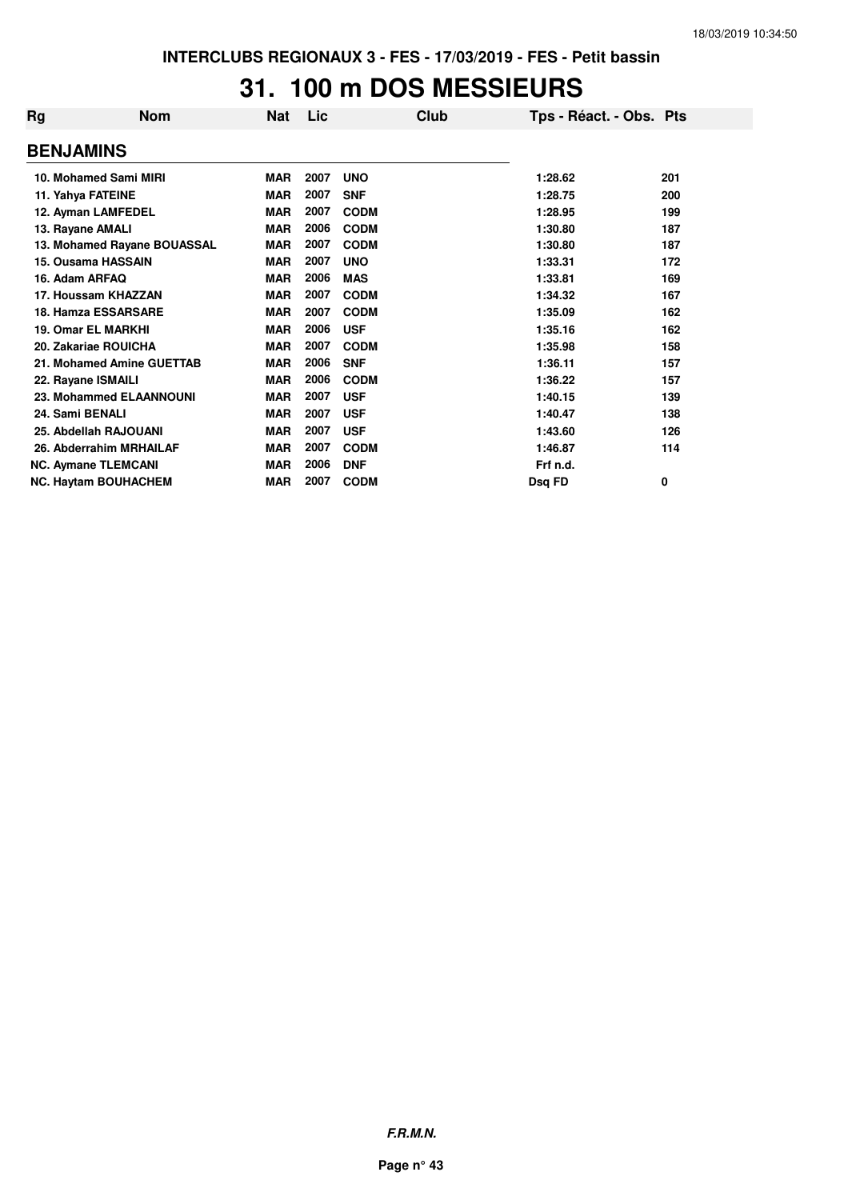## **31. 100 m DOS MESSIEURS**

| Rg                          | <b>Nom</b> | Nat        | Lic  |             | Club | Tps - Réact. - Obs. Pts |     |
|-----------------------------|------------|------------|------|-------------|------|-------------------------|-----|
| <b>BENJAMINS</b>            |            |            |      |             |      |                         |     |
| 10. Mohamed Sami MIRI       |            | <b>MAR</b> | 2007 | <b>UNO</b>  |      | 1:28.62                 | 201 |
| 11. Yahya FATEINE           |            | <b>MAR</b> | 2007 | <b>SNF</b>  |      | 1:28.75                 | 200 |
| 12. Ayman LAMFEDEL          |            | <b>MAR</b> | 2007 | <b>CODM</b> |      | 1:28.95                 | 199 |
| 13. Rayane AMALI            |            | <b>MAR</b> | 2006 | <b>CODM</b> |      | 1:30.80                 | 187 |
| 13. Mohamed Rayane BOUASSAL |            | <b>MAR</b> | 2007 | <b>CODM</b> |      | 1:30.80                 | 187 |
| 15. Ousama HASSAIN          |            | <b>MAR</b> | 2007 | <b>UNO</b>  |      | 1:33.31                 | 172 |
| 16. Adam ARFAQ              |            | <b>MAR</b> | 2006 | <b>MAS</b>  |      | 1:33.81                 | 169 |
| 17. Houssam KHAZZAN         |            | <b>MAR</b> | 2007 | <b>CODM</b> |      | 1:34.32                 | 167 |
| 18. Hamza ESSARSARE         |            | <b>MAR</b> | 2007 | <b>CODM</b> |      | 1:35.09                 | 162 |
| 19. Omar EL MARKHI          |            | <b>MAR</b> | 2006 | <b>USF</b>  |      | 1:35.16                 | 162 |
| 20. Zakariae ROUICHA        |            | <b>MAR</b> | 2007 | <b>CODM</b> |      | 1:35.98                 | 158 |
| 21. Mohamed Amine GUETTAB   |            | <b>MAR</b> | 2006 | <b>SNF</b>  |      | 1:36.11                 | 157 |
| 22. Rayane ISMAILI          |            | <b>MAR</b> | 2006 | <b>CODM</b> |      | 1:36.22                 | 157 |
| 23. Mohammed ELAANNOUNI     |            | <b>MAR</b> | 2007 | <b>USF</b>  |      | 1:40.15                 | 139 |
| 24. Sami BENALI             |            | <b>MAR</b> | 2007 | <b>USF</b>  |      | 1:40.47                 | 138 |
| 25. Abdellah RAJOUANI       |            | <b>MAR</b> | 2007 | <b>USF</b>  |      | 1:43.60                 | 126 |
| 26. Abderrahim MRHAILAF     |            | <b>MAR</b> | 2007 | <b>CODM</b> |      | 1:46.87                 | 114 |
| <b>NC. Aymane TLEMCANI</b>  |            | <b>MAR</b> | 2006 | <b>DNF</b>  |      | Frf n.d.                |     |
| <b>NC. Haytam BOUHACHEM</b> |            | <b>MAR</b> | 2007 | <b>CODM</b> |      | Dsq FD                  | 0   |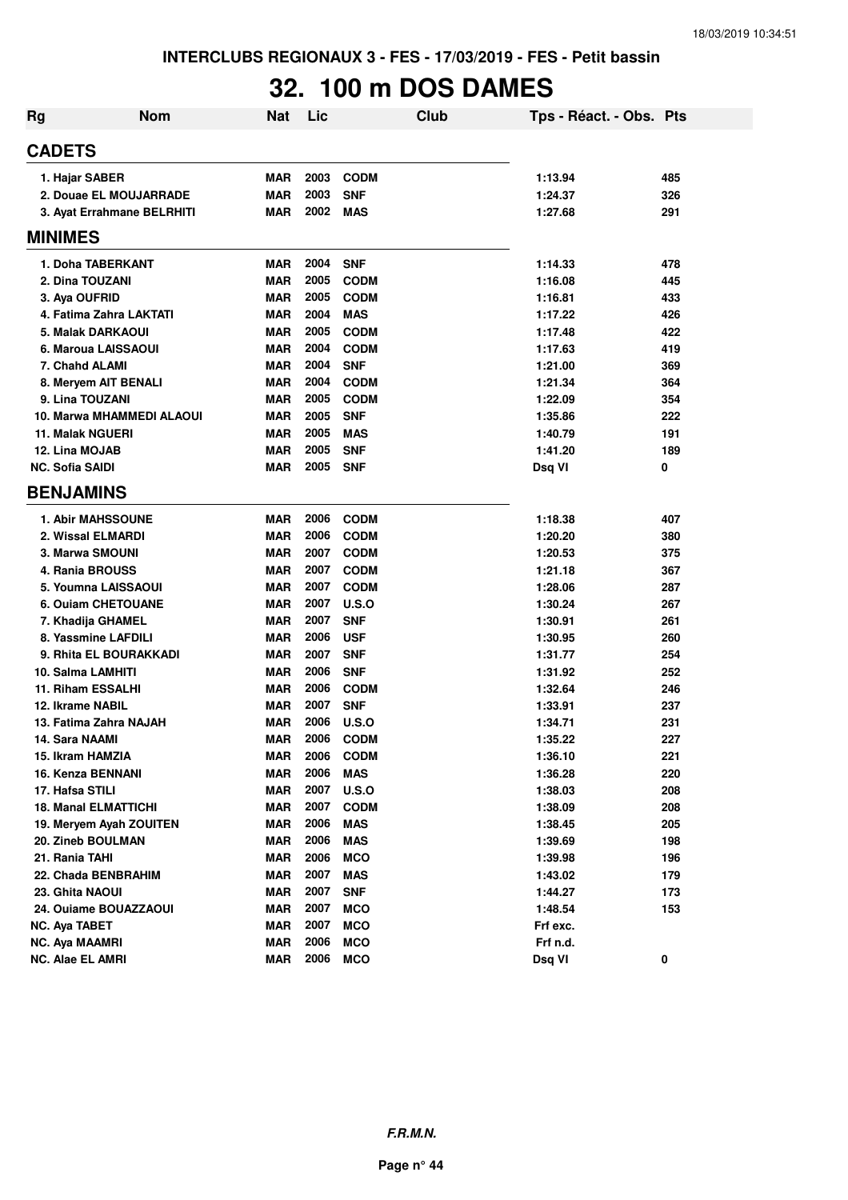## **32. 100 m DOS DAMES**

| Rg | <b>Nom</b>                                   | <b>Nat</b>               | Lic  | Club                       | Tps - Réact. - Obs. Pts |            |
|----|----------------------------------------------|--------------------------|------|----------------------------|-------------------------|------------|
|    | <b>CADETS</b>                                |                          |      |                            |                         |            |
|    | 1. Hajar SABER                               | <b>MAR</b>               | 2003 | <b>CODM</b>                | 1:13.94                 | 485        |
|    | 2. Douae EL MOUJARRADE                       | <b>MAR</b>               | 2003 | <b>SNF</b>                 | 1:24.37                 | 326        |
|    | 3. Ayat Errahmane BELRHITI                   | <b>MAR</b>               | 2002 | <b>MAS</b>                 | 1:27.68                 | 291        |
|    | <b>MINIMES</b>                               |                          |      |                            |                         |            |
|    | 1. Doha TABERKANT                            | <b>MAR</b>               | 2004 | <b>SNF</b>                 | 1:14.33                 | 478        |
|    | 2. Dina TOUZANI                              | <b>MAR</b>               | 2005 | <b>CODM</b>                | 1:16.08                 | 445        |
|    | 3. Aya OUFRID                                | <b>MAR</b>               | 2005 | <b>CODM</b>                | 1:16.81                 | 433        |
|    | 4. Fatima Zahra LAKTATI                      | <b>MAR</b>               | 2004 | <b>MAS</b>                 | 1:17.22                 | 426        |
|    | 5. Malak DARKAOUI                            | <b>MAR</b>               | 2005 | <b>CODM</b>                | 1:17.48                 | 422        |
|    | 6. Maroua LAISSAOUI                          | <b>MAR</b>               | 2004 | <b>CODM</b>                | 1:17.63                 | 419        |
|    | 7. Chahd ALAMI                               | <b>MAR</b>               | 2004 | <b>SNF</b>                 | 1:21.00                 | 369        |
|    | 8. Meryem AIT BENALI                         | <b>MAR</b>               | 2004 | <b>CODM</b>                | 1:21.34                 | 364        |
|    | 9. Lina TOUZANI                              | <b>MAR</b>               | 2005 | <b>CODM</b>                | 1:22.09                 | 354        |
|    | 10. Marwa MHAMMEDI ALAOUI                    | <b>MAR</b>               | 2005 | <b>SNF</b>                 | 1:35.86                 | 222        |
|    | <b>11. Malak NGUERI</b>                      | <b>MAR</b>               | 2005 | <b>MAS</b>                 | 1:40.79                 | 191        |
|    | 12. Lina MOJAB                               | <b>MAR</b>               | 2005 | <b>SNF</b>                 | 1:41.20                 | 189        |
|    | <b>NC. Sofia SAIDI</b>                       | <b>MAR</b>               | 2005 | <b>SNF</b>                 | Dsq VI                  | 0          |
|    | <b>BENJAMINS</b>                             |                          |      |                            |                         |            |
|    | <b>1. Abir MAHSSOUNE</b>                     | <b>MAR</b>               | 2006 | <b>CODM</b>                | 1:18.38                 | 407        |
|    | 2. Wissal ELMARDI                            | <b>MAR</b>               | 2006 |                            |                         |            |
|    | 3. Marwa SMOUNI                              |                          | 2007 | <b>CODM</b><br><b>CODM</b> | 1:20.20                 | 380        |
|    |                                              | <b>MAR</b>               | 2007 |                            | 1:20.53                 | 375        |
|    | 4. Rania BROUSS                              | <b>MAR</b>               | 2007 | <b>CODM</b><br><b>CODM</b> | 1:21.18                 | 367        |
|    | 5. Youmna LAISSAOUI                          | <b>MAR</b>               | 2007 | U.S.O                      | 1:28.06                 | 287        |
|    | <b>6. Ouiam CHETOUANE</b>                    | <b>MAR</b><br><b>MAR</b> | 2007 | <b>SNF</b>                 | 1:30.24<br>1:30.91      | 267<br>261 |
|    | 7. Khadija GHAMEL<br>8. Yassmine LAFDILI     | <b>MAR</b>               | 2006 | <b>USF</b>                 | 1:30.95                 | 260        |
|    | 9. Rhita EL BOURAKKADI                       | <b>MAR</b>               | 2007 | <b>SNF</b>                 | 1:31.77                 | 254        |
|    | 10. Salma LAMHITI                            | <b>MAR</b>               | 2006 | <b>SNF</b>                 | 1:31.92                 | 252        |
|    | 11. Riham ESSALHI                            | <b>MAR</b>               | 2006 | <b>CODM</b>                | 1:32.64                 | 246        |
|    | 12. Ikrame NABIL                             | <b>MAR</b>               | 2007 | <b>SNF</b>                 | 1:33.91                 | 237        |
|    | 13. Fatima Zahra NAJAH                       | <b>MAR</b>               | 2006 | <b>U.S.O</b>               | 1:34.71                 | 231        |
|    | 14. Sara NAAMI                               | <b>MAR</b>               | 2006 | <b>CODM</b>                | 1:35.22                 | 227        |
|    | 15. Ikram HAMZIA                             | <b>MAR</b>               | 2006 | <b>CODM</b>                | 1:36.10                 | 221        |
|    | 16. Kenza BENNANI                            | <b>MAR</b>               | 2006 | <b>MAS</b>                 | 1:36.28                 | 220        |
|    | 17. Hafsa STILI                              | <b>MAR</b>               | 2007 | U.S.O                      | 1:38.03                 | 208        |
|    | <b>18. Manal ELMATTICHI</b>                  | <b>MAR</b>               | 2007 | <b>CODM</b>                | 1:38.09                 | 208        |
|    |                                              |                          | 2006 |                            |                         |            |
|    | 19. Meryem Ayah ZOUITEN<br>20. Zineb BOULMAN | <b>MAR</b><br><b>MAR</b> | 2006 | <b>MAS</b><br><b>MAS</b>   | 1:38.45                 | 205<br>198 |
|    | 21. Rania TAHI                               |                          | 2006 |                            | 1:39.69                 |            |
|    | 22. Chada BENBRAHIM                          | <b>MAR</b>               | 2007 | <b>MCO</b>                 | 1:39.98<br>1:43.02      | 196        |
|    | 23. Ghita NAOUI                              | <b>MAR</b><br><b>MAR</b> | 2007 | <b>MAS</b><br><b>SNF</b>   |                         | 179<br>173 |
|    |                                              |                          | 2007 |                            | 1:44.27<br>1:48.54      |            |
|    | 24. Ouiame BOUAZZAOUI                        | <b>MAR</b>               | 2007 | <b>MCO</b>                 |                         | 153        |
|    | <b>NC. Aya TABET</b>                         | <b>MAR</b><br><b>MAR</b> | 2006 | <b>MCO</b>                 | Frf exc.<br>Frf n.d.    |            |
|    | <b>NC. Aya MAAMRI</b>                        |                          |      | <b>MCO</b>                 |                         |            |
|    | <b>NC. Alae EL AMRI</b>                      | <b>MAR</b>               | 2006 | <b>MCO</b>                 | Dsq VI                  | 0          |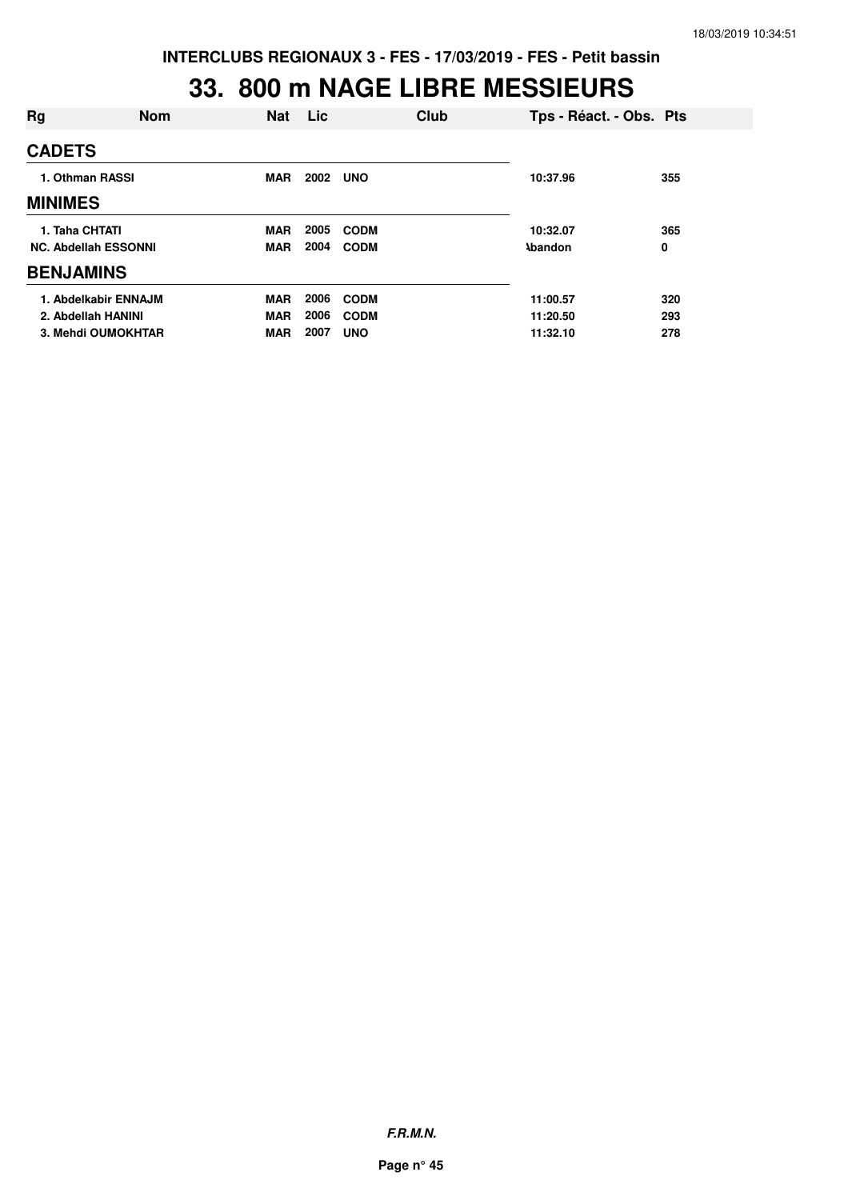#### **33. 800 m NAGE LIBRE MESSIEURS**

| Rg               | <b>Nom</b>                  | <b>Nat</b> | Lic  |             | Club | Tps - Réact. - Obs. Pts |     |
|------------------|-----------------------------|------------|------|-------------|------|-------------------------|-----|
| <b>CADETS</b>    |                             |            |      |             |      |                         |     |
| 1. Othman RASSI  |                             | <b>MAR</b> | 2002 | <b>UNO</b>  |      | 10:37.96                | 355 |
| <b>MINIMES</b>   |                             |            |      |             |      |                         |     |
| 1. Taha CHTATI   |                             | <b>MAR</b> | 2005 | <b>CODM</b> |      | 10:32.07                | 365 |
|                  | <b>NC. Abdellah ESSONNI</b> | <b>MAR</b> | 2004 | <b>CODM</b> |      | <b>\bandon</b>          | 0   |
| <b>BENJAMINS</b> |                             |            |      |             |      |                         |     |
|                  | 1. Abdelkabir ENNAJM        | <b>MAR</b> | 2006 | <b>CODM</b> |      | 11:00.57                | 320 |
|                  | 2. Abdellah HANINI          | <b>MAR</b> | 2006 | <b>CODM</b> |      | 11:20.50                | 293 |
|                  | 3. Mehdi OUMOKHTAR          | <b>MAR</b> | 2007 | <b>UNO</b>  |      | 11:32.10                | 278 |